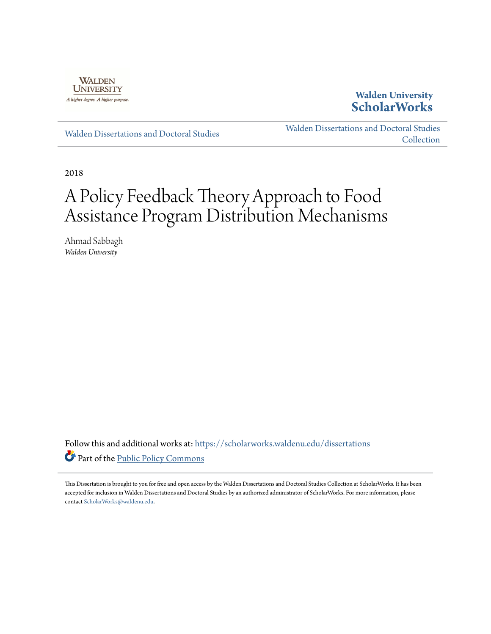

### **Walden University [ScholarWorks](https://scholarworks.waldenu.edu?utm_source=scholarworks.waldenu.edu%2Fdissertations%2F6105&utm_medium=PDF&utm_campaign=PDFCoverPages)**

[Walden Dissertations and Doctoral Studies](https://scholarworks.waldenu.edu/dissertations?utm_source=scholarworks.waldenu.edu%2Fdissertations%2F6105&utm_medium=PDF&utm_campaign=PDFCoverPages)

[Walden Dissertations and Doctoral Studies](https://scholarworks.waldenu.edu/dissanddoc?utm_source=scholarworks.waldenu.edu%2Fdissertations%2F6105&utm_medium=PDF&utm_campaign=PDFCoverPages) **[Collection](https://scholarworks.waldenu.edu/dissanddoc?utm_source=scholarworks.waldenu.edu%2Fdissertations%2F6105&utm_medium=PDF&utm_campaign=PDFCoverPages)** 

2018

# A Policy Feedback Theory Approach to Food Assistance Program Distribution Mechanisms

Ahmad Sabbagh *Walden University*

Follow this and additional works at: [https://scholarworks.waldenu.edu/dissertations](https://scholarworks.waldenu.edu/dissertations?utm_source=scholarworks.waldenu.edu%2Fdissertations%2F6105&utm_medium=PDF&utm_campaign=PDFCoverPages) Part of the [Public Policy Commons](http://network.bepress.com/hgg/discipline/400?utm_source=scholarworks.waldenu.edu%2Fdissertations%2F6105&utm_medium=PDF&utm_campaign=PDFCoverPages)

This Dissertation is brought to you for free and open access by the Walden Dissertations and Doctoral Studies Collection at ScholarWorks. It has been accepted for inclusion in Walden Dissertations and Doctoral Studies by an authorized administrator of ScholarWorks. For more information, please contact [ScholarWorks@waldenu.edu](mailto:ScholarWorks@waldenu.edu).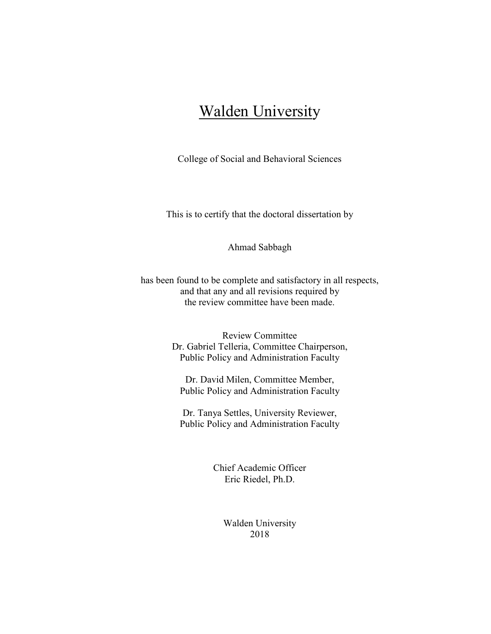## **Walden University**

College of Social and Behavioral Sciences

This is to certify that the doctoral dissertation by

Ahmad Sabbagh

has been found to be complete and satisfactory in all respects, and that any and all revisions required by the review committee have been made.

> Review Committee Dr. Gabriel Telleria, Committee Chairperson, Public Policy and Administration Faculty

Dr. David Milen, Committee Member, Public Policy and Administration Faculty

Dr. Tanya Settles, University Reviewer, Public Policy and Administration Faculty

> Chief Academic Officer Eric Riedel, Ph.D.

> > Walden University 2018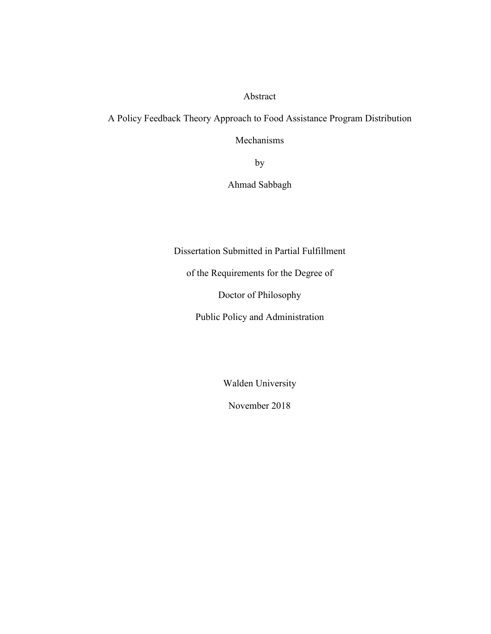#### Abstract

A Policy Feedback Theory Approach to Food Assistance Program Distribution

Mechanisms

by

Ahmad Sabbagh

Dissertation Submitted in Partial Fulfillment

of the Requirements for the Degree of

Doctor of Philosophy

Public Policy and Administration

Walden University

November 2018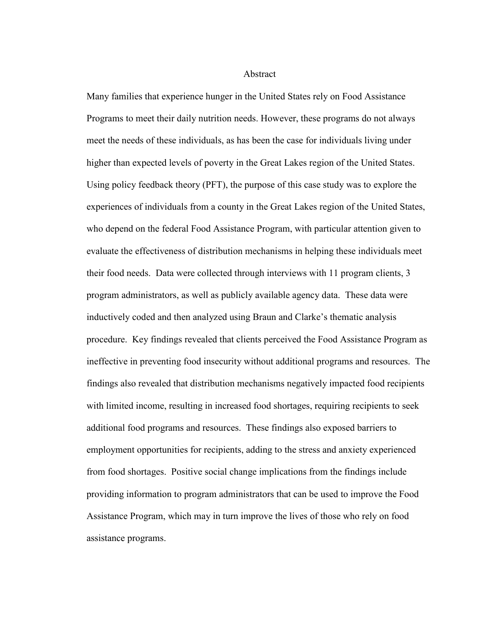**Abstract** 

Many families that experience hunger in the United States rely on Food Assistance Programs to meet their daily nutrition needs. However, these programs do not always meet the needs of these individuals, as has been the case for individuals living under higher than expected levels of poverty in the Great Lakes region of the United States. Using policy feedback theory (PFT), the purpose of this case study was to explore the experiences of individuals from a county in the Great Lakes region of the United States, who depend on the federal Food Assistance Program, with particular attention given to evaluate the effectiveness of distribution mechanisms in helping these individuals meet their food needs. Data were collected through interviews with 11 program clients, 3 program administrators, as well as publicly available agency data. These data were inductively coded and then analyzed using Braun and Clarke's thematic analysis procedure. Key findings revealed that clients perceived the Food Assistance Program as ineffective in preventing food insecurity without additional programs and resources. The findings also revealed that distribution mechanisms negatively impacted food recipients with limited income, resulting in increased food shortages, requiring recipients to seek additional food programs and resources. These findings also exposed barriers to employment opportunities for recipients, adding to the stress and anxiety experienced from food shortages. Positive social change implications from the findings include providing information to program administrators that can be used to improve the Food Assistance Program, which may in turn improve the lives of those who rely on food assistance programs.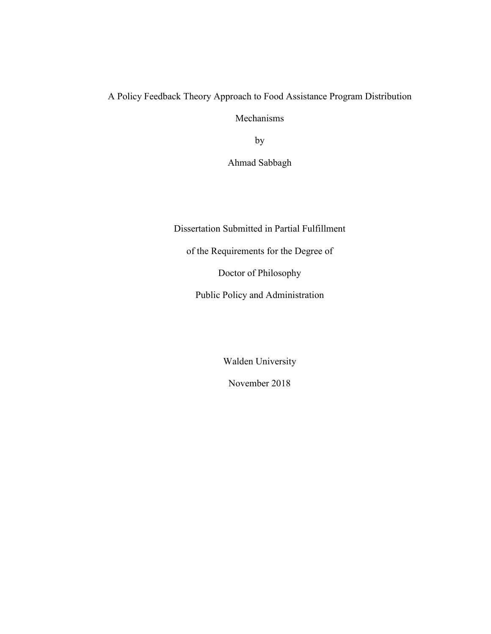## A Policy Feedback Theory Approach to Food Assistance Program Distribution Mechanisms

by

Ahmad Sabbagh

Dissertation Submitted in Partial Fulfillment

of the Requirements for the Degree of

Doctor of Philosophy

Public Policy and Administration

Walden University

November 2018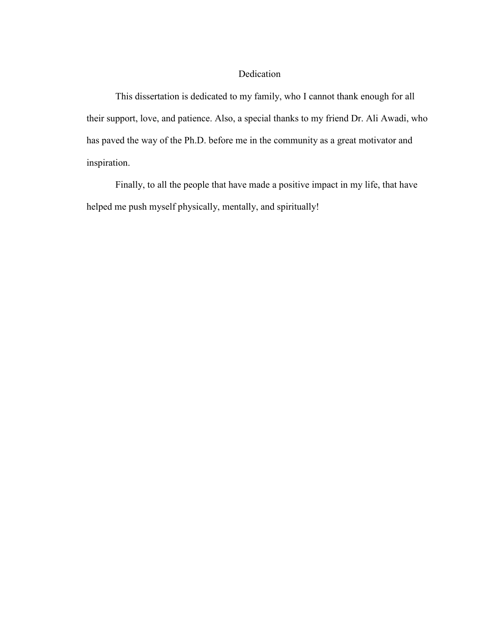#### Dedication

This dissertation is dedicated to my family, who I cannot thank enough for all their support, love, and patience. Also, a special thanks to my friend Dr. Ali Awadi, who has paved the way of the Ph.D. before me in the community as a great motivator and inspiration.

Finally, to all the people that have made a positive impact in my life, that have helped me push myself physically, mentally, and spiritually!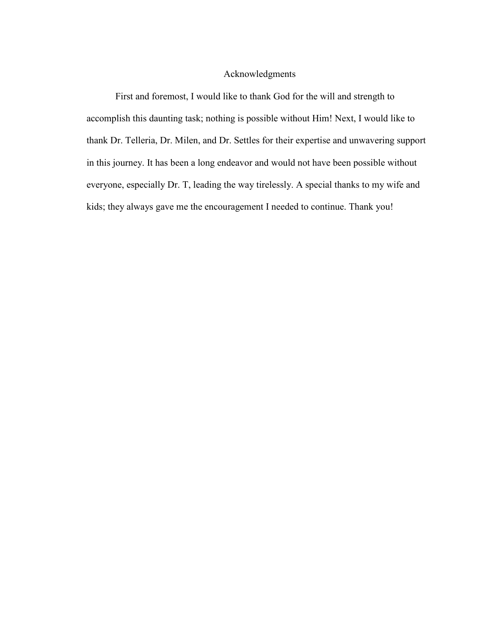#### Acknowledgments

First and foremost, I would like to thank God for the will and strength to accomplish this daunting task; nothing is possible without Him! Next, I would like to thank Dr. Telleria, Dr. Milen, and Dr. Settles for their expertise and unwavering support in this journey. It has been a long endeavor and would not have been possible without everyone, especially Dr. T, leading the way tirelessly. A special thanks to my wife and kids; they always gave me the encouragement I needed to continue. Thank you!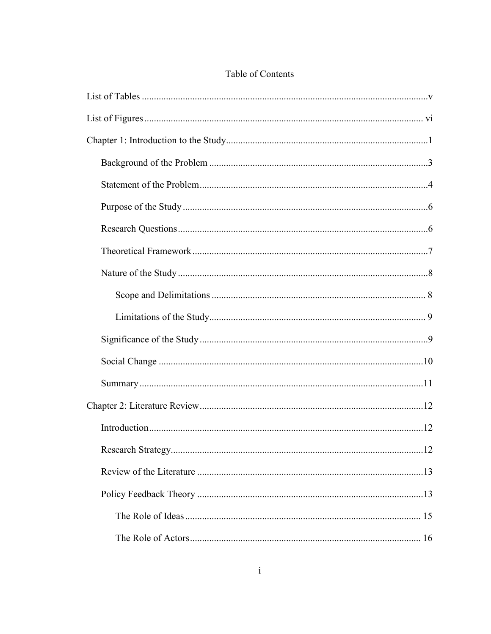### Table of Contents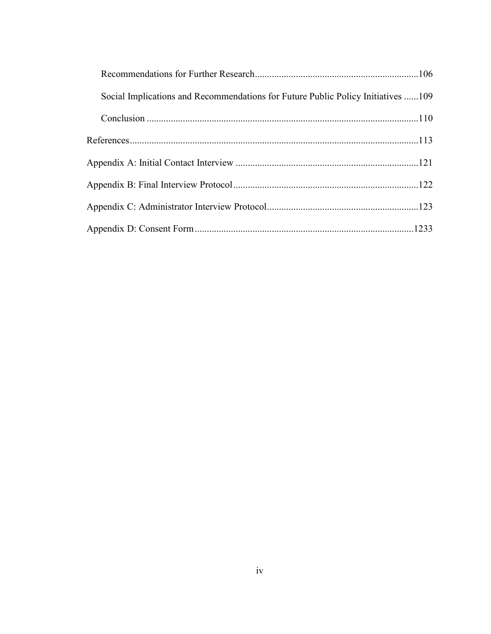| Social Implications and Recommendations for Future Public Policy Initiatives 109 |  |
|----------------------------------------------------------------------------------|--|
|                                                                                  |  |
|                                                                                  |  |
|                                                                                  |  |
|                                                                                  |  |
|                                                                                  |  |
|                                                                                  |  |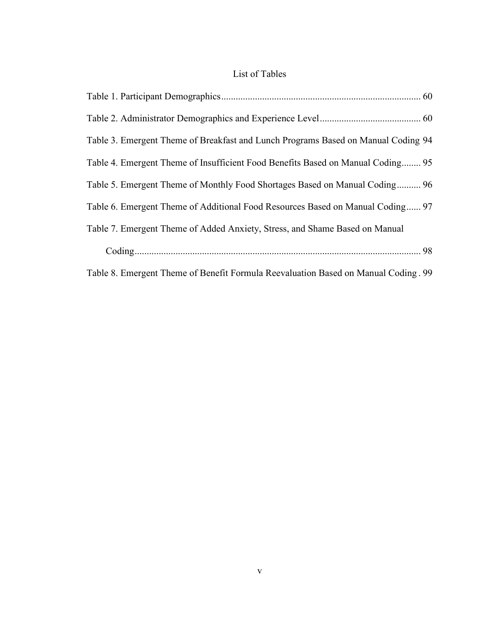### List of Tables

| Table 3. Emergent Theme of Breakfast and Lunch Programs Based on Manual Coding 94   |  |
|-------------------------------------------------------------------------------------|--|
| Table 4. Emergent Theme of Insufficient Food Benefits Based on Manual Coding 95     |  |
| Table 5. Emergent Theme of Monthly Food Shortages Based on Manual Coding 96         |  |
| Table 6. Emergent Theme of Additional Food Resources Based on Manual Coding 97      |  |
| Table 7. Emergent Theme of Added Anxiety, Stress, and Shame Based on Manual         |  |
|                                                                                     |  |
| Table 8. Emergent Theme of Benefit Formula Reevaluation Based on Manual Coding . 99 |  |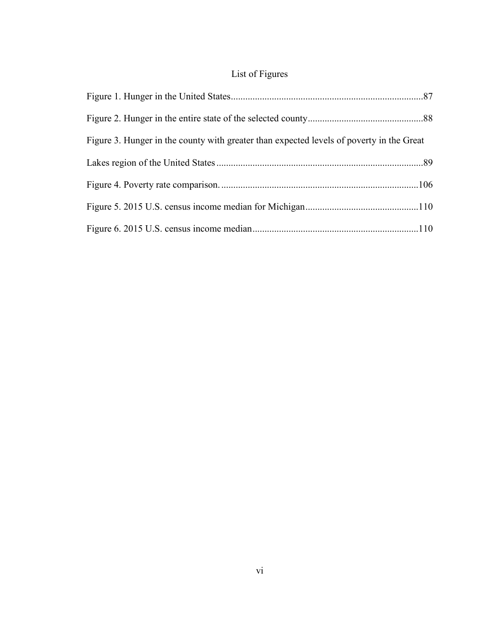## List of Figures

| Figure 3. Hunger in the county with greater than expected levels of poverty in the Great |  |
|------------------------------------------------------------------------------------------|--|
|                                                                                          |  |
|                                                                                          |  |
|                                                                                          |  |
|                                                                                          |  |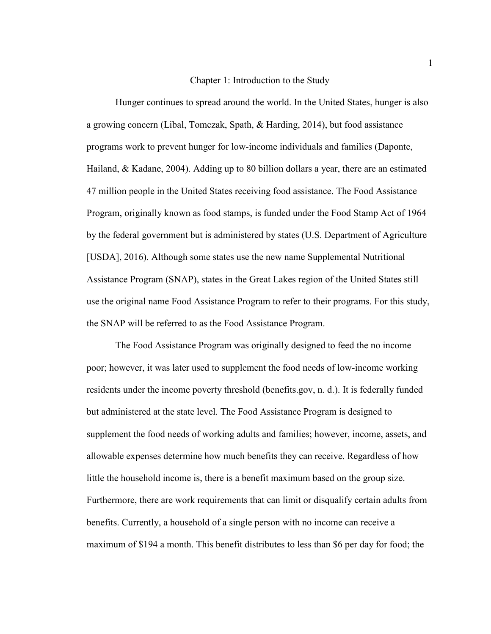#### Chapter 1: Introduction to the Study

Hunger continues to spread around the world. In the United States, hunger is also a growing concern (Libal, Tomczak, Spath, & Harding, 2014), but food assistance programs work to prevent hunger for low-income individuals and families (Daponte, Hailand, & Kadane, 2004). Adding up to 80 billion dollars a year, there are an estimated 47 million people in the United States receiving food assistance. The Food Assistance Program, originally known as food stamps, is funded under the Food Stamp Act of 1964 by the federal government but is administered by states (U.S. Department of Agriculture [USDA], 2016). Although some states use the new name Supplemental Nutritional Assistance Program (SNAP), states in the Great Lakes region of the United States still use the original name Food Assistance Program to refer to their programs. For this study, the SNAP will be referred to as the Food Assistance Program.

The Food Assistance Program was originally designed to feed the no income poor; however, it was later used to supplement the food needs of low-income working residents under the income poverty threshold (benefits.gov, n. d.). It is federally funded but administered at the state level. The Food Assistance Program is designed to supplement the food needs of working adults and families; however, income, assets, and allowable expenses determine how much benefits they can receive. Regardless of how little the household income is, there is a benefit maximum based on the group size. Furthermore, there are work requirements that can limit or disqualify certain adults from benefits. Currently, a household of a single person with no income can receive a maximum of \$194 a month. This benefit distributes to less than \$6 per day for food; the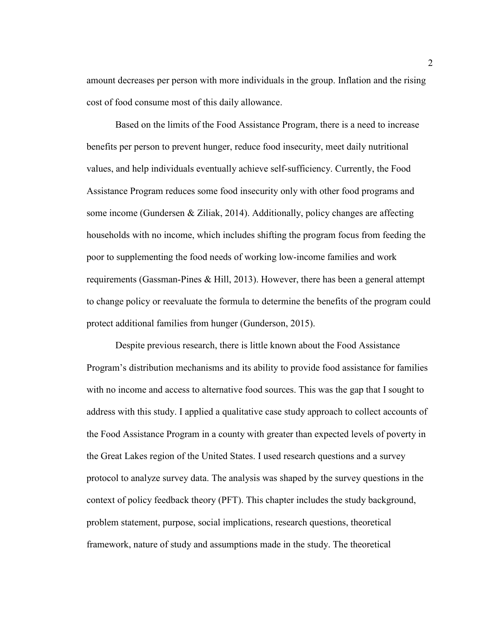amount decreases per person with more individuals in the group. Inflation and the rising cost of food consume most of this daily allowance.

Based on the limits of the Food Assistance Program, there is a need to increase benefits per person to prevent hunger, reduce food insecurity, meet daily nutritional values, and help individuals eventually achieve self-sufficiency. Currently, the Food Assistance Program reduces some food insecurity only with other food programs and some income (Gundersen  $\&$  Ziliak, 2014). Additionally, policy changes are affecting households with no income, which includes shifting the program focus from feeding the poor to supplementing the food needs of working low-income families and work requirements (Gassman-Pines & Hill, 2013). However, there has been a general attempt to change policy or reevaluate the formula to determine the benefits of the program could protect additional families from hunger (Gunderson, 2015).

Despite previous research, there is little known about the Food Assistance Program's distribution mechanisms and its ability to provide food assistance for families with no income and access to alternative food sources. This was the gap that I sought to address with this study. I applied a qualitative case study approach to collect accounts of the Food Assistance Program in a county with greater than expected levels of poverty in the Great Lakes region of the United States. I used research questions and a survey protocol to analyze survey data. The analysis was shaped by the survey questions in the context of policy feedback theory (PFT). This chapter includes the study background, problem statement, purpose, social implications, research questions, theoretical framework, nature of study and assumptions made in the study. The theoretical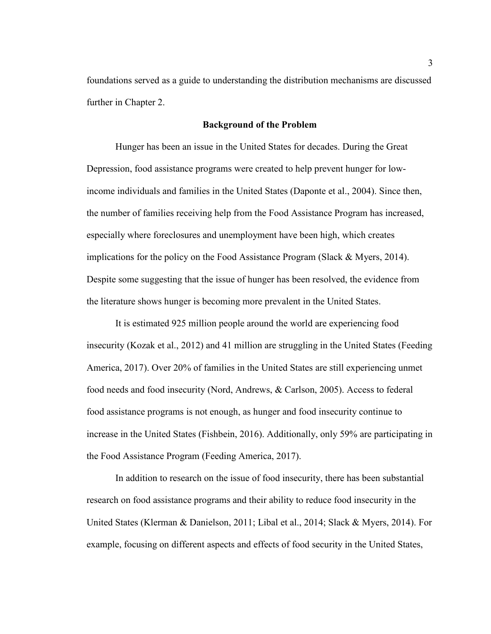foundations served as a guide to understanding the distribution mechanisms are discussed further in Chapter 2.

#### **Background of the Problem**

Hunger has been an issue in the United States for decades. During the Great Depression, food assistance programs were created to help prevent hunger for lowincome individuals and families in the United States (Daponte et al., 2004). Since then, the number of families receiving help from the Food Assistance Program has increased, especially where foreclosures and unemployment have been high, which creates implications for the policy on the Food Assistance Program (Slack & Myers, 2014). Despite some suggesting that the issue of hunger has been resolved, the evidence from the literature shows hunger is becoming more prevalent in the United States.

It is estimated 925 million people around the world are experiencing food insecurity (Kozak et al., 2012) and 41 million are struggling in the United States (Feeding America, 2017). Over 20% of families in the United States are still experiencing unmet food needs and food insecurity (Nord, Andrews, & Carlson, 2005). Access to federal food assistance programs is not enough, as hunger and food insecurity continue to increase in the United States (Fishbein, 2016). Additionally, only 59% are participating in the Food Assistance Program (Feeding America, 2017).

In addition to research on the issue of food insecurity, there has been substantial research on food assistance programs and their ability to reduce food insecurity in the United States (Klerman & Danielson, 2011; Libal et al., 2014; Slack & Myers, 2014). For example, focusing on different aspects and effects of food security in the United States,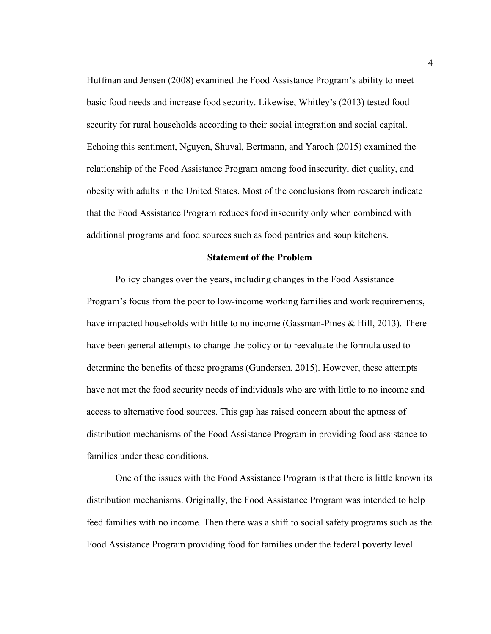Huffman and Jensen (2008) examined the Food Assistance Program's ability to meet basic food needs and increase food security. Likewise, Whitley's (2013) tested food security for rural households according to their social integration and social capital. Echoing this sentiment, Nguyen, Shuval, Bertmann, and Yaroch (2015) examined the relationship of the Food Assistance Program among food insecurity, diet quality, and obesity with adults in the United States. Most of the conclusions from research indicate that the Food Assistance Program reduces food insecurity only when combined with additional programs and food sources such as food pantries and soup kitchens.

#### **Statement of the Problem**

Policy changes over the years, including changes in the Food Assistance Program's focus from the poor to low-income working families and work requirements, have impacted households with little to no income (Gassman-Pines & Hill, 2013). There have been general attempts to change the policy or to reevaluate the formula used to determine the benefits of these programs (Gundersen, 2015). However, these attempts have not met the food security needs of individuals who are with little to no income and access to alternative food sources. This gap has raised concern about the aptness of distribution mechanisms of the Food Assistance Program in providing food assistance to families under these conditions.

One of the issues with the Food Assistance Program is that there is little known its distribution mechanisms. Originally, the Food Assistance Program was intended to help feed families with no income. Then there was a shift to social safety programs such as the Food Assistance Program providing food for families under the federal poverty level.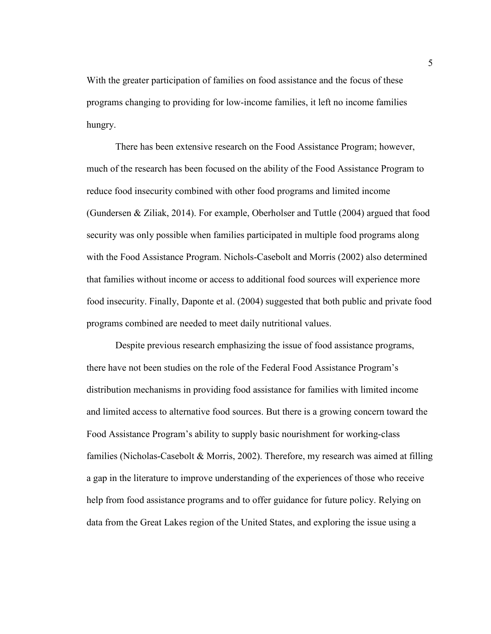With the greater participation of families on food assistance and the focus of these programs changing to providing for low-income families, it left no income families hungry.

There has been extensive research on the Food Assistance Program; however, much of the research has been focused on the ability of the Food Assistance Program to reduce food insecurity combined with other food programs and limited income (Gundersen & Ziliak, 2014). For example, Oberholser and Tuttle (2004) argued that food security was only possible when families participated in multiple food programs along with the Food Assistance Program. Nichols-Casebolt and Morris (2002) also determined that families without income or access to additional food sources will experience more food insecurity. Finally, Daponte et al. (2004) suggested that both public and private food programs combined are needed to meet daily nutritional values.

Despite previous research emphasizing the issue of food assistance programs, there have not been studies on the role of the Federal Food Assistance Program's distribution mechanisms in providing food assistance for families with limited income and limited access to alternative food sources. But there is a growing concern toward the Food Assistance Program's ability to supply basic nourishment for working-class families (Nicholas-Casebolt & Morris, 2002). Therefore, my research was aimed at filling a gap in the literature to improve understanding of the experiences of those who receive help from food assistance programs and to offer guidance for future policy. Relying on data from the Great Lakes region of the United States, and exploring the issue using a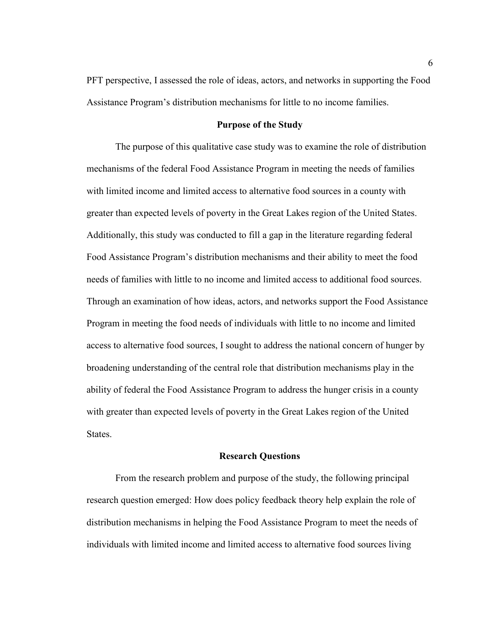PFT perspective, I assessed the role of ideas, actors, and networks in supporting the Food Assistance Program's distribution mechanisms for little to no income families.

#### **Purpose of the Study**

The purpose of this qualitative case study was to examine the role of distribution mechanisms of the federal Food Assistance Program in meeting the needs of families with limited income and limited access to alternative food sources in a county with greater than expected levels of poverty in the Great Lakes region of the United States. Additionally, this study was conducted to fill a gap in the literature regarding federal Food Assistance Program's distribution mechanisms and their ability to meet the food needs of families with little to no income and limited access to additional food sources. Through an examination of how ideas, actors, and networks support the Food Assistance Program in meeting the food needs of individuals with little to no income and limited access to alternative food sources, I sought to address the national concern of hunger by broadening understanding of the central role that distribution mechanisms play in the ability of federal the Food Assistance Program to address the hunger crisis in a county with greater than expected levels of poverty in the Great Lakes region of the United States.

#### **Research Questions**

From the research problem and purpose of the study, the following principal research question emerged: How does policy feedback theory help explain the role of distribution mechanisms in helping the Food Assistance Program to meet the needs of individuals with limited income and limited access to alternative food sources living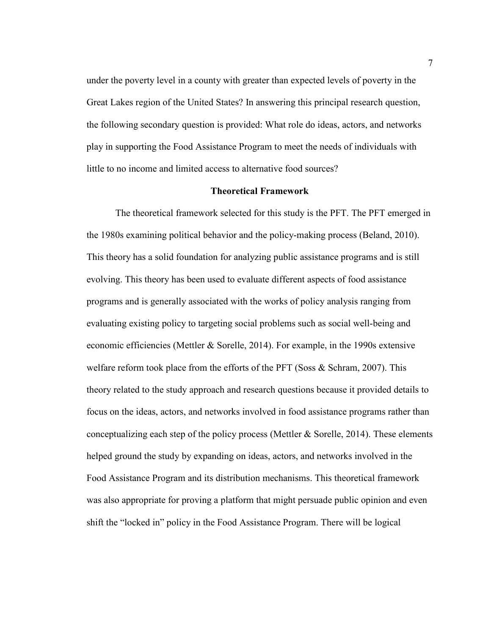under the poverty level in a county with greater than expected levels of poverty in the Great Lakes region of the United States? In answering this principal research question, the following secondary question is provided: What role do ideas, actors, and networks play in supporting the Food Assistance Program to meet the needs of individuals with little to no income and limited access to alternative food sources?

#### **Theoretical Framework**

The theoretical framework selected for this study is the PFT. The PFT emerged in the 1980s examining political behavior and the policy-making process (Beland, 2010). This theory has a solid foundation for analyzing public assistance programs and is still evolving. This theory has been used to evaluate different aspects of food assistance programs and is generally associated with the works of policy analysis ranging from evaluating existing policy to targeting social problems such as social well-being and economic efficiencies (Mettler & Sorelle, 2014). For example, in the 1990s extensive welfare reform took place from the efforts of the PFT (Soss  $\&$  Schram, 2007). This theory related to the study approach and research questions because it provided details to focus on the ideas, actors, and networks involved in food assistance programs rather than conceptualizing each step of the policy process (Mettler & Sorelle, 2014). These elements helped ground the study by expanding on ideas, actors, and networks involved in the Food Assistance Program and its distribution mechanisms. This theoretical framework was also appropriate for proving a platform that might persuade public opinion and even shift the "locked in" policy in the Food Assistance Program. There will be logical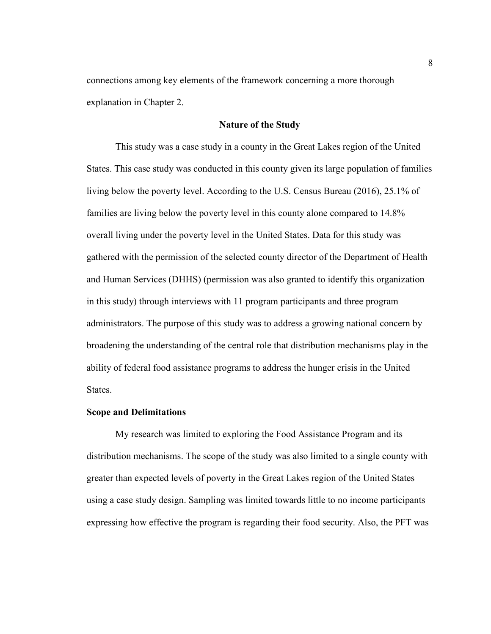connections among key elements of the framework concerning a more thorough explanation in Chapter 2.

#### **Nature of the Study**

This study was a case study in a county in the Great Lakes region of the United States. This case study was conducted in this county given its large population of families living below the poverty level. According to the U.S. Census Bureau (2016), 25.1% of families are living below the poverty level in this county alone compared to 14.8% overall living under the poverty level in the United States. Data for this study was gathered with the permission of the selected county director of the Department of Health and Human Services (DHHS) (permission was also granted to identify this organization in this study) through interviews with 11 program participants and three program administrators. The purpose of this study was to address a growing national concern by broadening the understanding of the central role that distribution mechanisms play in the ability of federal food assistance programs to address the hunger crisis in the United States.

#### **Scope and Delimitations**

My research was limited to exploring the Food Assistance Program and its distribution mechanisms. The scope of the study was also limited to a single county with greater than expected levels of poverty in the Great Lakes region of the United States using a case study design. Sampling was limited towards little to no income participants expressing how effective the program is regarding their food security. Also, the PFT was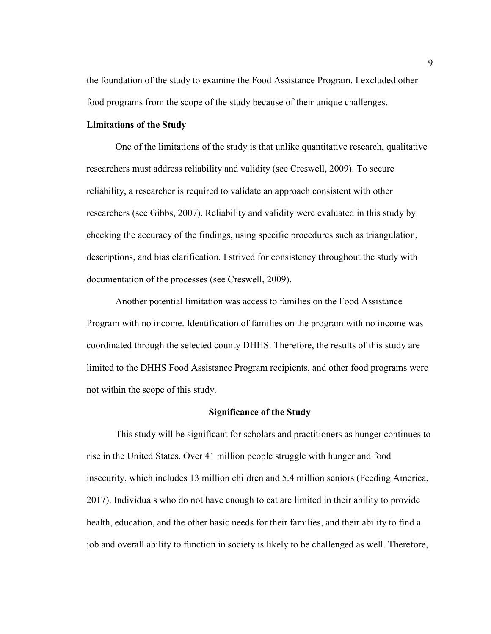the foundation of the study to examine the Food Assistance Program. I excluded other food programs from the scope of the study because of their unique challenges.

#### **Limitations of the Study**

One of the limitations of the study is that unlike quantitative research, qualitative researchers must address reliability and validity (see Creswell, 2009). To secure reliability, a researcher is required to validate an approach consistent with other researchers (see Gibbs, 2007). Reliability and validity were evaluated in this study by checking the accuracy of the findings, using specific procedures such as triangulation, descriptions, and bias clarification. I strived for consistency throughout the study with documentation of the processes (see Creswell, 2009).

Another potential limitation was access to families on the Food Assistance Program with no income. Identification of families on the program with no income was coordinated through the selected county DHHS. Therefore, the results of this study are limited to the DHHS Food Assistance Program recipients, and other food programs were not within the scope of this study.

#### **Significance of the Study**

This study will be significant for scholars and practitioners as hunger continues to rise in the United States. Over 41 million people struggle with hunger and food insecurity, which includes 13 million children and 5.4 million seniors (Feeding America, 2017). Individuals who do not have enough to eat are limited in their ability to provide health, education, and the other basic needs for their families, and their ability to find a job and overall ability to function in society is likely to be challenged as well. Therefore,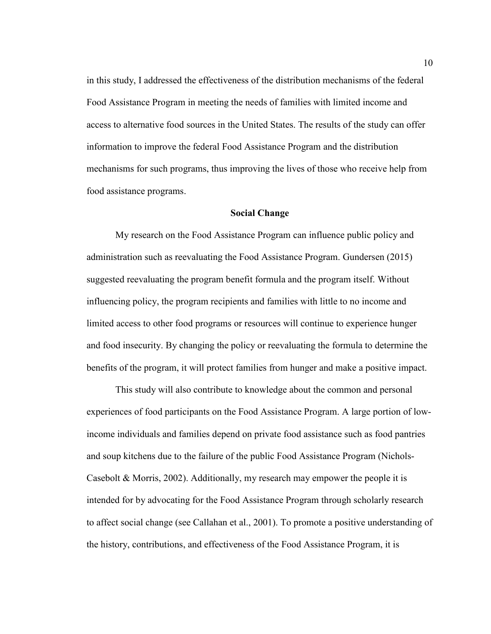in this study, I addressed the effectiveness of the distribution mechanisms of the federal Food Assistance Program in meeting the needs of families with limited income and access to alternative food sources in the United States. The results of the study can offer information to improve the federal Food Assistance Program and the distribution mechanisms for such programs, thus improving the lives of those who receive help from food assistance programs.

#### **Social Change**

My research on the Food Assistance Program can influence public policy and administration such as reevaluating the Food Assistance Program. Gundersen (2015) suggested reevaluating the program benefit formula and the program itself. Without influencing policy, the program recipients and families with little to no income and limited access to other food programs or resources will continue to experience hunger and food insecurity. By changing the policy or reevaluating the formula to determine the benefits of the program, it will protect families from hunger and make a positive impact.

This study will also contribute to knowledge about the common and personal experiences of food participants on the Food Assistance Program. A large portion of lowincome individuals and families depend on private food assistance such as food pantries and soup kitchens due to the failure of the public Food Assistance Program (Nichols-Casebolt & Morris, 2002). Additionally, my research may empower the people it is intended for by advocating for the Food Assistance Program through scholarly research to affect social change (see Callahan et al., 2001). To promote a positive understanding of the history, contributions, and effectiveness of the Food Assistance Program, it is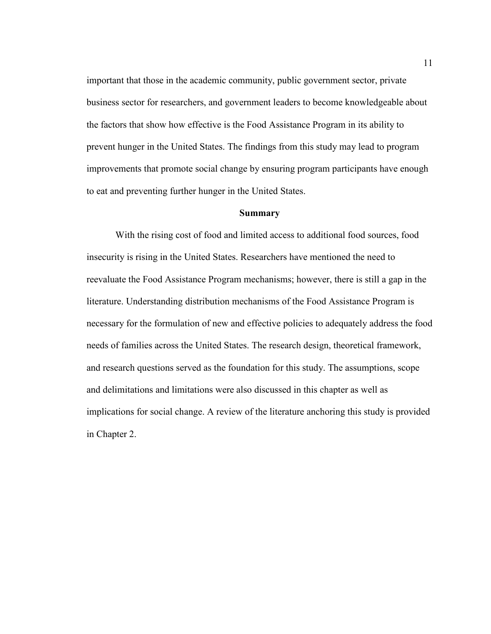important that those in the academic community, public government sector, private business sector for researchers, and government leaders to become knowledgeable about the factors that show how effective is the Food Assistance Program in its ability to prevent hunger in the United States. The findings from this study may lead to program improvements that promote social change by ensuring program participants have enough to eat and preventing further hunger in the United States.

#### **Summary**

With the rising cost of food and limited access to additional food sources, food insecurity is rising in the United States. Researchers have mentioned the need to reevaluate the Food Assistance Program mechanisms; however, there is still a gap in the literature. Understanding distribution mechanisms of the Food Assistance Program is necessary for the formulation of new and effective policies to adequately address the food needs of families across the United States. The research design, theoretical framework, and research questions served as the foundation for this study. The assumptions, scope and delimitations and limitations were also discussed in this chapter as well as implications for social change. A review of the literature anchoring this study is provided in Chapter 2.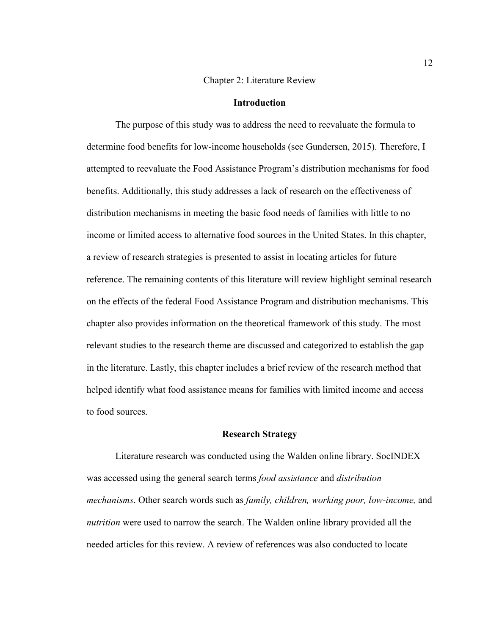#### Chapter 2: Literature Review

#### **Introduction**

The purpose of this study was to address the need to reevaluate the formula to determine food benefits for low-income households (see Gundersen, 2015). Therefore, I attempted to reevaluate the Food Assistance Program's distribution mechanisms for food benefits. Additionally, this study addresses a lack of research on the effectiveness of distribution mechanisms in meeting the basic food needs of families with little to no income or limited access to alternative food sources in the United States. In this chapter, a review of research strategies is presented to assist in locating articles for future reference. The remaining contents of this literature will review highlight seminal research on the effects of the federal Food Assistance Program and distribution mechanisms. This chapter also provides information on the theoretical framework of this study. The most relevant studies to the research theme are discussed and categorized to establish the gap in the literature. Lastly, this chapter includes a brief review of the research method that helped identify what food assistance means for families with limited income and access to food sources.

#### **Research Strategy**

Literature research was conducted using the Walden online library. SocINDEX was accessed using the general search terms *food assistance* and *distribution mechanisms*. Other search words such as *family, children, working poor, low-income,* and *nutrition* were used to narrow the search. The Walden online library provided all the needed articles for this review. A review of references was also conducted to locate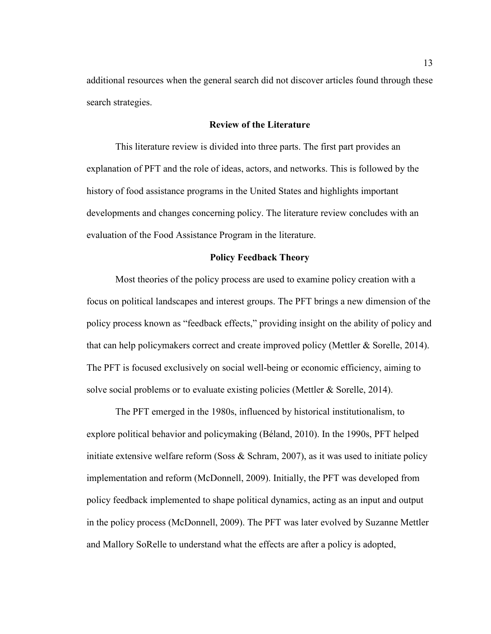additional resources when the general search did not discover articles found through these search strategies.

#### **Review of the Literature**

This literature review is divided into three parts. The first part provides an explanation of PFT and the role of ideas, actors, and networks. This is followed by the history of food assistance programs in the United States and highlights important developments and changes concerning policy. The literature review concludes with an evaluation of the Food Assistance Program in the literature.

#### **Policy Feedback Theory**

Most theories of the policy process are used to examine policy creation with a focus on political landscapes and interest groups. The PFT brings a new dimension of the policy process known as "feedback effects," providing insight on the ability of policy and that can help policymakers correct and create improved policy (Mettler & Sorelle, 2014). The PFT is focused exclusively on social well-being or economic efficiency, aiming to solve social problems or to evaluate existing policies (Mettler & Sorelle, 2014).

The PFT emerged in the 1980s, influenced by historical institutionalism, to explore political behavior and policymaking (Béland, 2010). In the 1990s, PFT helped initiate extensive welfare reform (Soss  $\&$  Schram, 2007), as it was used to initiate policy implementation and reform (McDonnell, 2009). Initially, the PFT was developed from policy feedback implemented to shape political dynamics, acting as an input and output in the policy process (McDonnell, 2009). The PFT was later evolved by Suzanne Mettler and Mallory SoRelle to understand what the effects are after a policy is adopted,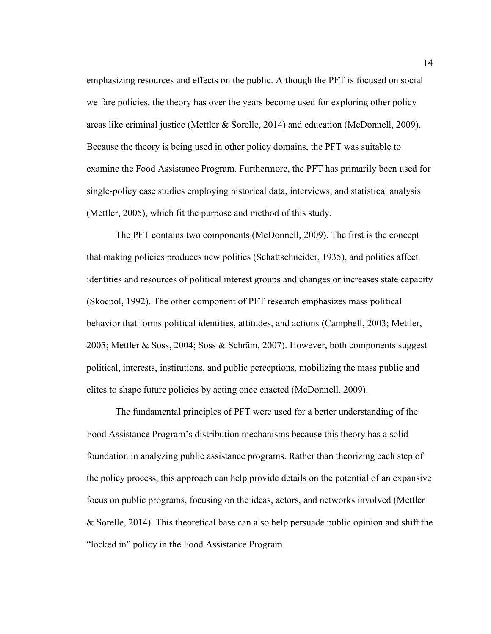emphasizing resources and effects on the public. Although the PFT is focused on social welfare policies, the theory has over the years become used for exploring other policy areas like criminal justice (Mettler & Sorelle, 2014) and education (McDonnell, 2009). Because the theory is being used in other policy domains, the PFT was suitable to examine the Food Assistance Program. Furthermore, the PFT has primarily been used for single-policy case studies employing historical data, interviews, and statistical analysis (Mettler, 2005), which fit the purpose and method of this study.

The PFT contains two components (McDonnell, 2009). The first is the concept that making policies produces new politics (Schattschneider, 1935), and politics affect identities and resources of political interest groups and changes or increases state capacity (Skocpol, 1992). The other component of PFT research emphasizes mass political behavior that forms political identities, attitudes, and actions (Campbell, 2003; Mettler, 2005; Mettler & Soss, 2004; Soss & Schräm, 2007). However, both components suggest political, interests, institutions, and public perceptions, mobilizing the mass public and elites to shape future policies by acting once enacted (McDonnell, 2009).

The fundamental principles of PFT were used for a better understanding of the Food Assistance Program's distribution mechanisms because this theory has a solid foundation in analyzing public assistance programs. Rather than theorizing each step of the policy process, this approach can help provide details on the potential of an expansive focus on public programs, focusing on the ideas, actors, and networks involved (Mettler & Sorelle, 2014). This theoretical base can also help persuade public opinion and shift the "locked in" policy in the Food Assistance Program.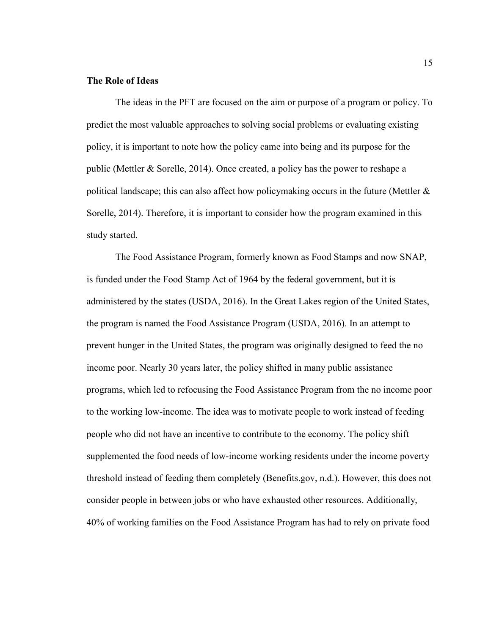#### **The Role of Ideas**

The ideas in the PFT are focused on the aim or purpose of a program or policy. To predict the most valuable approaches to solving social problems or evaluating existing policy, it is important to note how the policy came into being and its purpose for the public (Mettler & Sorelle, 2014). Once created, a policy has the power to reshape a political landscape; this can also affect how policymaking occurs in the future (Mettler & Sorelle, 2014). Therefore, it is important to consider how the program examined in this study started.

The Food Assistance Program, formerly known as Food Stamps and now SNAP, is funded under the Food Stamp Act of 1964 by the federal government, but it is administered by the states (USDA, 2016). In the Great Lakes region of the United States, the program is named the Food Assistance Program (USDA, 2016). In an attempt to prevent hunger in the United States, the program was originally designed to feed the no income poor. Nearly 30 years later, the policy shifted in many public assistance programs, which led to refocusing the Food Assistance Program from the no income poor to the working low-income. The idea was to motivate people to work instead of feeding people who did not have an incentive to contribute to the economy. The policy shift supplemented the food needs of low-income working residents under the income poverty threshold instead of feeding them completely (Benefits.gov, n.d.). However, this does not consider people in between jobs or who have exhausted other resources. Additionally, 40% of working families on the Food Assistance Program has had to rely on private food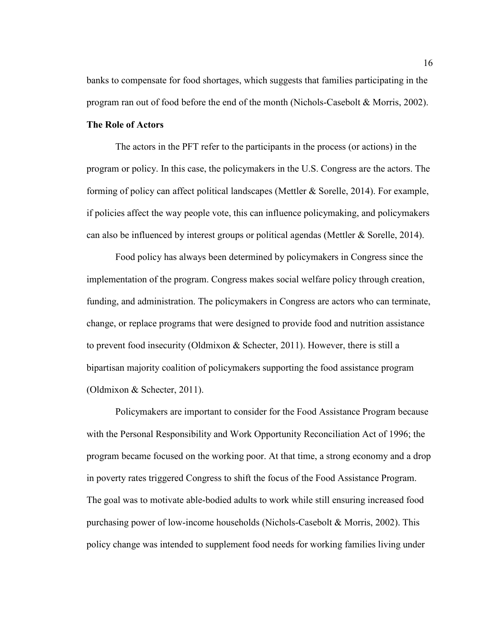banks to compensate for food shortages, which suggests that families participating in the program ran out of food before the end of the month (Nichols-Casebolt & Morris, 2002).

#### **The Role of Actors**

The actors in the PFT refer to the participants in the process (or actions) in the program or policy. In this case, the policymakers in the U.S. Congress are the actors. The forming of policy can affect political landscapes (Mettler & Sorelle, 2014). For example, if policies affect the way people vote, this can influence policymaking, and policymakers can also be influenced by interest groups or political agendas (Mettler & Sorelle, 2014).

Food policy has always been determined by policymakers in Congress since the implementation of the program. Congress makes social welfare policy through creation, funding, and administration. The policymakers in Congress are actors who can terminate, change, or replace programs that were designed to provide food and nutrition assistance to prevent food insecurity (Oldmixon & Schecter, 2011). However, there is still a bipartisan majority coalition of policymakers supporting the food assistance program (Oldmixon & Schecter, 2011).

Policymakers are important to consider for the Food Assistance Program because with the Personal Responsibility and Work Opportunity Reconciliation Act of 1996; the program became focused on the working poor. At that time, a strong economy and a drop in poverty rates triggered Congress to shift the focus of the Food Assistance Program. The goal was to motivate able-bodied adults to work while still ensuring increased food purchasing power of low-income households (Nichols-Casebolt & Morris, 2002). This policy change was intended to supplement food needs for working families living under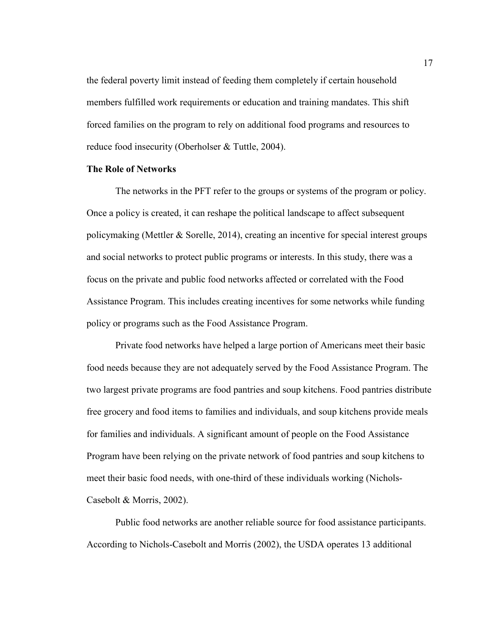the federal poverty limit instead of feeding them completely if certain household members fulfilled work requirements or education and training mandates. This shift forced families on the program to rely on additional food programs and resources to reduce food insecurity (Oberholser & Tuttle, 2004).

#### **The Role of Networks**

The networks in the PFT refer to the groups or systems of the program or policy. Once a policy is created, it can reshape the political landscape to affect subsequent policymaking (Mettler & Sorelle, 2014), creating an incentive for special interest groups and social networks to protect public programs or interests. In this study, there was a focus on the private and public food networks affected or correlated with the Food Assistance Program. This includes creating incentives for some networks while funding policy or programs such as the Food Assistance Program.

Private food networks have helped a large portion of Americans meet their basic food needs because they are not adequately served by the Food Assistance Program. The two largest private programs are food pantries and soup kitchens. Food pantries distribute free grocery and food items to families and individuals, and soup kitchens provide meals for families and individuals. A significant amount of people on the Food Assistance Program have been relying on the private network of food pantries and soup kitchens to meet their basic food needs, with one-third of these individuals working (Nichols-Casebolt & Morris, 2002).

Public food networks are another reliable source for food assistance participants. According to Nichols-Casebolt and Morris (2002), the USDA operates 13 additional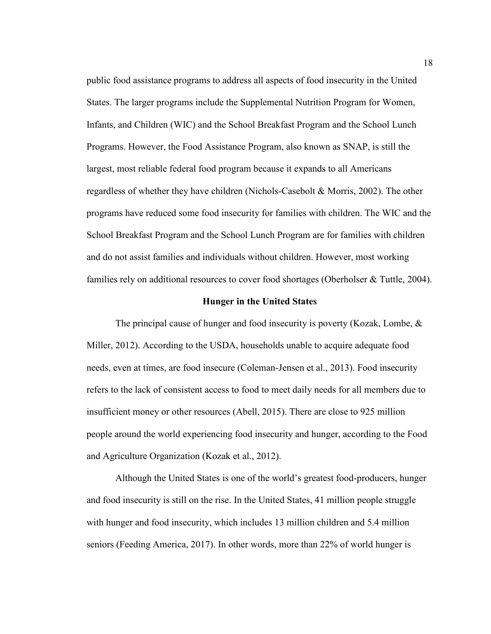public food assistance programs to address all aspects of food insecurity in the United States. The larger programs include the Supplemental Nutrition Program for Women, Infants, and Children (WIC) and the School Breakfast Program and the School Lunch Programs. However, the Food Assistance Program, also known as SNAP, is still the largest, most reliable federal food program because it expands to all Americans regardless of whether they have children (Nichols-Casebolt & Morris, 2002). The other programs have reduced some food insecurity for families with children. The WIC and the School Breakfast Program and the School Lunch Program are for families with children and do not assist families and individuals without children. However, most working families rely on additional resources to cover food shortages (Oberholser & Tuttle, 2004).

#### **Hunger in the United States**

The principal cause of hunger and food insecurity is poverty (Kozak, Lombe, & Miller, 2012). According to the USDA, households unable to acquire adequate food needs, even at times, are food insecure (Coleman-Jensen et al., 2013). Food insecurity refers to the lack of consistent access to food to meet daily needs for all members due to insufficient money or other resources (Abell, 2015). There are close to 925 million people around the world experiencing food insecurity and hunger, according to the Food and Agriculture Organization (Kozak et al., 2012).

Although the United States is one of the world's greatest food-producers, hunger and food insecurity is still on the rise. In the United States, 41 million people struggle with hunger and food insecurity, which includes 13 million children and 5.4 million seniors (Feeding America, 2017). In other words, more than 22% of world hunger is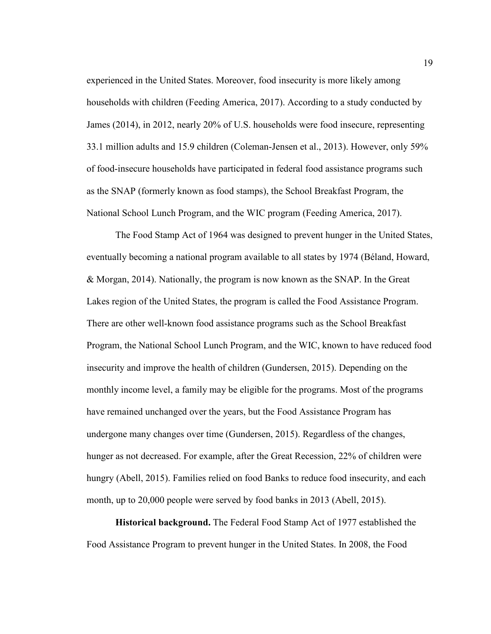experienced in the United States. Moreover, food insecurity is more likely among households with children (Feeding America, 2017). According to a study conducted by James (2014), in 2012, nearly 20% of U.S. households were food insecure, representing 33.1 million adults and 15.9 children (Coleman-Jensen et al., 2013). However, only 59% of food-insecure households have participated in federal food assistance programs such as the SNAP (formerly known as food stamps), the School Breakfast Program, the National School Lunch Program, and the WIC program (Feeding America, 2017).

The Food Stamp Act of 1964 was designed to prevent hunger in the United States, eventually becoming a national program available to all states by 1974 (Béland, Howard, & Morgan, 2014). Nationally, the program is now known as the SNAP. In the Great Lakes region of the United States, the program is called the Food Assistance Program. There are other well-known food assistance programs such as the School Breakfast Program, the National School Lunch Program, and the WIC, known to have reduced food insecurity and improve the health of children (Gundersen, 2015). Depending on the monthly income level, a family may be eligible for the programs. Most of the programs have remained unchanged over the years, but the Food Assistance Program has undergone many changes over time (Gundersen, 2015). Regardless of the changes, hunger as not decreased. For example, after the Great Recession, 22% of children were hungry (Abell, 2015). Families relied on food Banks to reduce food insecurity, and each month, up to 20,000 people were served by food banks in 2013 (Abell, 2015).

**Historical background.** The Federal Food Stamp Act of 1977 established the Food Assistance Program to prevent hunger in the United States. In 2008, the Food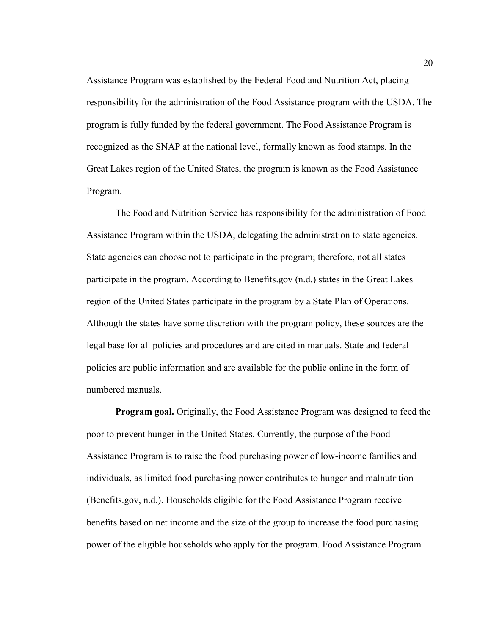Assistance Program was established by the Federal Food and Nutrition Act, placing responsibility for the administration of the Food Assistance program with the USDA. The program is fully funded by the federal government. The Food Assistance Program is recognized as the SNAP at the national level, formally known as food stamps. In the Great Lakes region of the United States, the program is known as the Food Assistance Program.

The Food and Nutrition Service has responsibility for the administration of Food Assistance Program within the USDA, delegating the administration to state agencies. State agencies can choose not to participate in the program; therefore, not all states participate in the program. According to Benefits.gov (n.d.) states in the Great Lakes region of the United States participate in the program by a State Plan of Operations. Although the states have some discretion with the program policy, these sources are the legal base for all policies and procedures and are cited in manuals. State and federal policies are public information and are available for the public online in the form of numbered manuals.

**Program goal.** Originally, the Food Assistance Program was designed to feed the poor to prevent hunger in the United States. Currently, the purpose of the Food Assistance Program is to raise the food purchasing power of low-income families and individuals, as limited food purchasing power contributes to hunger and malnutrition (Benefits.gov, n.d.). Households eligible for the Food Assistance Program receive benefits based on net income and the size of the group to increase the food purchasing power of the eligible households who apply for the program. Food Assistance Program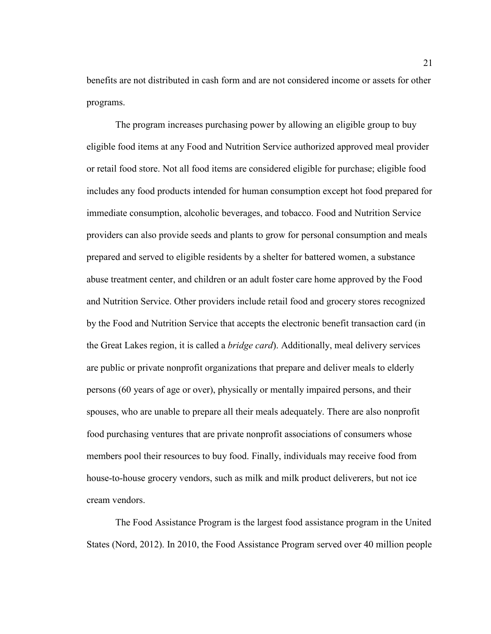benefits are not distributed in cash form and are not considered income or assets for other programs.

The program increases purchasing power by allowing an eligible group to buy eligible food items at any Food and Nutrition Service authorized approved meal provider or retail food store. Not all food items are considered eligible for purchase; eligible food includes any food products intended for human consumption except hot food prepared for immediate consumption, alcoholic beverages, and tobacco. Food and Nutrition Service providers can also provide seeds and plants to grow for personal consumption and meals prepared and served to eligible residents by a shelter for battered women, a substance abuse treatment center, and children or an adult foster care home approved by the Food and Nutrition Service. Other providers include retail food and grocery stores recognized by the Food and Nutrition Service that accepts the electronic benefit transaction card (in the Great Lakes region, it is called a *bridge card*). Additionally, meal delivery services are public or private nonprofit organizations that prepare and deliver meals to elderly persons (60 years of age or over), physically or mentally impaired persons, and their spouses, who are unable to prepare all their meals adequately. There are also nonprofit food purchasing ventures that are private nonprofit associations of consumers whose members pool their resources to buy food. Finally, individuals may receive food from house-to-house grocery vendors, such as milk and milk product deliverers, but not ice cream vendors.

The Food Assistance Program is the largest food assistance program in the United States (Nord, 2012). In 2010, the Food Assistance Program served over 40 million people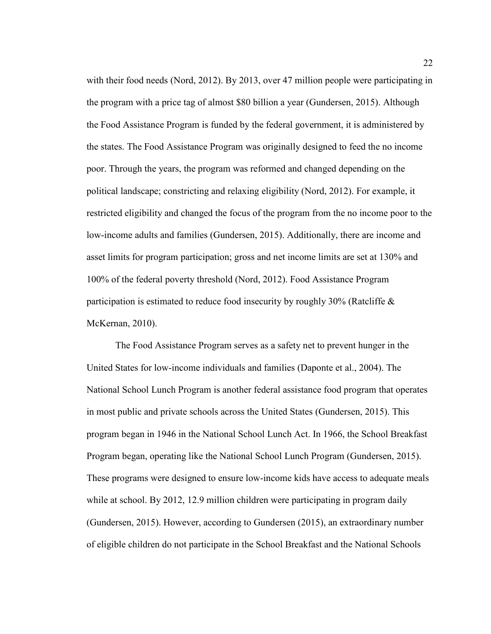with their food needs (Nord, 2012). By 2013, over 47 million people were participating in the program with a price tag of almost \$80 billion a year (Gundersen, 2015). Although the Food Assistance Program is funded by the federal government, it is administered by the states. The Food Assistance Program was originally designed to feed the no income poor. Through the years, the program was reformed and changed depending on the political landscape; constricting and relaxing eligibility (Nord, 2012). For example, it restricted eligibility and changed the focus of the program from the no income poor to the low-income adults and families (Gundersen, 2015). Additionally, there are income and asset limits for program participation; gross and net income limits are set at 130% and 100% of the federal poverty threshold (Nord, 2012). Food Assistance Program participation is estimated to reduce food insecurity by roughly 30% (Ratcliffe & McKernan, 2010).

The Food Assistance Program serves as a safety net to prevent hunger in the United States for low-income individuals and families (Daponte et al., 2004). The National School Lunch Program is another federal assistance food program that operates in most public and private schools across the United States (Gundersen, 2015). This program began in 1946 in the National School Lunch Act. In 1966, the School Breakfast Program began, operating like the National School Lunch Program (Gundersen, 2015). These programs were designed to ensure low-income kids have access to adequate meals while at school. By 2012, 12.9 million children were participating in program daily (Gundersen, 2015). However, according to Gundersen (2015), an extraordinary number of eligible children do not participate in the School Breakfast and the National Schools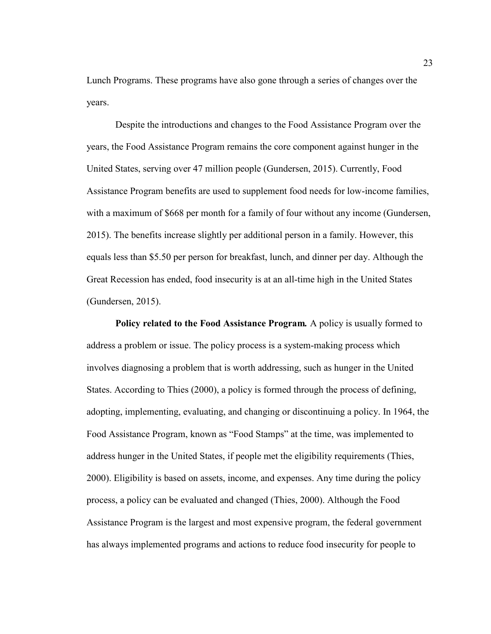Lunch Programs. These programs have also gone through a series of changes over the years.

Despite the introductions and changes to the Food Assistance Program over the years, the Food Assistance Program remains the core component against hunger in the United States, serving over 47 million people (Gundersen, 2015). Currently, Food Assistance Program benefits are used to supplement food needs for low-income families, with a maximum of \$668 per month for a family of four without any income (Gundersen, 2015). The benefits increase slightly per additional person in a family. However, this equals less than \$5.50 per person for breakfast, lunch, and dinner per day. Although the Great Recession has ended, food insecurity is at an all-time high in the United States (Gundersen, 2015).

**Policy related to the Food Assistance Program***.* A policy is usually formed to address a problem or issue. The policy process is a system-making process which involves diagnosing a problem that is worth addressing, such as hunger in the United States. According to Thies (2000), a policy is formed through the process of defining, adopting, implementing, evaluating, and changing or discontinuing a policy. In 1964, the Food Assistance Program, known as "Food Stamps" at the time, was implemented to address hunger in the United States, if people met the eligibility requirements (Thies, 2000). Eligibility is based on assets, income, and expenses. Any time during the policy process, a policy can be evaluated and changed (Thies, 2000). Although the Food Assistance Program is the largest and most expensive program, the federal government has always implemented programs and actions to reduce food insecurity for people to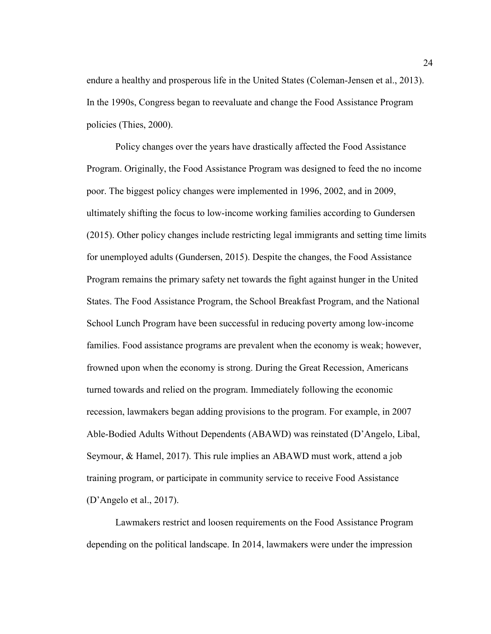endure a healthy and prosperous life in the United States (Coleman-Jensen et al., 2013). In the 1990s, Congress began to reevaluate and change the Food Assistance Program policies (Thies, 2000).

Policy changes over the years have drastically affected the Food Assistance Program. Originally, the Food Assistance Program was designed to feed the no income poor. The biggest policy changes were implemented in 1996, 2002, and in 2009, ultimately shifting the focus to low-income working families according to Gundersen (2015). Other policy changes include restricting legal immigrants and setting time limits for unemployed adults (Gundersen, 2015). Despite the changes, the Food Assistance Program remains the primary safety net towards the fight against hunger in the United States. The Food Assistance Program, the School Breakfast Program, and the National School Lunch Program have been successful in reducing poverty among low-income families. Food assistance programs are prevalent when the economy is weak; however, frowned upon when the economy is strong. During the Great Recession, Americans turned towards and relied on the program. Immediately following the economic recession, lawmakers began adding provisions to the program. For example, in 2007 Able-Bodied Adults Without Dependents (ABAWD) was reinstated (D'Angelo, Libal, Seymour, & Hamel, 2017). This rule implies an ABAWD must work, attend a job training program, or participate in community service to receive Food Assistance (D'Angelo et al., 2017).

Lawmakers restrict and loosen requirements on the Food Assistance Program depending on the political landscape. In 2014, lawmakers were under the impression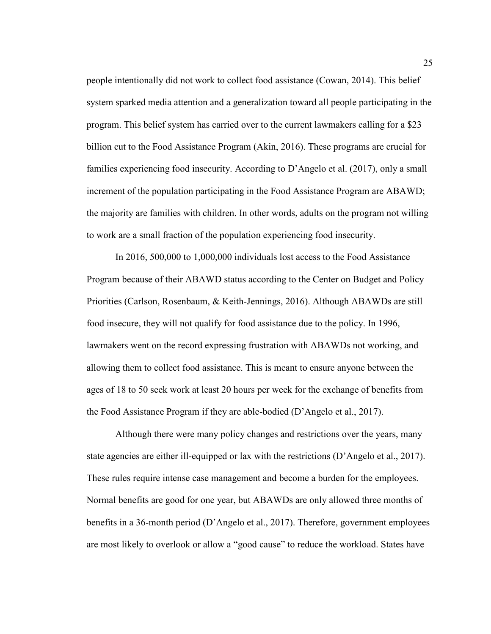people intentionally did not work to collect food assistance (Cowan, 2014). This belief system sparked media attention and a generalization toward all people participating in the program. This belief system has carried over to the current lawmakers calling for a \$23 billion cut to the Food Assistance Program (Akin, 2016). These programs are crucial for families experiencing food insecurity. According to D'Angelo et al. (2017), only a small increment of the population participating in the Food Assistance Program are ABAWD; the majority are families with children. In other words, adults on the program not willing to work are a small fraction of the population experiencing food insecurity.

In 2016, 500,000 to 1,000,000 individuals lost access to the Food Assistance Program because of their ABAWD status according to the Center on Budget and Policy Priorities (Carlson, Rosenbaum, & Keith-Jennings, 2016). Although ABAWDs are still food insecure, they will not qualify for food assistance due to the policy. In 1996, lawmakers went on the record expressing frustration with ABAWDs not working, and allowing them to collect food assistance. This is meant to ensure anyone between the ages of 18 to 50 seek work at least 20 hours per week for the exchange of benefits from the Food Assistance Program if they are able-bodied (D'Angelo et al., 2017).

Although there were many policy changes and restrictions over the years, many state agencies are either ill-equipped or lax with the restrictions (D'Angelo et al., 2017). These rules require intense case management and become a burden for the employees. Normal benefits are good for one year, but ABAWDs are only allowed three months of benefits in a 36-month period (D'Angelo et al., 2017). Therefore, government employees are most likely to overlook or allow a "good cause" to reduce the workload. States have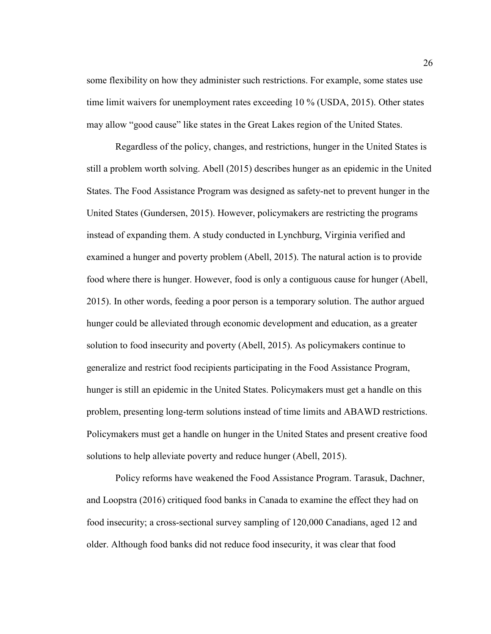some flexibility on how they administer such restrictions. For example, some states use time limit waivers for unemployment rates exceeding 10 % (USDA, 2015). Other states may allow "good cause" like states in the Great Lakes region of the United States.

Regardless of the policy, changes, and restrictions, hunger in the United States is still a problem worth solving. Abell (2015) describes hunger as an epidemic in the United States. The Food Assistance Program was designed as safety-net to prevent hunger in the United States (Gundersen, 2015). However, policymakers are restricting the programs instead of expanding them. A study conducted in Lynchburg, Virginia verified and examined a hunger and poverty problem (Abell, 2015). The natural action is to provide food where there is hunger. However, food is only a contiguous cause for hunger (Abell, 2015). In other words, feeding a poor person is a temporary solution. The author argued hunger could be alleviated through economic development and education, as a greater solution to food insecurity and poverty (Abell, 2015). As policymakers continue to generalize and restrict food recipients participating in the Food Assistance Program, hunger is still an epidemic in the United States. Policymakers must get a handle on this problem, presenting long-term solutions instead of time limits and ABAWD restrictions. Policymakers must get a handle on hunger in the United States and present creative food solutions to help alleviate poverty and reduce hunger (Abell, 2015).

Policy reforms have weakened the Food Assistance Program. Tarasuk, Dachner, and Loopstra (2016) critiqued food banks in Canada to examine the effect they had on food insecurity; a cross-sectional survey sampling of 120,000 Canadians, aged 12 and older. Although food banks did not reduce food insecurity, it was clear that food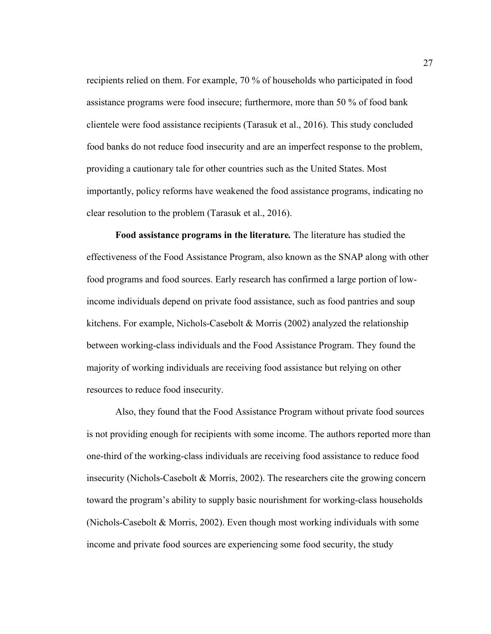recipients relied on them. For example, 70 % of households who participated in food assistance programs were food insecure; furthermore, more than 50 % of food bank clientele were food assistance recipients (Tarasuk et al., 2016). This study concluded food banks do not reduce food insecurity and are an imperfect response to the problem, providing a cautionary tale for other countries such as the United States. Most importantly, policy reforms have weakened the food assistance programs, indicating no clear resolution to the problem (Tarasuk et al., 2016).

**Food assistance programs in the literature***.* The literature has studied the effectiveness of the Food Assistance Program, also known as the SNAP along with other food programs and food sources. Early research has confirmed a large portion of lowincome individuals depend on private food assistance, such as food pantries and soup kitchens. For example, Nichols-Casebolt  $\&$  Morris (2002) analyzed the relationship between working-class individuals and the Food Assistance Program. They found the majority of working individuals are receiving food assistance but relying on other resources to reduce food insecurity.

Also, they found that the Food Assistance Program without private food sources is not providing enough for recipients with some income. The authors reported more than one-third of the working-class individuals are receiving food assistance to reduce food insecurity (Nichols-Casebolt & Morris, 2002). The researchers cite the growing concern toward the program's ability to supply basic nourishment for working-class households (Nichols-Casebolt & Morris, 2002). Even though most working individuals with some income and private food sources are experiencing some food security, the study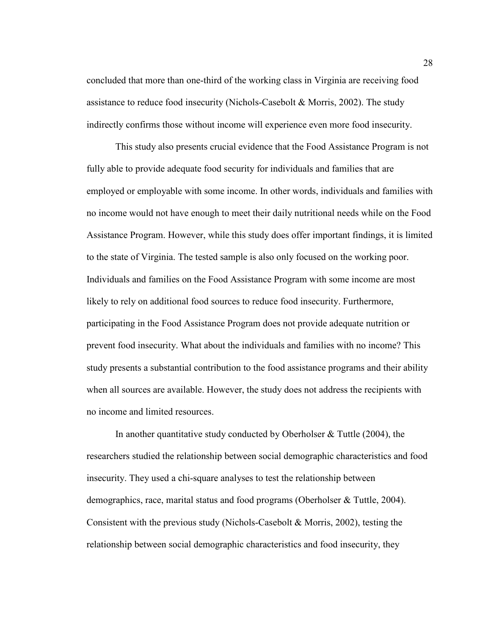concluded that more than one-third of the working class in Virginia are receiving food assistance to reduce food insecurity (Nichols-Casebolt & Morris, 2002). The study indirectly confirms those without income will experience even more food insecurity.

This study also presents crucial evidence that the Food Assistance Program is not fully able to provide adequate food security for individuals and families that are employed or employable with some income. In other words, individuals and families with no income would not have enough to meet their daily nutritional needs while on the Food Assistance Program. However, while this study does offer important findings, it is limited to the state of Virginia. The tested sample is also only focused on the working poor. Individuals and families on the Food Assistance Program with some income are most likely to rely on additional food sources to reduce food insecurity. Furthermore, participating in the Food Assistance Program does not provide adequate nutrition or prevent food insecurity. What about the individuals and families with no income? This study presents a substantial contribution to the food assistance programs and their ability when all sources are available. However, the study does not address the recipients with no income and limited resources.

In another quantitative study conducted by Oberholser  $&$  Tuttle (2004), the researchers studied the relationship between social demographic characteristics and food insecurity. They used a chi-square analyses to test the relationship between demographics, race, marital status and food programs (Oberholser & Tuttle, 2004). Consistent with the previous study (Nichols-Casebolt & Morris, 2002), testing the relationship between social demographic characteristics and food insecurity, they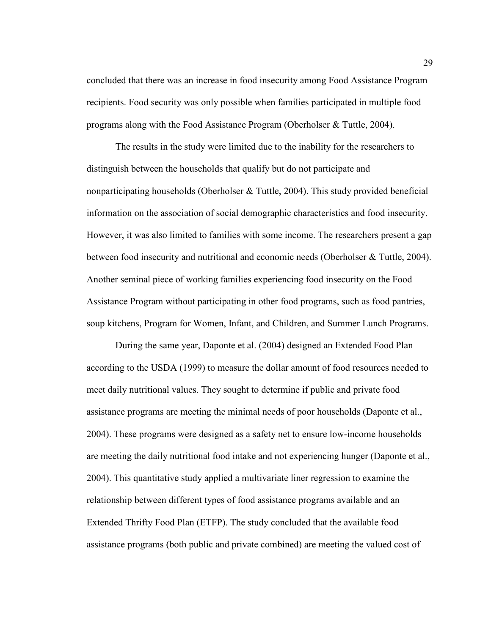concluded that there was an increase in food insecurity among Food Assistance Program recipients. Food security was only possible when families participated in multiple food programs along with the Food Assistance Program (Oberholser  $\&$  Tuttle, 2004).

The results in the study were limited due to the inability for the researchers to distinguish between the households that qualify but do not participate and nonparticipating households (Oberholser & Tuttle, 2004). This study provided beneficial information on the association of social demographic characteristics and food insecurity. However, it was also limited to families with some income. The researchers present a gap between food insecurity and nutritional and economic needs (Oberholser & Tuttle, 2004). Another seminal piece of working families experiencing food insecurity on the Food Assistance Program without participating in other food programs, such as food pantries, soup kitchens, Program for Women, Infant, and Children, and Summer Lunch Programs.

During the same year, Daponte et al. (2004) designed an Extended Food Plan according to the USDA (1999) to measure the dollar amount of food resources needed to meet daily nutritional values. They sought to determine if public and private food assistance programs are meeting the minimal needs of poor households (Daponte et al., 2004). These programs were designed as a safety net to ensure low-income households are meeting the daily nutritional food intake and not experiencing hunger (Daponte et al., 2004). This quantitative study applied a multivariate liner regression to examine the relationship between different types of food assistance programs available and an Extended Thrifty Food Plan (ETFP). The study concluded that the available food assistance programs (both public and private combined) are meeting the valued cost of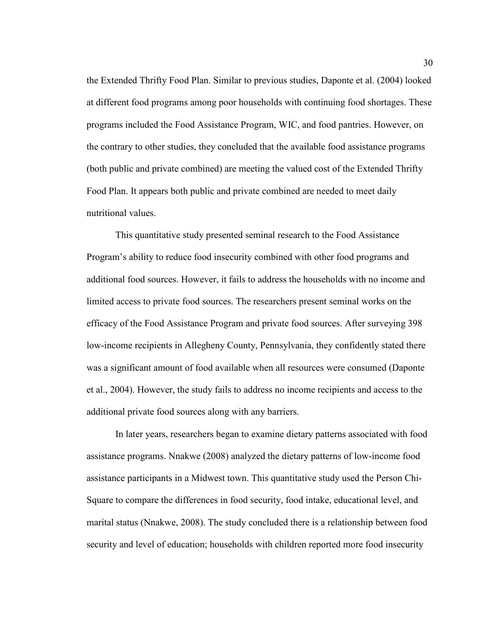the Extended Thrifty Food Plan. Similar to previous studies, Daponte et al. (2004) looked at different food programs among poor households with continuing food shortages. These programs included the Food Assistance Program, WIC, and food pantries. However, on the contrary to other studies, they concluded that the available food assistance programs (both public and private combined) are meeting the valued cost of the Extended Thrifty Food Plan. It appears both public and private combined are needed to meet daily nutritional values.

This quantitative study presented seminal research to the Food Assistance Program's ability to reduce food insecurity combined with other food programs and additional food sources. However, it fails to address the households with no income and limited access to private food sources. The researchers present seminal works on the efficacy of the Food Assistance Program and private food sources. After surveying 398 low-income recipients in Allegheny County, Pennsylvania, they confidently stated there was a significant amount of food available when all resources were consumed (Daponte et al., 2004). However, the study fails to address no income recipients and access to the additional private food sources along with any barriers.

In later years, researchers began to examine dietary patterns associated with food assistance programs. Nnakwe (2008) analyzed the dietary patterns of low-income food assistance participants in a Midwest town. This quantitative study used the Person Chi-Square to compare the differences in food security, food intake, educational level, and marital status (Nnakwe, 2008). The study concluded there is a relationship between food security and level of education; households with children reported more food insecurity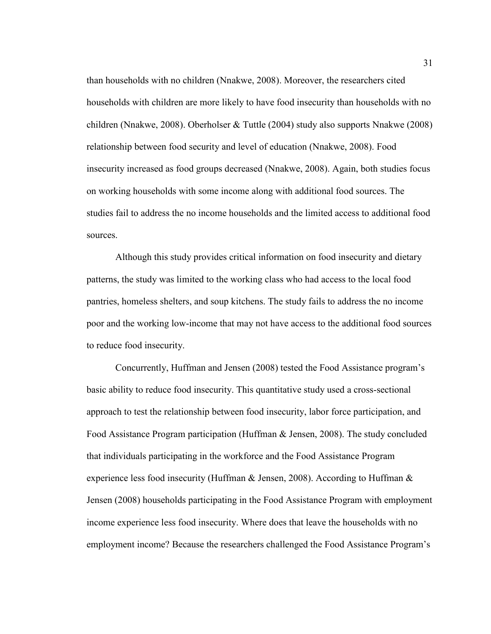than households with no children (Nnakwe, 2008). Moreover, the researchers cited households with children are more likely to have food insecurity than households with no children (Nnakwe, 2008). Oberholser & Tuttle (2004) study also supports Nnakwe (2008) relationship between food security and level of education (Nnakwe, 2008). Food insecurity increased as food groups decreased (Nnakwe, 2008). Again, both studies focus on working households with some income along with additional food sources. The studies fail to address the no income households and the limited access to additional food sources.

Although this study provides critical information on food insecurity and dietary patterns, the study was limited to the working class who had access to the local food pantries, homeless shelters, and soup kitchens. The study fails to address the no income poor and the working low-income that may not have access to the additional food sources to reduce food insecurity.

Concurrently, Huffman and Jensen (2008) tested the Food Assistance program's basic ability to reduce food insecurity. This quantitative study used a cross-sectional approach to test the relationship between food insecurity, labor force participation, and Food Assistance Program participation (Huffman & Jensen, 2008). The study concluded that individuals participating in the workforce and the Food Assistance Program experience less food insecurity (Huffman & Jensen, 2008). According to Huffman & Jensen (2008) households participating in the Food Assistance Program with employment income experience less food insecurity. Where does that leave the households with no employment income? Because the researchers challenged the Food Assistance Program's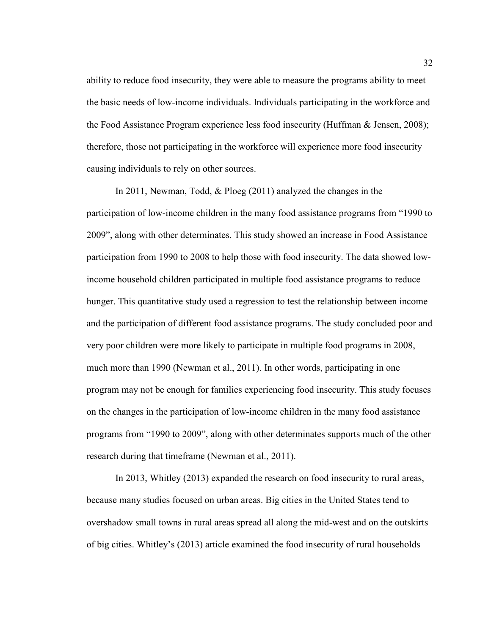ability to reduce food insecurity, they were able to measure the programs ability to meet the basic needs of low-income individuals. Individuals participating in the workforce and the Food Assistance Program experience less food insecurity (Huffman & Jensen, 2008); therefore, those not participating in the workforce will experience more food insecurity causing individuals to rely on other sources.

In 2011, Newman, Todd, & Ploeg (2011) analyzed the changes in the participation of low-income children in the many food assistance programs from "1990 to 2009", along with other determinates. This study showed an increase in Food Assistance participation from 1990 to 2008 to help those with food insecurity. The data showed lowincome household children participated in multiple food assistance programs to reduce hunger. This quantitative study used a regression to test the relationship between income and the participation of different food assistance programs. The study concluded poor and very poor children were more likely to participate in multiple food programs in 2008, much more than 1990 (Newman et al., 2011). In other words, participating in one program may not be enough for families experiencing food insecurity. This study focuses on the changes in the participation of low-income children in the many food assistance programs from "1990 to 2009", along with other determinates supports much of the other research during that timeframe (Newman et al., 2011).

In 2013, Whitley (2013) expanded the research on food insecurity to rural areas, because many studies focused on urban areas. Big cities in the United States tend to overshadow small towns in rural areas spread all along the mid-west and on the outskirts of big cities. Whitley's (2013) article examined the food insecurity of rural households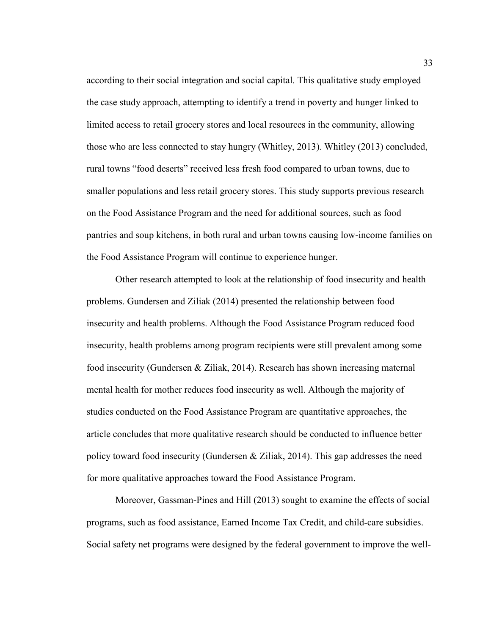according to their social integration and social capital. This qualitative study employed the case study approach, attempting to identify a trend in poverty and hunger linked to limited access to retail grocery stores and local resources in the community, allowing those who are less connected to stay hungry (Whitley, 2013). Whitley (2013) concluded, rural towns "food deserts" received less fresh food compared to urban towns, due to smaller populations and less retail grocery stores. This study supports previous research on the Food Assistance Program and the need for additional sources, such as food pantries and soup kitchens, in both rural and urban towns causing low-income families on the Food Assistance Program will continue to experience hunger.

Other research attempted to look at the relationship of food insecurity and health problems. Gundersen and Ziliak (2014) presented the relationship between food insecurity and health problems. Although the Food Assistance Program reduced food insecurity, health problems among program recipients were still prevalent among some food insecurity (Gundersen & Ziliak, 2014). Research has shown increasing maternal mental health for mother reduces food insecurity as well. Although the majority of studies conducted on the Food Assistance Program are quantitative approaches, the article concludes that more qualitative research should be conducted to influence better policy toward food insecurity (Gundersen & Ziliak, 2014). This gap addresses the need for more qualitative approaches toward the Food Assistance Program.

Moreover, Gassman-Pines and Hill (2013) sought to examine the effects of social programs, such as food assistance, Earned Income Tax Credit, and child-care subsidies. Social safety net programs were designed by the federal government to improve the well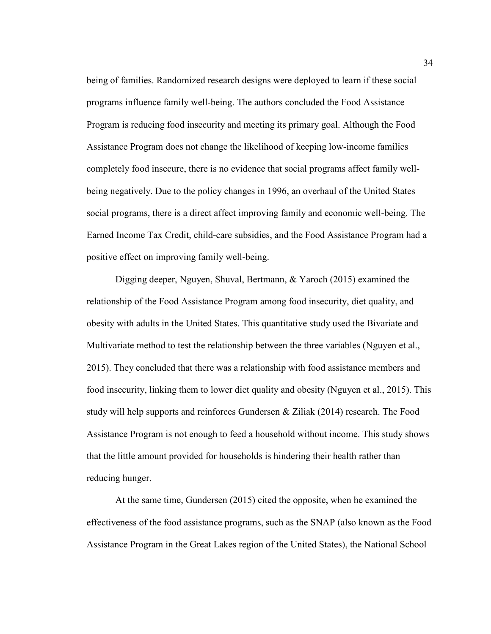being of families. Randomized research designs were deployed to learn if these social programs influence family well-being. The authors concluded the Food Assistance Program is reducing food insecurity and meeting its primary goal. Although the Food Assistance Program does not change the likelihood of keeping low-income families completely food insecure, there is no evidence that social programs affect family wellbeing negatively. Due to the policy changes in 1996, an overhaul of the United States social programs, there is a direct affect improving family and economic well-being. The Earned Income Tax Credit, child-care subsidies, and the Food Assistance Program had a positive effect on improving family well-being.

Digging deeper, Nguyen, Shuval, Bertmann, & Yaroch (2015) examined the relationship of the Food Assistance Program among food insecurity, diet quality, and obesity with adults in the United States. This quantitative study used the Bivariate and Multivariate method to test the relationship between the three variables (Nguyen et al., 2015). They concluded that there was a relationship with food assistance members and food insecurity, linking them to lower diet quality and obesity (Nguyen et al., 2015). This study will help supports and reinforces Gundersen & Ziliak (2014) research. The Food Assistance Program is not enough to feed a household without income. This study shows that the little amount provided for households is hindering their health rather than reducing hunger.

At the same time, Gundersen (2015) cited the opposite, when he examined the effectiveness of the food assistance programs, such as the SNAP (also known as the Food Assistance Program in the Great Lakes region of the United States), the National School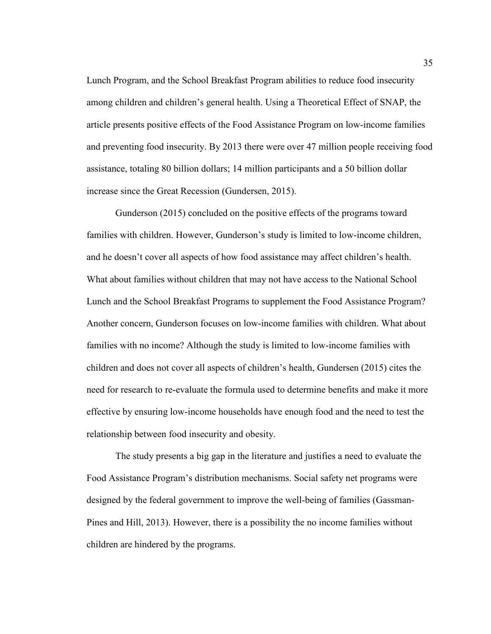Lunch Program, and the School Breakfast Program abilities to reduce food insecurity among children and children's general health. Using a Theoretical Effect of SNAP, the article presents positive effects of the Food Assistance Program on low-income families and preventing food insecurity. By 2013 there were over 47 million people receiving food assistance, totaling 80 billion dollars; 14 million participants and a 50 billion dollar increase since the Great Recession (Gundersen, 2015).

Gunderson (2015) concluded on the positive effects of the programs toward families with children. However, Gunderson's study is limited to low-income children, and he doesn't cover all aspects of how food assistance may affect children's health. What about families without children that may not have access to the National School Lunch and the School Breakfast Programs to supplement the Food Assistance Program? Another concern, Gunderson focuses on low-income families with children. What about families with no income? Although the study is limited to low-income families with children and does not cover all aspects of children's health, Gundersen (2015) cites the need for research to re-evaluate the formula used to determine benefits and make it more effective by ensuring low-income households have enough food and the need to test the relationship between food insecurity and obesity.

The study presents a big gap in the literature and justifies a need to evaluate the Food Assistance Program's distribution mechanisms. Social safety net programs were designed by the federal government to improve the well-being of families (Gassman-Pines and Hill, 2013). However, there is a possibility the no income families without children are hindered by the programs.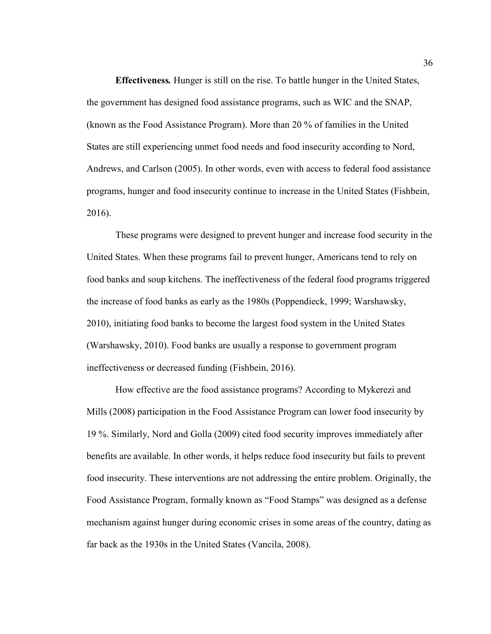**Effectiveness***.* Hunger is still on the rise. To battle hunger in the United States, the government has designed food assistance programs, such as WIC and the SNAP, (known as the Food Assistance Program). More than 20 % of families in the United States are still experiencing unmet food needs and food insecurity according to Nord, Andrews, and Carlson (2005). In other words, even with access to federal food assistance programs, hunger and food insecurity continue to increase in the United States (Fishbein, 2016).

These programs were designed to prevent hunger and increase food security in the United States. When these programs fail to prevent hunger, Americans tend to rely on food banks and soup kitchens. The ineffectiveness of the federal food programs triggered the increase of food banks as early as the 1980s (Poppendieck, 1999; Warshawsky, 2010), initiating food banks to become the largest food system in the United States (Warshawsky, 2010). Food banks are usually a response to government program ineffectiveness or decreased funding (Fishbein, 2016).

How effective are the food assistance programs? According to Mykerezi and Mills (2008) participation in the Food Assistance Program can lower food insecurity by 19 %. Similarly, Nord and Golla (2009) cited food security improves immediately after benefits are available. In other words, it helps reduce food insecurity but fails to prevent food insecurity. These interventions are not addressing the entire problem. Originally, the Food Assistance Program, formally known as "Food Stamps" was designed as a defense mechanism against hunger during economic crises in some areas of the country, dating as far back as the 1930s in the United States (Vancila, 2008).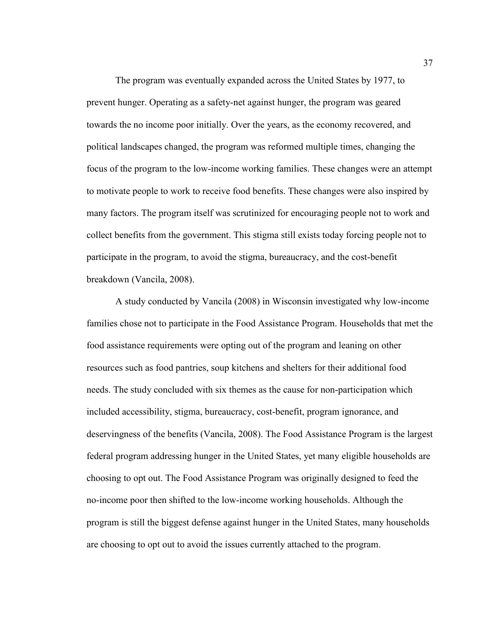The program was eventually expanded across the United States by 1977, to prevent hunger. Operating as a safety-net against hunger, the program was geared towards the no income poor initially. Over the years, as the economy recovered, and political landscapes changed, the program was reformed multiple times, changing the focus of the program to the low-income working families. These changes were an attempt to motivate people to work to receive food benefits. These changes were also inspired by many factors. The program itself was scrutinized for encouraging people not to work and collect benefits from the government. This stigma still exists today forcing people not to participate in the program, to avoid the stigma, bureaucracy, and the cost-benefit breakdown (Vancila, 2008).

A study conducted by Vancila (2008) in Wisconsin investigated why low-income families chose not to participate in the Food Assistance Program. Households that met the food assistance requirements were opting out of the program and leaning on other resources such as food pantries, soup kitchens and shelters for their additional food needs. The study concluded with six themes as the cause for non-participation which included accessibility, stigma, bureaucracy, cost-benefit, program ignorance, and deservingness of the benefits (Vancila, 2008). The Food Assistance Program is the largest federal program addressing hunger in the United States, yet many eligible households are choosing to opt out. The Food Assistance Program was originally designed to feed the no-income poor then shifted to the low-income working households. Although the program is still the biggest defense against hunger in the United States, many households are choosing to opt out to avoid the issues currently attached to the program.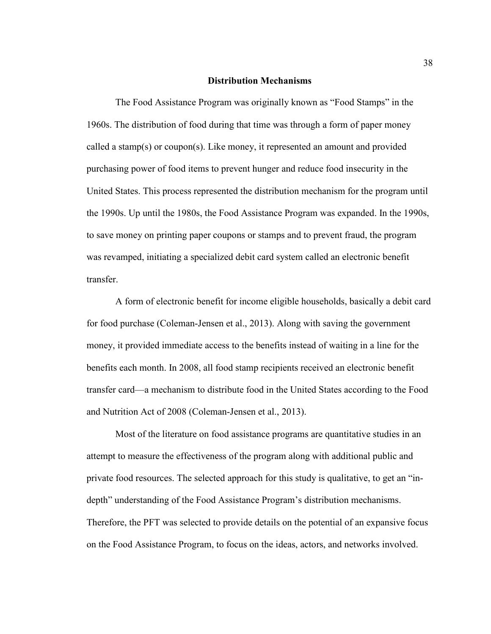#### **Distribution Mechanisms**

The Food Assistance Program was originally known as "Food Stamps" in the 1960s. The distribution of food during that time was through a form of paper money called a stamp(s) or coupon(s). Like money, it represented an amount and provided purchasing power of food items to prevent hunger and reduce food insecurity in the United States. This process represented the distribution mechanism for the program until the 1990s. Up until the 1980s, the Food Assistance Program was expanded. In the 1990s, to save money on printing paper coupons or stamps and to prevent fraud, the program was revamped, initiating a specialized debit card system called an electronic benefit transfer.

A form of electronic benefit for income eligible households, basically a debit card for food purchase (Coleman-Jensen et al., 2013). Along with saving the government money, it provided immediate access to the benefits instead of waiting in a line for the benefits each month. In 2008, all food stamp recipients received an electronic benefit transfer card—a mechanism to distribute food in the United States according to the Food and Nutrition Act of 2008 (Coleman-Jensen et al., 2013).

Most of the literature on food assistance programs are quantitative studies in an attempt to measure the effectiveness of the program along with additional public and private food resources. The selected approach for this study is qualitative, to get an "indepth" understanding of the Food Assistance Program's distribution mechanisms. Therefore, the PFT was selected to provide details on the potential of an expansive focus on the Food Assistance Program, to focus on the ideas, actors, and networks involved.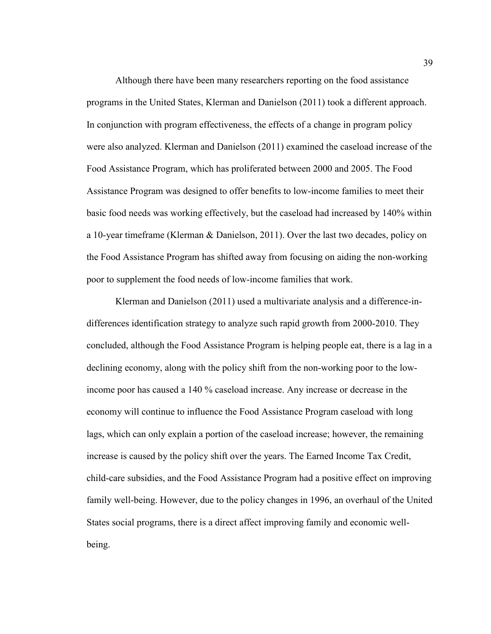Although there have been many researchers reporting on the food assistance programs in the United States, Klerman and Danielson (2011) took a different approach. In conjunction with program effectiveness, the effects of a change in program policy were also analyzed. Klerman and Danielson (2011) examined the caseload increase of the Food Assistance Program, which has proliferated between 2000 and 2005. The Food Assistance Program was designed to offer benefits to low-income families to meet their basic food needs was working effectively, but the caseload had increased by 140% within a 10-year timeframe (Klerman & Danielson, 2011). Over the last two decades, policy on the Food Assistance Program has shifted away from focusing on aiding the non-working poor to supplement the food needs of low-income families that work.

Klerman and Danielson (2011) used a multivariate analysis and a difference-indifferences identification strategy to analyze such rapid growth from 2000-2010. They concluded, although the Food Assistance Program is helping people eat, there is a lag in a declining economy, along with the policy shift from the non-working poor to the lowincome poor has caused a 140 % caseload increase. Any increase or decrease in the economy will continue to influence the Food Assistance Program caseload with long lags, which can only explain a portion of the caseload increase; however, the remaining increase is caused by the policy shift over the years. The Earned Income Tax Credit, child-care subsidies, and the Food Assistance Program had a positive effect on improving family well-being. However, due to the policy changes in 1996, an overhaul of the United States social programs, there is a direct affect improving family and economic wellbeing.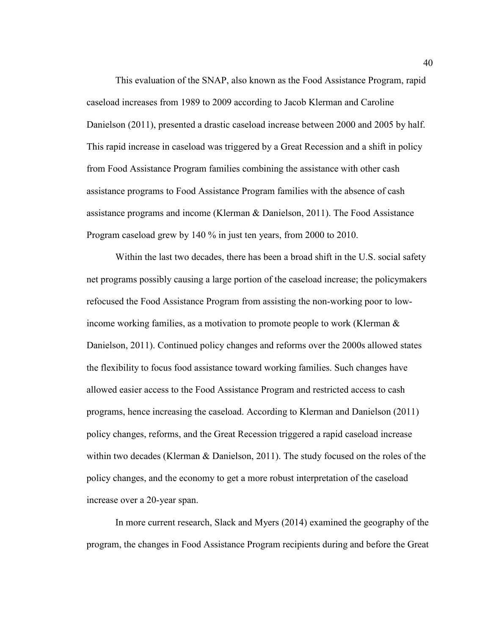This evaluation of the SNAP, also known as the Food Assistance Program, rapid caseload increases from 1989 to 2009 according to Jacob Klerman and Caroline Danielson (2011), presented a drastic caseload increase between 2000 and 2005 by half. This rapid increase in caseload was triggered by a Great Recession and a shift in policy from Food Assistance Program families combining the assistance with other cash assistance programs to Food Assistance Program families with the absence of cash assistance programs and income (Klerman & Danielson, 2011). The Food Assistance Program caseload grew by 140 % in just ten years, from 2000 to 2010.

Within the last two decades, there has been a broad shift in the U.S. social safety net programs possibly causing a large portion of the caseload increase; the policymakers refocused the Food Assistance Program from assisting the non-working poor to lowincome working families, as a motivation to promote people to work (Klerman  $\&$ Danielson, 2011). Continued policy changes and reforms over the 2000s allowed states the flexibility to focus food assistance toward working families. Such changes have allowed easier access to the Food Assistance Program and restricted access to cash programs, hence increasing the caseload. According to Klerman and Danielson (2011) policy changes, reforms, and the Great Recession triggered a rapid caseload increase within two decades (Klerman & Danielson, 2011). The study focused on the roles of the policy changes, and the economy to get a more robust interpretation of the caseload increase over a 20-year span.

In more current research, Slack and Myers (2014) examined the geography of the program, the changes in Food Assistance Program recipients during and before the Great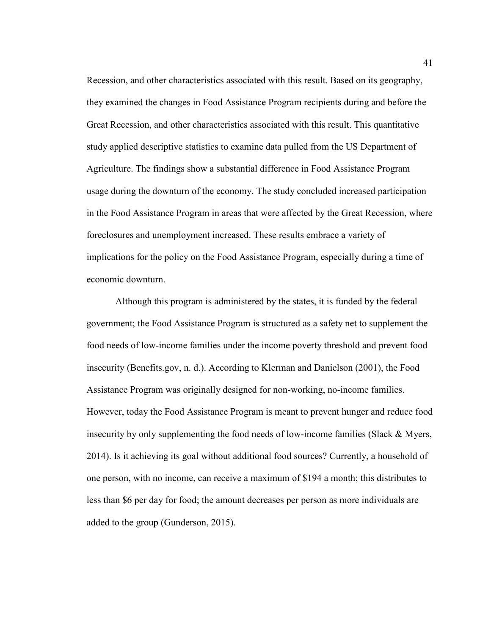Recession, and other characteristics associated with this result. Based on its geography, they examined the changes in Food Assistance Program recipients during and before the Great Recession, and other characteristics associated with this result. This quantitative study applied descriptive statistics to examine data pulled from the US Department of Agriculture. The findings show a substantial difference in Food Assistance Program usage during the downturn of the economy. The study concluded increased participation in the Food Assistance Program in areas that were affected by the Great Recession, where foreclosures and unemployment increased. These results embrace a variety of implications for the policy on the Food Assistance Program, especially during a time of economic downturn.

Although this program is administered by the states, it is funded by the federal government; the Food Assistance Program is structured as a safety net to supplement the food needs of low-income families under the income poverty threshold and prevent food insecurity (Benefits.gov, n. d.). According to Klerman and Danielson (2001), the Food Assistance Program was originally designed for non-working, no-income families. However, today the Food Assistance Program is meant to prevent hunger and reduce food insecurity by only supplementing the food needs of low-income families (Slack & Myers, 2014). Is it achieving its goal without additional food sources? Currently, a household of one person, with no income, can receive a maximum of \$194 a month; this distributes to less than \$6 per day for food; the amount decreases per person as more individuals are added to the group (Gunderson, 2015).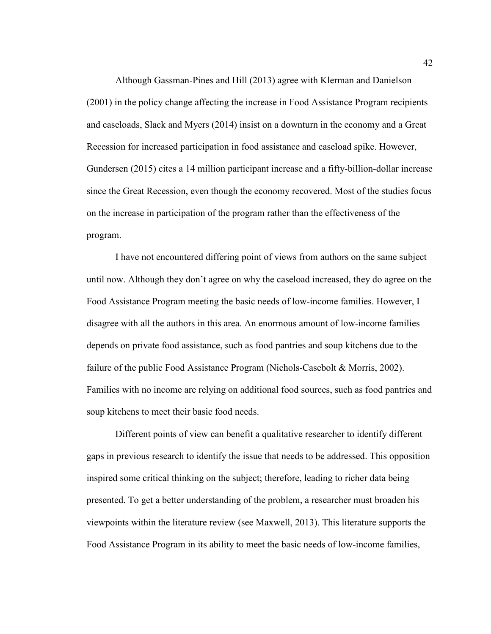Although Gassman-Pines and Hill (2013) agree with Klerman and Danielson (2001) in the policy change affecting the increase in Food Assistance Program recipients and caseloads, Slack and Myers (2014) insist on a downturn in the economy and a Great Recession for increased participation in food assistance and caseload spike. However, Gundersen (2015) cites a 14 million participant increase and a fifty-billion-dollar increase since the Great Recession, even though the economy recovered. Most of the studies focus on the increase in participation of the program rather than the effectiveness of the program.

I have not encountered differing point of views from authors on the same subject until now. Although they don't agree on why the caseload increased, they do agree on the Food Assistance Program meeting the basic needs of low-income families. However, I disagree with all the authors in this area. An enormous amount of low-income families depends on private food assistance, such as food pantries and soup kitchens due to the failure of the public Food Assistance Program (Nichols-Casebolt & Morris, 2002). Families with no income are relying on additional food sources, such as food pantries and soup kitchens to meet their basic food needs.

Different points of view can benefit a qualitative researcher to identify different gaps in previous research to identify the issue that needs to be addressed. This opposition inspired some critical thinking on the subject; therefore, leading to richer data being presented. To get a better understanding of the problem, a researcher must broaden his viewpoints within the literature review (see Maxwell, 2013). This literature supports the Food Assistance Program in its ability to meet the basic needs of low-income families,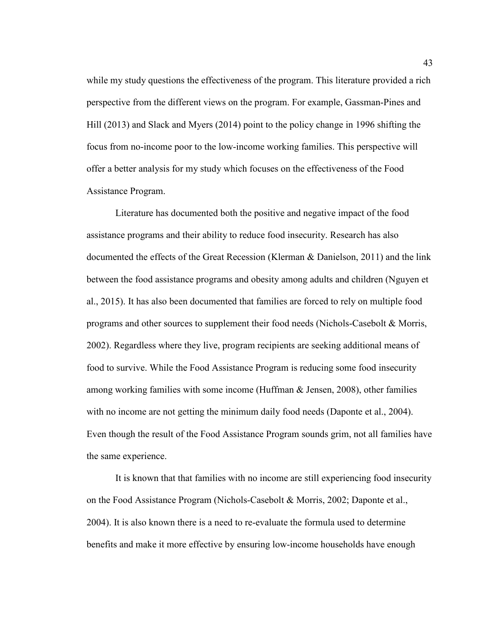while my study questions the effectiveness of the program. This literature provided a rich perspective from the different views on the program. For example, Gassman-Pines and Hill (2013) and Slack and Myers (2014) point to the policy change in 1996 shifting the focus from no-income poor to the low-income working families. This perspective will offer a better analysis for my study which focuses on the effectiveness of the Food Assistance Program.

Literature has documented both the positive and negative impact of the food assistance programs and their ability to reduce food insecurity. Research has also documented the effects of the Great Recession (Klerman & Danielson, 2011) and the link between the food assistance programs and obesity among adults and children (Nguyen et al., 2015). It has also been documented that families are forced to rely on multiple food programs and other sources to supplement their food needs (Nichols-Casebolt & Morris, 2002). Regardless where they live, program recipients are seeking additional means of food to survive. While the Food Assistance Program is reducing some food insecurity among working families with some income (Huffman & Jensen, 2008), other families with no income are not getting the minimum daily food needs (Daponte et al., 2004). Even though the result of the Food Assistance Program sounds grim, not all families have the same experience.

It is known that that families with no income are still experiencing food insecurity on the Food Assistance Program (Nichols-Casebolt & Morris, 2002; Daponte et al., 2004). It is also known there is a need to re-evaluate the formula used to determine benefits and make it more effective by ensuring low-income households have enough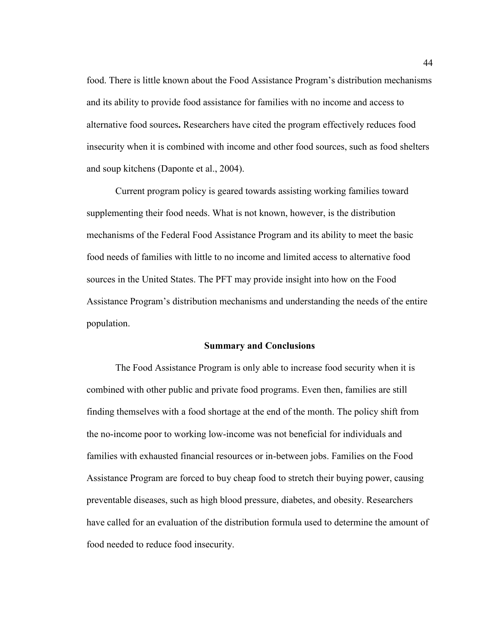food. There is little known about the Food Assistance Program's distribution mechanisms and its ability to provide food assistance for families with no income and access to alternative food sources**.** Researchers have cited the program effectively reduces food insecurity when it is combined with income and other food sources, such as food shelters and soup kitchens (Daponte et al., 2004).

Current program policy is geared towards assisting working families toward supplementing their food needs. What is not known, however, is the distribution mechanisms of the Federal Food Assistance Program and its ability to meet the basic food needs of families with little to no income and limited access to alternative food sources in the United States. The PFT may provide insight into how on the Food Assistance Program's distribution mechanisms and understanding the needs of the entire population.

#### **Summary and Conclusions**

The Food Assistance Program is only able to increase food security when it is combined with other public and private food programs. Even then, families are still finding themselves with a food shortage at the end of the month. The policy shift from the no-income poor to working low-income was not beneficial for individuals and families with exhausted financial resources or in-between jobs. Families on the Food Assistance Program are forced to buy cheap food to stretch their buying power, causing preventable diseases, such as high blood pressure, diabetes, and obesity. Researchers have called for an evaluation of the distribution formula used to determine the amount of food needed to reduce food insecurity.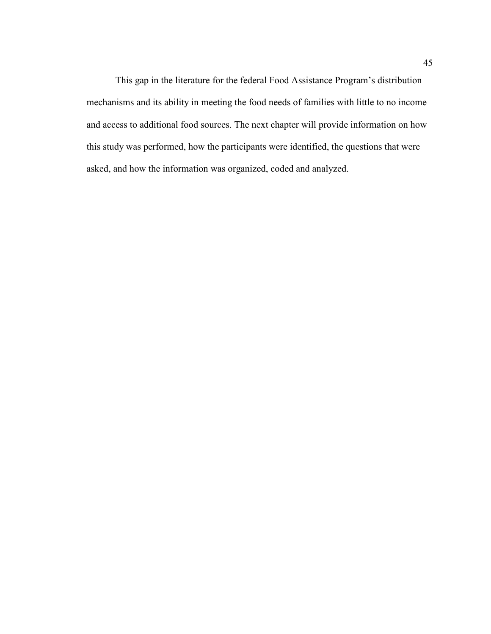This gap in the literature for the federal Food Assistance Program's distribution mechanisms and its ability in meeting the food needs of families with little to no income and access to additional food sources. The next chapter will provide information on how this study was performed, how the participants were identified, the questions that were asked, and how the information was organized, coded and analyzed.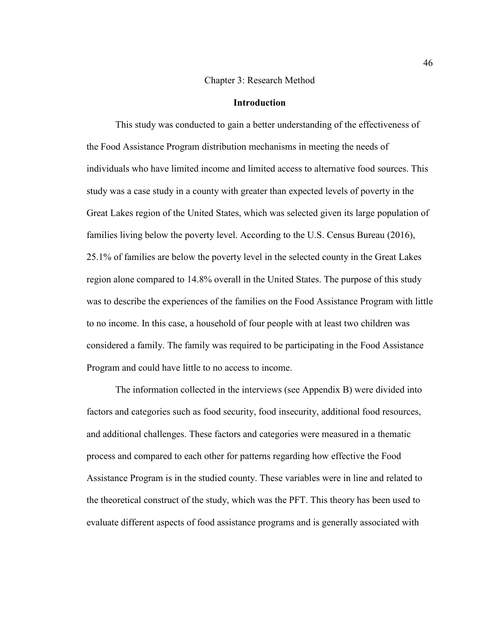#### Chapter 3: Research Method

# **Introduction**

This study was conducted to gain a better understanding of the effectiveness of the Food Assistance Program distribution mechanisms in meeting the needs of individuals who have limited income and limited access to alternative food sources. This study was a case study in a county with greater than expected levels of poverty in the Great Lakes region of the United States, which was selected given its large population of families living below the poverty level. According to the U.S. Census Bureau (2016), 25.1% of families are below the poverty level in the selected county in the Great Lakes region alone compared to 14.8% overall in the United States. The purpose of this study was to describe the experiences of the families on the Food Assistance Program with little to no income. In this case, a household of four people with at least two children was considered a family. The family was required to be participating in the Food Assistance Program and could have little to no access to income.

The information collected in the interviews (see Appendix B) were divided into factors and categories such as food security, food insecurity, additional food resources, and additional challenges. These factors and categories were measured in a thematic process and compared to each other for patterns regarding how effective the Food Assistance Program is in the studied county. These variables were in line and related to the theoretical construct of the study, which was the PFT. This theory has been used to evaluate different aspects of food assistance programs and is generally associated with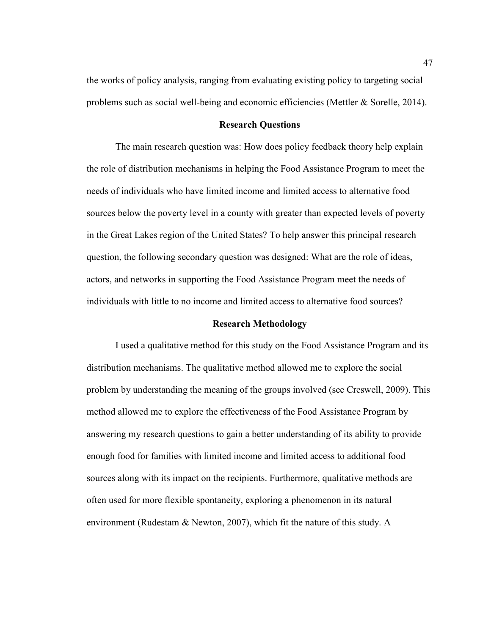the works of policy analysis, ranging from evaluating existing policy to targeting social problems such as social well-being and economic efficiencies (Mettler & Sorelle, 2014).

## **Research Questions**

The main research question was: How does policy feedback theory help explain the role of distribution mechanisms in helping the Food Assistance Program to meet the needs of individuals who have limited income and limited access to alternative food sources below the poverty level in a county with greater than expected levels of poverty in the Great Lakes region of the United States? To help answer this principal research question, the following secondary question was designed: What are the role of ideas, actors, and networks in supporting the Food Assistance Program meet the needs of individuals with little to no income and limited access to alternative food sources?

#### **Research Methodology**

I used a qualitative method for this study on the Food Assistance Program and its distribution mechanisms. The qualitative method allowed me to explore the social problem by understanding the meaning of the groups involved (see Creswell, 2009). This method allowed me to explore the effectiveness of the Food Assistance Program by answering my research questions to gain a better understanding of its ability to provide enough food for families with limited income and limited access to additional food sources along with its impact on the recipients. Furthermore, qualitative methods are often used for more flexible spontaneity, exploring a phenomenon in its natural environment (Rudestam & Newton, 2007), which fit the nature of this study. A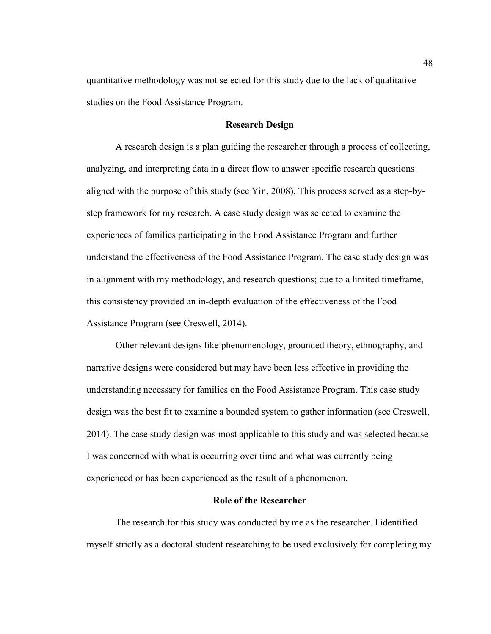quantitative methodology was not selected for this study due to the lack of qualitative studies on the Food Assistance Program.

# **Research Design**

A research design is a plan guiding the researcher through a process of collecting, analyzing, and interpreting data in a direct flow to answer specific research questions aligned with the purpose of this study (see Yin, 2008). This process served as a step-bystep framework for my research. A case study design was selected to examine the experiences of families participating in the Food Assistance Program and further understand the effectiveness of the Food Assistance Program. The case study design was in alignment with my methodology, and research questions; due to a limited timeframe, this consistency provided an in-depth evaluation of the effectiveness of the Food Assistance Program (see Creswell, 2014).

Other relevant designs like phenomenology, grounded theory, ethnography, and narrative designs were considered but may have been less effective in providing the understanding necessary for families on the Food Assistance Program. This case study design was the best fit to examine a bounded system to gather information (see Creswell, 2014). The case study design was most applicable to this study and was selected because I was concerned with what is occurring over time and what was currently being experienced or has been experienced as the result of a phenomenon.

# **Role of the Researcher**

The research for this study was conducted by me as the researcher. I identified myself strictly as a doctoral student researching to be used exclusively for completing my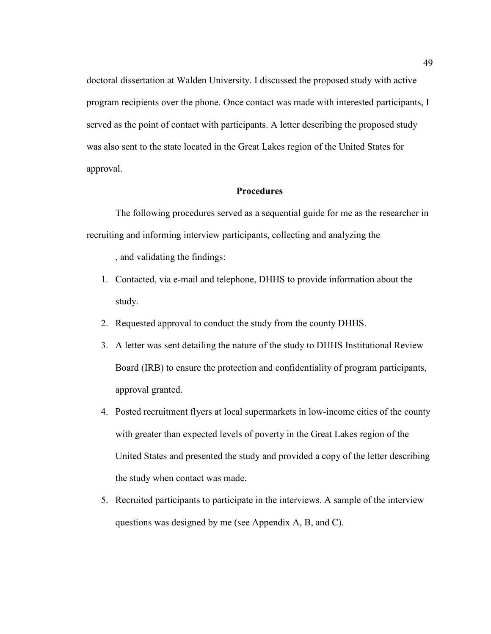doctoral dissertation at Walden University. I discussed the proposed study with active program recipients over the phone. Once contact was made with interested participants, I served as the point of contact with participants. A letter describing the proposed study was also sent to the state located in the Great Lakes region of the United States for approval.

# **Procedures**

The following procedures served as a sequential guide for me as the researcher in recruiting and informing interview participants, collecting and analyzing the

, and validating the findings:

- 1. Contacted, via e-mail and telephone, DHHS to provide information about the study.
- 2. Requested approval to conduct the study from the county DHHS.
- 3. A letter was sent detailing the nature of the study to DHHS Institutional Review Board (IRB) to ensure the protection and confidentiality of program participants, approval granted.
- 4. Posted recruitment flyers at local supermarkets in low-income cities of the county with greater than expected levels of poverty in the Great Lakes region of the United States and presented the study and provided a copy of the letter describing the study when contact was made.
- 5. Recruited participants to participate in the interviews. A sample of the interview questions was designed by me (see Appendix A, B, and C).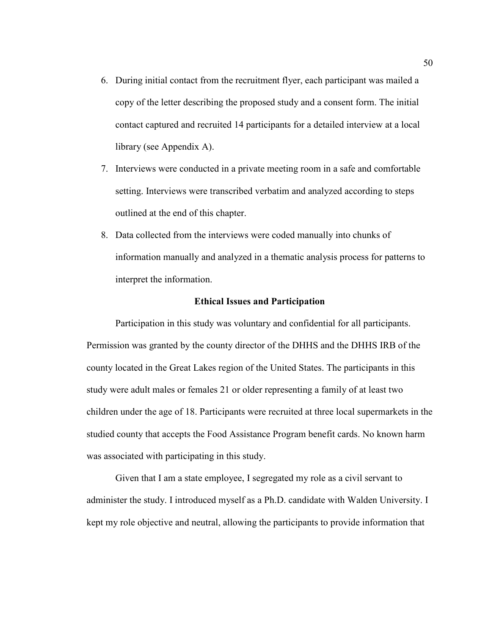- 6. During initial contact from the recruitment flyer, each participant was mailed a copy of the letter describing the proposed study and a consent form. The initial contact captured and recruited 14 participants for a detailed interview at a local library (see Appendix A).
- 7. Interviews were conducted in a private meeting room in a safe and comfortable setting. Interviews were transcribed verbatim and analyzed according to steps outlined at the end of this chapter.
- 8. Data collected from the interviews were coded manually into chunks of information manually and analyzed in a thematic analysis process for patterns to interpret the information.

## **Ethical Issues and Participation**

Participation in this study was voluntary and confidential for all participants. Permission was granted by the county director of the DHHS and the DHHS IRB of the county located in the Great Lakes region of the United States. The participants in this study were adult males or females 21 or older representing a family of at least two children under the age of 18. Participants were recruited at three local supermarkets in the studied county that accepts the Food Assistance Program benefit cards. No known harm was associated with participating in this study.

Given that I am a state employee, I segregated my role as a civil servant to administer the study. I introduced myself as a Ph.D. candidate with Walden University. I kept my role objective and neutral, allowing the participants to provide information that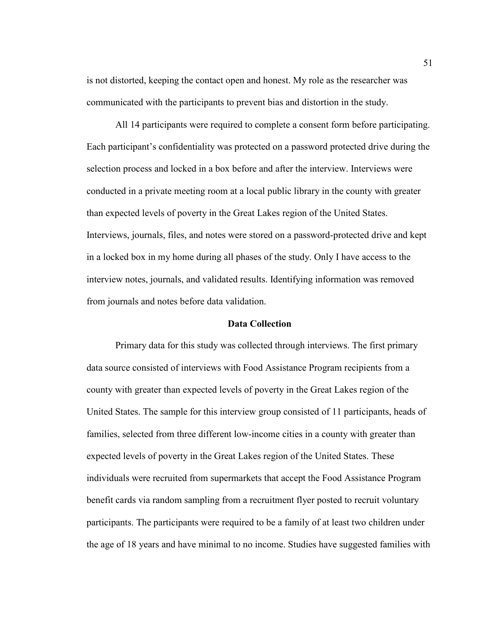is not distorted, keeping the contact open and honest. My role as the researcher was communicated with the participants to prevent bias and distortion in the study.

All 14 participants were required to complete a consent form before participating. Each participant's confidentiality was protected on a password protected drive during the selection process and locked in a box before and after the interview. Interviews were conducted in a private meeting room at a local public library in the county with greater than expected levels of poverty in the Great Lakes region of the United States. Interviews, journals, files, and notes were stored on a password-protected drive and kept in a locked box in my home during all phases of the study. Only I have access to the interview notes, journals, and validated results. Identifying information was removed from journals and notes before data validation.

## **Data Collection**

Primary data for this study was collected through interviews. The first primary data source consisted of interviews with Food Assistance Program recipients from a county with greater than expected levels of poverty in the Great Lakes region of the United States. The sample for this interview group consisted of 11 participants, heads of families, selected from three different low-income cities in a county with greater than expected levels of poverty in the Great Lakes region of the United States. These individuals were recruited from supermarkets that accept the Food Assistance Program benefit cards via random sampling from a recruitment flyer posted to recruit voluntary participants. The participants were required to be a family of at least two children under the age of 18 years and have minimal to no income. Studies have suggested families with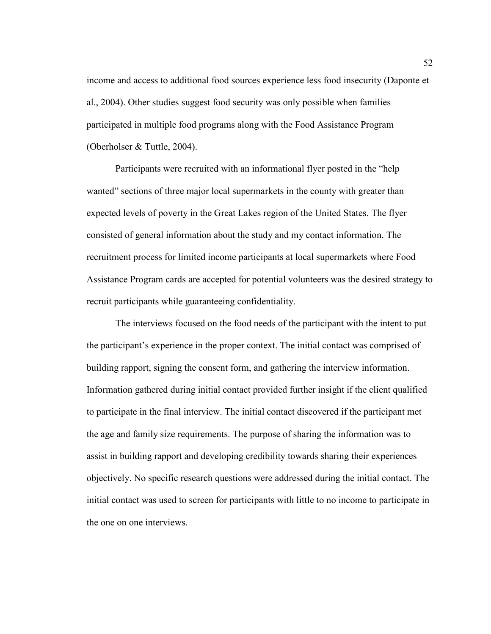income and access to additional food sources experience less food insecurity (Daponte et al., 2004). Other studies suggest food security was only possible when families participated in multiple food programs along with the Food Assistance Program (Oberholser & Tuttle, 2004).

Participants were recruited with an informational flyer posted in the "help wanted" sections of three major local supermarkets in the county with greater than expected levels of poverty in the Great Lakes region of the United States. The flyer consisted of general information about the study and my contact information. The recruitment process for limited income participants at local supermarkets where Food Assistance Program cards are accepted for potential volunteers was the desired strategy to recruit participants while guaranteeing confidentiality.

The interviews focused on the food needs of the participant with the intent to put the participant's experience in the proper context. The initial contact was comprised of building rapport, signing the consent form, and gathering the interview information. Information gathered during initial contact provided further insight if the client qualified to participate in the final interview. The initial contact discovered if the participant met the age and family size requirements. The purpose of sharing the information was to assist in building rapport and developing credibility towards sharing their experiences objectively. No specific research questions were addressed during the initial contact. The initial contact was used to screen for participants with little to no income to participate in the one on one interviews.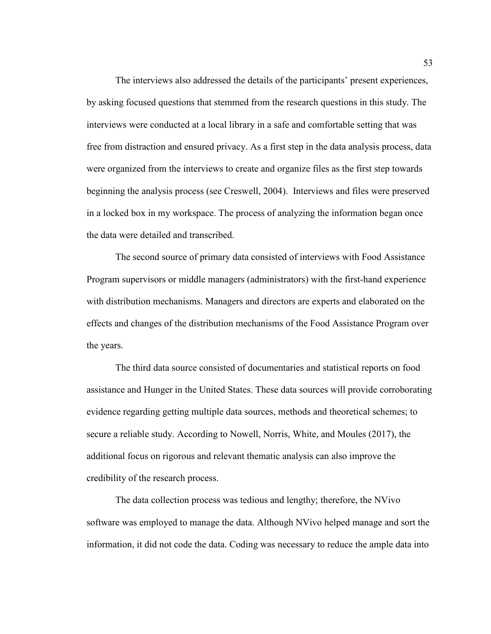The interviews also addressed the details of the participants' present experiences, by asking focused questions that stemmed from the research questions in this study. The interviews were conducted at a local library in a safe and comfortable setting that was free from distraction and ensured privacy. As a first step in the data analysis process, data were organized from the interviews to create and organize files as the first step towards beginning the analysis process (see Creswell, 2004). Interviews and files were preserved in a locked box in my workspace. The process of analyzing the information began once the data were detailed and transcribed.

The second source of primary data consisted of interviews with Food Assistance Program supervisors or middle managers (administrators) with the first-hand experience with distribution mechanisms. Managers and directors are experts and elaborated on the effects and changes of the distribution mechanisms of the Food Assistance Program over the years.

The third data source consisted of documentaries and statistical reports on food assistance and Hunger in the United States. These data sources will provide corroborating evidence regarding getting multiple data sources, methods and theoretical schemes; to secure a reliable study. According to Nowell, Norris, White, and Moules (2017), the additional focus on rigorous and relevant thematic analysis can also improve the credibility of the research process.

The data collection process was tedious and lengthy; therefore, the NVivo software was employed to manage the data. Although NVivo helped manage and sort the information, it did not code the data. Coding was necessary to reduce the ample data into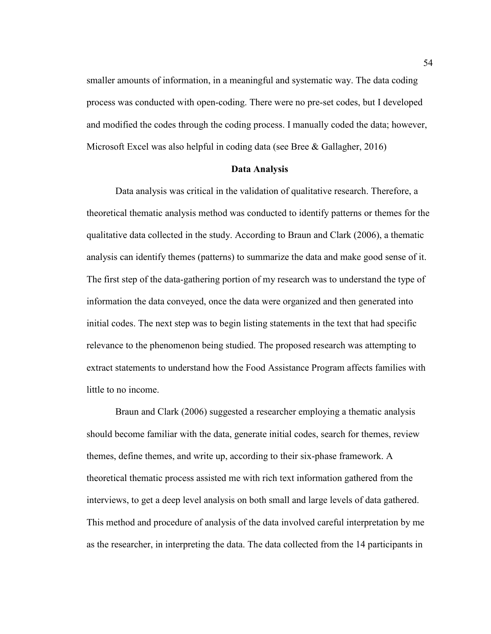smaller amounts of information, in a meaningful and systematic way. The data coding process was conducted with open-coding. There were no pre-set codes, but I developed and modified the codes through the coding process. I manually coded the data; however, Microsoft Excel was also helpful in coding data (see Bree  $\&$  Gallagher, 2016)

### **Data Analysis**

Data analysis was critical in the validation of qualitative research. Therefore, a theoretical thematic analysis method was conducted to identify patterns or themes for the qualitative data collected in the study. According to Braun and Clark (2006), a thematic analysis can identify themes (patterns) to summarize the data and make good sense of it. The first step of the data-gathering portion of my research was to understand the type of information the data conveyed, once the data were organized and then generated into initial codes. The next step was to begin listing statements in the text that had specific relevance to the phenomenon being studied. The proposed research was attempting to extract statements to understand how the Food Assistance Program affects families with little to no income.

Braun and Clark (2006) suggested a researcher employing a thematic analysis should become familiar with the data, generate initial codes, search for themes, review themes, define themes, and write up, according to their six-phase framework. A theoretical thematic process assisted me with rich text information gathered from the interviews, to get a deep level analysis on both small and large levels of data gathered. This method and procedure of analysis of the data involved careful interpretation by me as the researcher, in interpreting the data. The data collected from the 14 participants in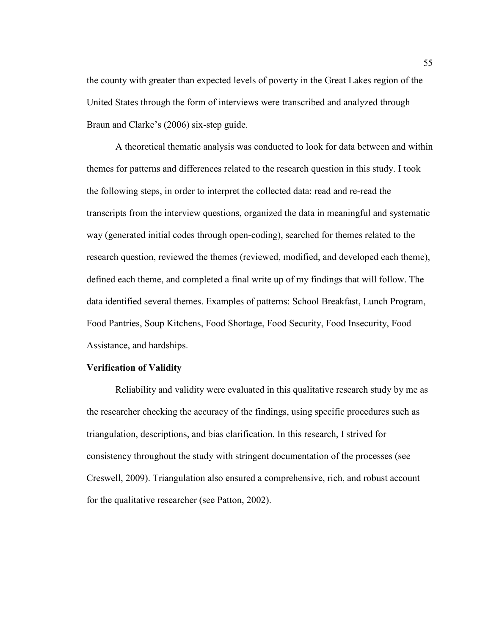the county with greater than expected levels of poverty in the Great Lakes region of the United States through the form of interviews were transcribed and analyzed through Braun and Clarke's (2006) six-step guide.

A theoretical thematic analysis was conducted to look for data between and within themes for patterns and differences related to the research question in this study. I took the following steps, in order to interpret the collected data: read and re-read the transcripts from the interview questions, organized the data in meaningful and systematic way (generated initial codes through open-coding), searched for themes related to the research question, reviewed the themes (reviewed, modified, and developed each theme), defined each theme, and completed a final write up of my findings that will follow. The data identified several themes. Examples of patterns: School Breakfast, Lunch Program, Food Pantries, Soup Kitchens, Food Shortage, Food Security, Food Insecurity, Food Assistance, and hardships.

## **Verification of Validity**

Reliability and validity were evaluated in this qualitative research study by me as the researcher checking the accuracy of the findings, using specific procedures such as triangulation, descriptions, and bias clarification. In this research, I strived for consistency throughout the study with stringent documentation of the processes (see Creswell, 2009). Triangulation also ensured a comprehensive, rich, and robust account for the qualitative researcher (see Patton, 2002).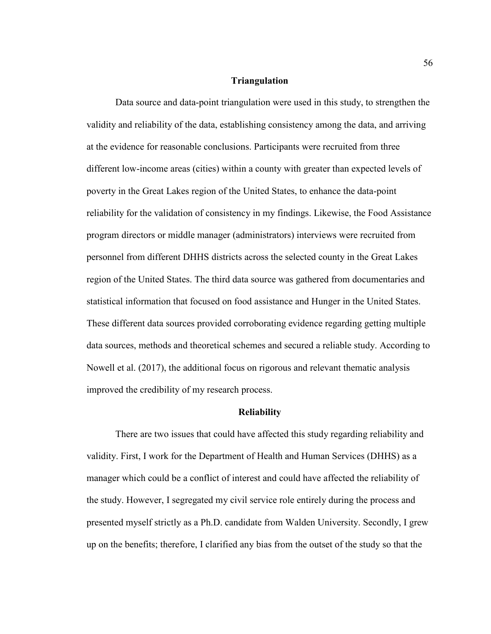## **Triangulation**

Data source and data-point triangulation were used in this study, to strengthen the validity and reliability of the data, establishing consistency among the data, and arriving at the evidence for reasonable conclusions. Participants were recruited from three different low-income areas (cities) within a county with greater than expected levels of poverty in the Great Lakes region of the United States, to enhance the data-point reliability for the validation of consistency in my findings. Likewise, the Food Assistance program directors or middle manager (administrators) interviews were recruited from personnel from different DHHS districts across the selected county in the Great Lakes region of the United States. The third data source was gathered from documentaries and statistical information that focused on food assistance and Hunger in the United States. These different data sources provided corroborating evidence regarding getting multiple data sources, methods and theoretical schemes and secured a reliable study. According to Nowell et al. (2017), the additional focus on rigorous and relevant thematic analysis improved the credibility of my research process.

#### **Reliability**

There are two issues that could have affected this study regarding reliability and validity. First, I work for the Department of Health and Human Services (DHHS) as a manager which could be a conflict of interest and could have affected the reliability of the study. However, I segregated my civil service role entirely during the process and presented myself strictly as a Ph.D. candidate from Walden University. Secondly, I grew up on the benefits; therefore, I clarified any bias from the outset of the study so that the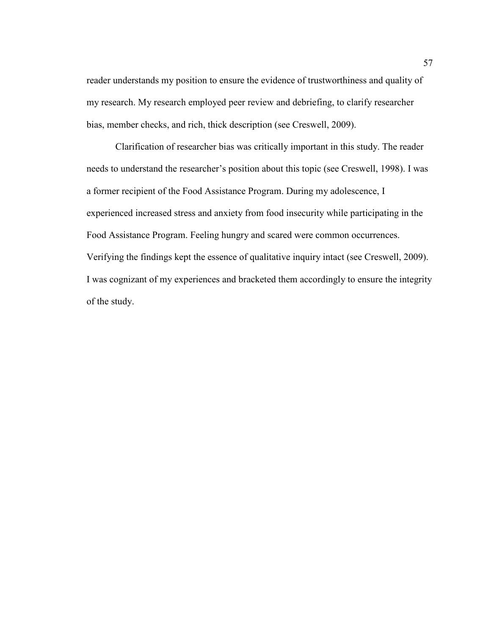reader understands my position to ensure the evidence of trustworthiness and quality of my research. My research employed peer review and debriefing, to clarify researcher bias, member checks, and rich, thick description (see Creswell, 2009).

Clarification of researcher bias was critically important in this study. The reader needs to understand the researcher's position about this topic (see Creswell, 1998). I was a former recipient of the Food Assistance Program. During my adolescence, I experienced increased stress and anxiety from food insecurity while participating in the Food Assistance Program. Feeling hungry and scared were common occurrences. Verifying the findings kept the essence of qualitative inquiry intact (see Creswell, 2009). I was cognizant of my experiences and bracketed them accordingly to ensure the integrity of the study.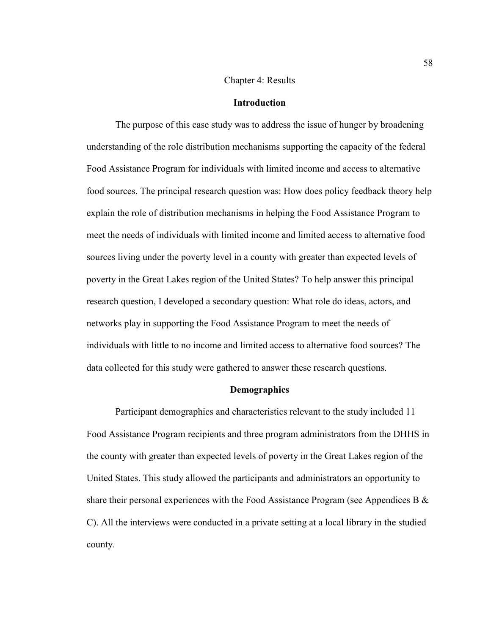# Chapter 4: Results

# **Introduction**

The purpose of this case study was to address the issue of hunger by broadening understanding of the role distribution mechanisms supporting the capacity of the federal Food Assistance Program for individuals with limited income and access to alternative food sources. The principal research question was: How does policy feedback theory help explain the role of distribution mechanisms in helping the Food Assistance Program to meet the needs of individuals with limited income and limited access to alternative food sources living under the poverty level in a county with greater than expected levels of poverty in the Great Lakes region of the United States? To help answer this principal research question, I developed a secondary question: What role do ideas, actors, and networks play in supporting the Food Assistance Program to meet the needs of individuals with little to no income and limited access to alternative food sources? The data collected for this study were gathered to answer these research questions.

#### **Demographics**

Participant demographics and characteristics relevant to the study included 11 Food Assistance Program recipients and three program administrators from the DHHS in the county with greater than expected levels of poverty in the Great Lakes region of the United States. This study allowed the participants and administrators an opportunity to share their personal experiences with the Food Assistance Program (see Appendices B  $\&$ C). All the interviews were conducted in a private setting at a local library in the studied county.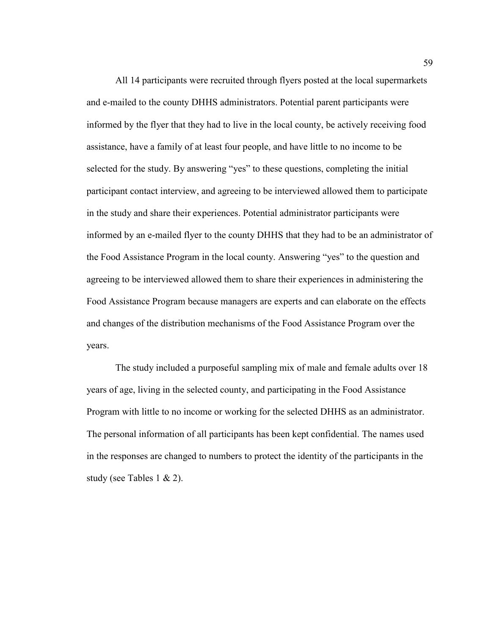All 14 participants were recruited through flyers posted at the local supermarkets and e-mailed to the county DHHS administrators. Potential parent participants were informed by the flyer that they had to live in the local county, be actively receiving food assistance, have a family of at least four people, and have little to no income to be selected for the study. By answering "yes" to these questions, completing the initial participant contact interview, and agreeing to be interviewed allowed them to participate in the study and share their experiences. Potential administrator participants were informed by an e-mailed flyer to the county DHHS that they had to be an administrator of the Food Assistance Program in the local county. Answering "yes" to the question and agreeing to be interviewed allowed them to share their experiences in administering the Food Assistance Program because managers are experts and can elaborate on the effects and changes of the distribution mechanisms of the Food Assistance Program over the years.

The study included a purposeful sampling mix of male and female adults over 18 years of age, living in the selected county, and participating in the Food Assistance Program with little to no income or working for the selected DHHS as an administrator. The personal information of all participants has been kept confidential. The names used in the responses are changed to numbers to protect the identity of the participants in the study (see Tables 1  $\&$  2).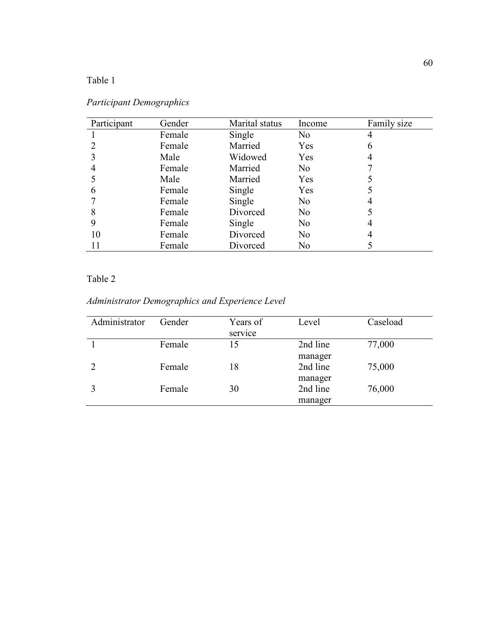Table 1

| Participant | Gender | Marital status | Income         | Family size |
|-------------|--------|----------------|----------------|-------------|
|             | Female | Single         | N <sub>0</sub> | 4           |
|             | Female | Married        | Yes            | 6           |
|             | Male   | Widowed        | Yes            |             |
| 4           | Female | Married        | N <sub>0</sub> |             |
|             | Male   | Married        | Yes            |             |
| 6           | Female | Single         | Yes            |             |
|             | Female | Single         | N <sub>0</sub> |             |
| 8           | Female | Divorced       | N <sub>0</sub> |             |
| 9           | Female | Single         | N <sub>0</sub> |             |
| 10          | Female | Divorced       | N <sub>0</sub> |             |
| 11          | Female | Divorced       | N <sub>0</sub> |             |

Table 2

*Administrator Demographics and Experience Level*

| Administrator | Gender | Years of<br>service | Level    | Caseload |
|---------------|--------|---------------------|----------|----------|
|               | Female | 15                  | 2nd line | 77,000   |
|               |        |                     | manager  |          |
|               | Female | 18                  | 2nd line | 75,000   |
|               |        |                     | manager  |          |
|               | Female | 30                  | 2nd line | 76,000   |
|               |        |                     | manager  |          |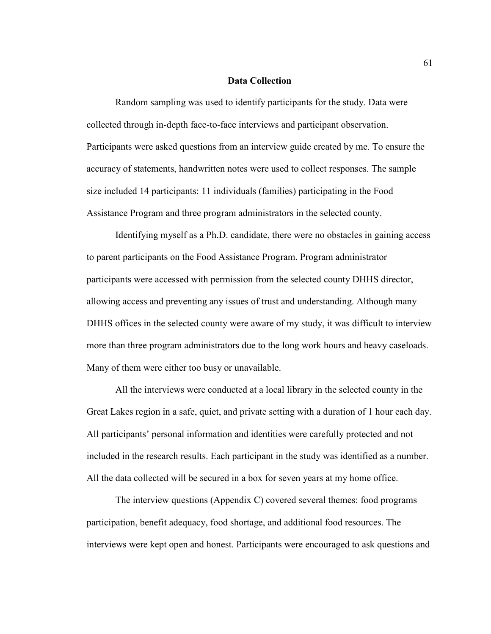#### **Data Collection**

Random sampling was used to identify participants for the study. Data were collected through in-depth face-to-face interviews and participant observation. Participants were asked questions from an interview guide created by me. To ensure the accuracy of statements, handwritten notes were used to collect responses. The sample size included 14 participants: 11 individuals (families) participating in the Food Assistance Program and three program administrators in the selected county.

Identifying myself as a Ph.D. candidate, there were no obstacles in gaining access to parent participants on the Food Assistance Program. Program administrator participants were accessed with permission from the selected county DHHS director, allowing access and preventing any issues of trust and understanding. Although many DHHS offices in the selected county were aware of my study, it was difficult to interview more than three program administrators due to the long work hours and heavy caseloads. Many of them were either too busy or unavailable.

All the interviews were conducted at a local library in the selected county in the Great Lakes region in a safe, quiet, and private setting with a duration of 1 hour each day. All participants' personal information and identities were carefully protected and not included in the research results. Each participant in the study was identified as a number. All the data collected will be secured in a box for seven years at my home office.

The interview questions (Appendix C) covered several themes: food programs participation, benefit adequacy, food shortage, and additional food resources. The interviews were kept open and honest. Participants were encouraged to ask questions and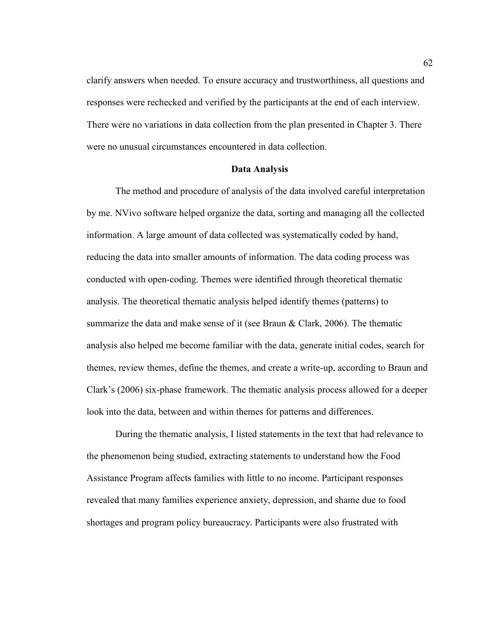clarify answers when needed. To ensure accuracy and trustworthiness, all questions and responses were rechecked and verified by the participants at the end of each interview. There were no variations in data collection from the plan presented in Chapter 3. There were no unusual circumstances encountered in data collection.

#### **Data Analysis**

The method and procedure of analysis of the data involved careful interpretation by me. NVivo software helped organize the data, sorting and managing all the collected information. A large amount of data collected was systematically coded by hand, reducing the data into smaller amounts of information. The data coding process was conducted with open-coding. Themes were identified through theoretical thematic analysis. The theoretical thematic analysis helped identify themes (patterns) to summarize the data and make sense of it (see Braun & Clark, 2006). The thematic analysis also helped me become familiar with the data, generate initial codes, search for themes, review themes, define the themes, and create a write-up, according to Braun and Clark's (2006) six-phase framework. The thematic analysis process allowed for a deeper look into the data, between and within themes for patterns and differences.

During the thematic analysis, I listed statements in the text that had relevance to the phenomenon being studied, extracting statements to understand how the Food Assistance Program affects families with little to no income. Participant responses revealed that many families experience anxiety, depression, and shame due to food shortages and program policy bureaucracy. Participants were also frustrated with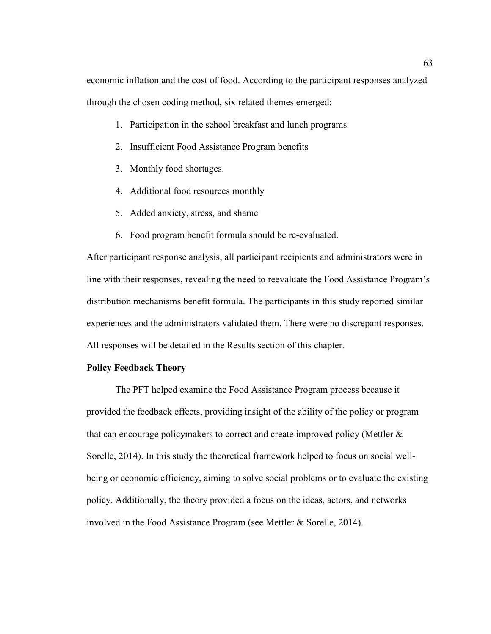economic inflation and the cost of food. According to the participant responses analyzed through the chosen coding method, six related themes emerged:

- 1. Participation in the school breakfast and lunch programs
- 2. Insufficient Food Assistance Program benefits
- 3. Monthly food shortages.
- 4. Additional food resources monthly
- 5. Added anxiety, stress, and shame
- 6. Food program benefit formula should be re-evaluated.

After participant response analysis, all participant recipients and administrators were in line with their responses, revealing the need to reevaluate the Food Assistance Program's distribution mechanisms benefit formula. The participants in this study reported similar experiences and the administrators validated them. There were no discrepant responses. All responses will be detailed in the Results section of this chapter.

## **Policy Feedback Theory**

The PFT helped examine the Food Assistance Program process because it provided the feedback effects, providing insight of the ability of the policy or program that can encourage policymakers to correct and create improved policy (Mettler & Sorelle, 2014). In this study the theoretical framework helped to focus on social wellbeing or economic efficiency, aiming to solve social problems or to evaluate the existing policy. Additionally, the theory provided a focus on the ideas, actors, and networks involved in the Food Assistance Program (see Mettler & Sorelle, 2014).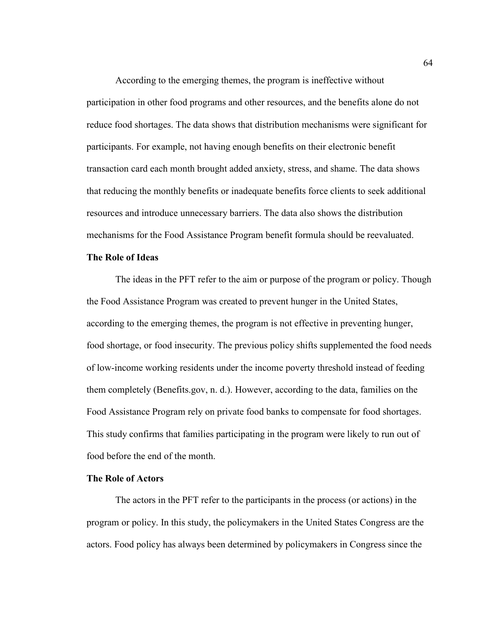According to the emerging themes, the program is ineffective without participation in other food programs and other resources, and the benefits alone do not reduce food shortages. The data shows that distribution mechanisms were significant for participants. For example, not having enough benefits on their electronic benefit transaction card each month brought added anxiety, stress, and shame. The data shows that reducing the monthly benefits or inadequate benefits force clients to seek additional resources and introduce unnecessary barriers. The data also shows the distribution mechanisms for the Food Assistance Program benefit formula should be reevaluated.

#### **The Role of Ideas**

The ideas in the PFT refer to the aim or purpose of the program or policy. Though the Food Assistance Program was created to prevent hunger in the United States, according to the emerging themes, the program is not effective in preventing hunger, food shortage, or food insecurity. The previous policy shifts supplemented the food needs of low-income working residents under the income poverty threshold instead of feeding them completely (Benefits.gov, n. d.). However, according to the data, families on the Food Assistance Program rely on private food banks to compensate for food shortages. This study confirms that families participating in the program were likely to run out of food before the end of the month.

#### **The Role of Actors**

The actors in the PFT refer to the participants in the process (or actions) in the program or policy. In this study, the policymakers in the United States Congress are the actors. Food policy has always been determined by policymakers in Congress since the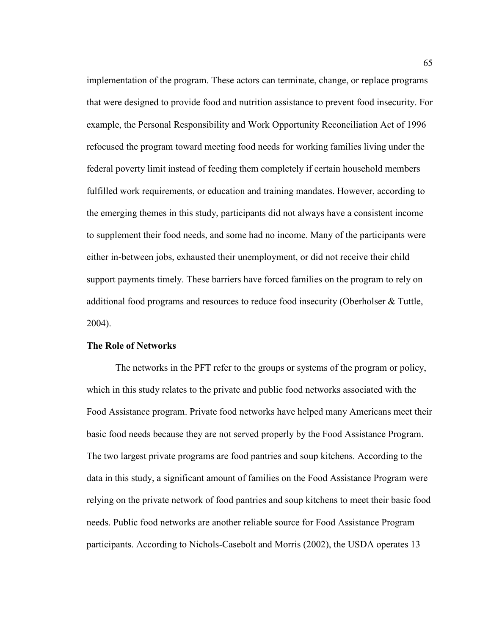implementation of the program. These actors can terminate, change, or replace programs that were designed to provide food and nutrition assistance to prevent food insecurity. For example, the Personal Responsibility and Work Opportunity Reconciliation Act of 1996 refocused the program toward meeting food needs for working families living under the federal poverty limit instead of feeding them completely if certain household members fulfilled work requirements, or education and training mandates. However, according to the emerging themes in this study, participants did not always have a consistent income to supplement their food needs, and some had no income. Many of the participants were either in-between jobs, exhausted their unemployment, or did not receive their child support payments timely. These barriers have forced families on the program to rely on additional food programs and resources to reduce food insecurity (Oberholser & Tuttle, 2004).

## **The Role of Networks**

The networks in the PFT refer to the groups or systems of the program or policy, which in this study relates to the private and public food networks associated with the Food Assistance program. Private food networks have helped many Americans meet their basic food needs because they are not served properly by the Food Assistance Program. The two largest private programs are food pantries and soup kitchens. According to the data in this study, a significant amount of families on the Food Assistance Program were relying on the private network of food pantries and soup kitchens to meet their basic food needs. Public food networks are another reliable source for Food Assistance Program participants. According to Nichols-Casebolt and Morris (2002), the USDA operates 13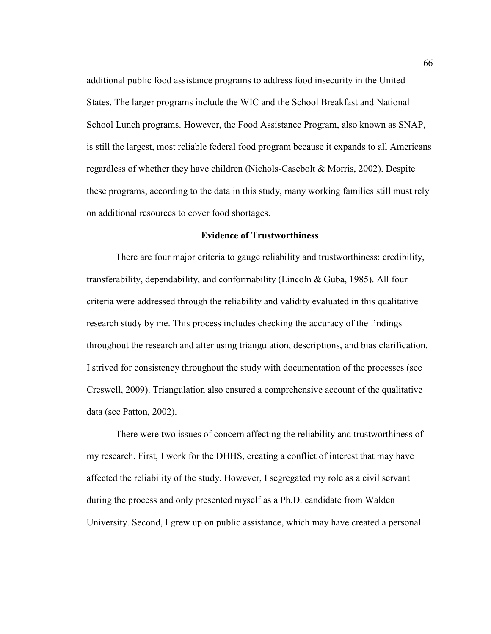additional public food assistance programs to address food insecurity in the United States. The larger programs include the WIC and the School Breakfast and National School Lunch programs. However, the Food Assistance Program, also known as SNAP, is still the largest, most reliable federal food program because it expands to all Americans regardless of whether they have children (Nichols-Casebolt & Morris, 2002). Despite these programs, according to the data in this study, many working families still must rely on additional resources to cover food shortages.

#### **Evidence of Trustworthiness**

There are four major criteria to gauge reliability and trustworthiness: credibility, transferability, dependability, and conformability (Lincoln & Guba, 1985). All four criteria were addressed through the reliability and validity evaluated in this qualitative research study by me. This process includes checking the accuracy of the findings throughout the research and after using triangulation, descriptions, and bias clarification. I strived for consistency throughout the study with documentation of the processes (see Creswell, 2009). Triangulation also ensured a comprehensive account of the qualitative data (see Patton, 2002).

There were two issues of concern affecting the reliability and trustworthiness of my research. First, I work for the DHHS, creating a conflict of interest that may have affected the reliability of the study. However, I segregated my role as a civil servant during the process and only presented myself as a Ph.D. candidate from Walden University. Second, I grew up on public assistance, which may have created a personal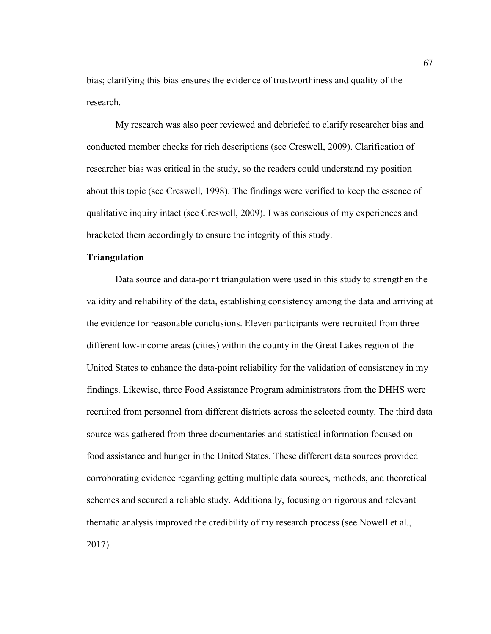bias; clarifying this bias ensures the evidence of trustworthiness and quality of the research.

My research was also peer reviewed and debriefed to clarify researcher bias and conducted member checks for rich descriptions (see Creswell, 2009). Clarification of researcher bias was critical in the study, so the readers could understand my position about this topic (see Creswell, 1998). The findings were verified to keep the essence of qualitative inquiry intact (see Creswell, 2009). I was conscious of my experiences and bracketed them accordingly to ensure the integrity of this study.

## **Triangulation**

Data source and data-point triangulation were used in this study to strengthen the validity and reliability of the data, establishing consistency among the data and arriving at the evidence for reasonable conclusions. Eleven participants were recruited from three different low-income areas (cities) within the county in the Great Lakes region of the United States to enhance the data-point reliability for the validation of consistency in my findings. Likewise, three Food Assistance Program administrators from the DHHS were recruited from personnel from different districts across the selected county. The third data source was gathered from three documentaries and statistical information focused on food assistance and hunger in the United States. These different data sources provided corroborating evidence regarding getting multiple data sources, methods, and theoretical schemes and secured a reliable study. Additionally, focusing on rigorous and relevant thematic analysis improved the credibility of my research process (see Nowell et al., 2017).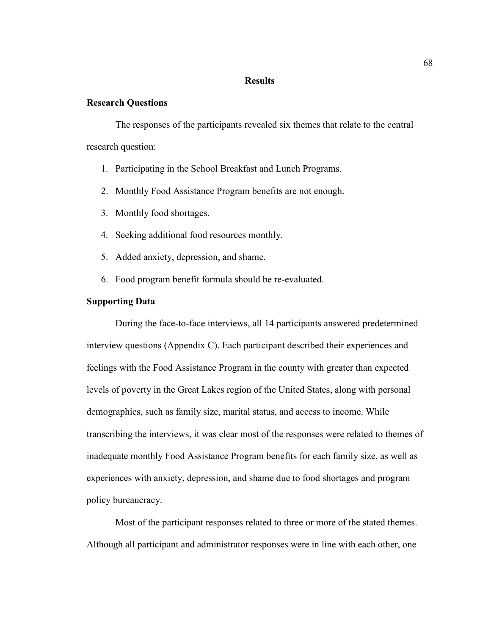#### **Results**

## **Research Questions**

The responses of the participants revealed six themes that relate to the central research question:

- 1. Participating in the School Breakfast and Lunch Programs.
- 2. Monthly Food Assistance Program benefits are not enough.
- 3. Monthly food shortages.
- 4. Seeking additional food resources monthly.
- 5. Added anxiety, depression, and shame.
- 6. Food program benefit formula should be re-evaluated.

## **Supporting Data**

During the face-to-face interviews, all 14 participants answered predetermined interview questions (Appendix C). Each participant described their experiences and feelings with the Food Assistance Program in the county with greater than expected levels of poverty in the Great Lakes region of the United States, along with personal demographics, such as family size, marital status, and access to income. While transcribing the interviews, it was clear most of the responses were related to themes of inadequate monthly Food Assistance Program benefits for each family size, as well as experiences with anxiety, depression, and shame due to food shortages and program policy bureaucracy.

Most of the participant responses related to three or more of the stated themes. Although all participant and administrator responses were in line with each other, one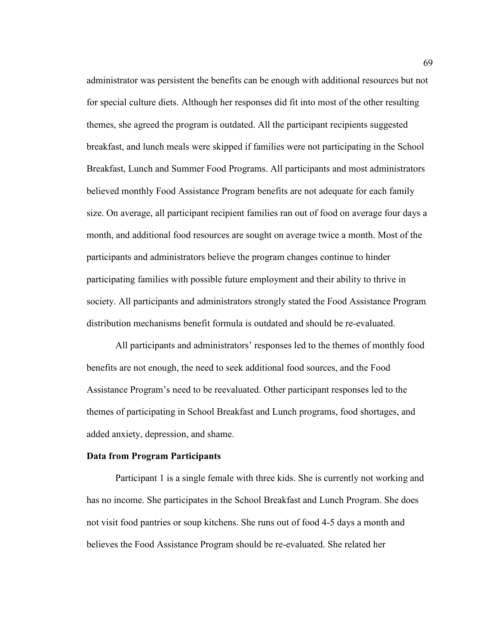administrator was persistent the benefits can be enough with additional resources but not for special culture diets. Although her responses did fit into most of the other resulting themes, she agreed the program is outdated. All the participant recipients suggested breakfast, and lunch meals were skipped if families were not participating in the School Breakfast, Lunch and Summer Food Programs. All participants and most administrators believed monthly Food Assistance Program benefits are not adequate for each family size. On average, all participant recipient families ran out of food on average four days a month, and additional food resources are sought on average twice a month. Most of the participants and administrators believe the program changes continue to hinder participating families with possible future employment and their ability to thrive in society. All participants and administrators strongly stated the Food Assistance Program distribution mechanisms benefit formula is outdated and should be re-evaluated.

All participants and administrators' responses led to the themes of monthly food benefits are not enough, the need to seek additional food sources, and the Food Assistance Program's need to be reevaluated. Other participant responses led to the themes of participating in School Breakfast and Lunch programs, food shortages, and added anxiety, depression, and shame.

### **Data from Program Participants**

Participant 1 is a single female with three kids. She is currently not working and has no income. She participates in the School Breakfast and Lunch Program. She does not visit food pantries or soup kitchens. She runs out of food 4-5 days a month and believes the Food Assistance Program should be re-evaluated. She related her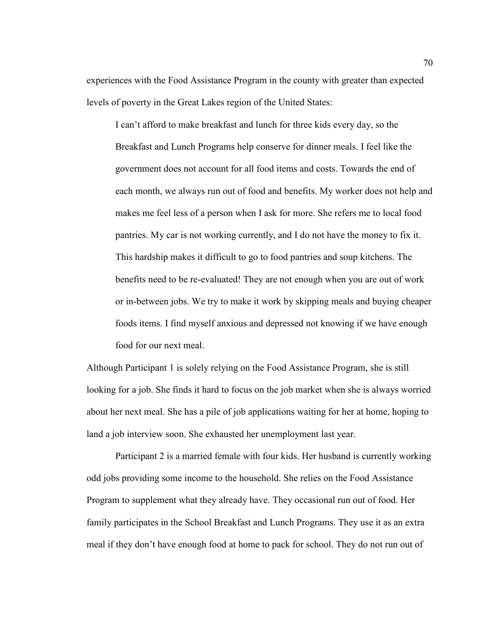experiences with the Food Assistance Program in the county with greater than expected levels of poverty in the Great Lakes region of the United States:

I can't afford to make breakfast and lunch for three kids every day, so the Breakfast and Lunch Programs help conserve for dinner meals. I feel like the government does not account for all food items and costs. Towards the end of each month, we always run out of food and benefits. My worker does not help and makes me feel less of a person when I ask for more. She refers me to local food pantries. My car is not working currently, and I do not have the money to fix it. This hardship makes it difficult to go to food pantries and soup kitchens. The benefits need to be re-evaluated! They are not enough when you are out of work or in-between jobs. We try to make it work by skipping meals and buying cheaper foods items. I find myself anxious and depressed not knowing if we have enough food for our next meal.

Although Participant 1 is solely relying on the Food Assistance Program, she is still looking for a job. She finds it hard to focus on the job market when she is always worried about her next meal. She has a pile of job applications waiting for her at home, hoping to land a job interview soon. She exhausted her unemployment last year.

Participant 2 is a married female with four kids. Her husband is currently working odd jobs providing some income to the household. She relies on the Food Assistance Program to supplement what they already have. They occasional run out of food. Her family participates in the School Breakfast and Lunch Programs. They use it as an extra meal if they don't have enough food at home to pack for school. They do not run out of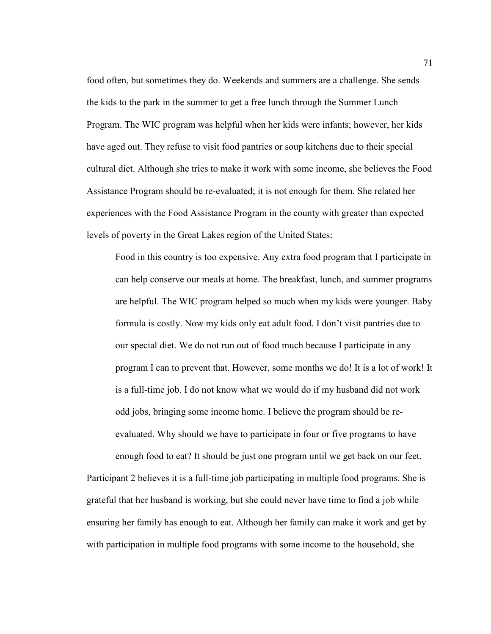food often, but sometimes they do. Weekends and summers are a challenge. She sends the kids to the park in the summer to get a free lunch through the Summer Lunch Program. The WIC program was helpful when her kids were infants; however, her kids have aged out. They refuse to visit food pantries or soup kitchens due to their special cultural diet. Although she tries to make it work with some income, she believes the Food Assistance Program should be re-evaluated; it is not enough for them. She related her experiences with the Food Assistance Program in the county with greater than expected levels of poverty in the Great Lakes region of the United States:

Food in this country is too expensive. Any extra food program that I participate in can help conserve our meals at home. The breakfast, lunch, and summer programs are helpful. The WIC program helped so much when my kids were younger. Baby formula is costly. Now my kids only eat adult food. I don't visit pantries due to our special diet. We do not run out of food much because I participate in any program I can to prevent that. However, some months we do! It is a lot of work! It is a full-time job. I do not know what we would do if my husband did not work odd jobs, bringing some income home. I believe the program should be reevaluated. Why should we have to participate in four or five programs to have enough food to eat? It should be just one program until we get back on our feet.

Participant 2 believes it is a full-time job participating in multiple food programs. She is grateful that her husband is working, but she could never have time to find a job while ensuring her family has enough to eat. Although her family can make it work and get by with participation in multiple food programs with some income to the household, she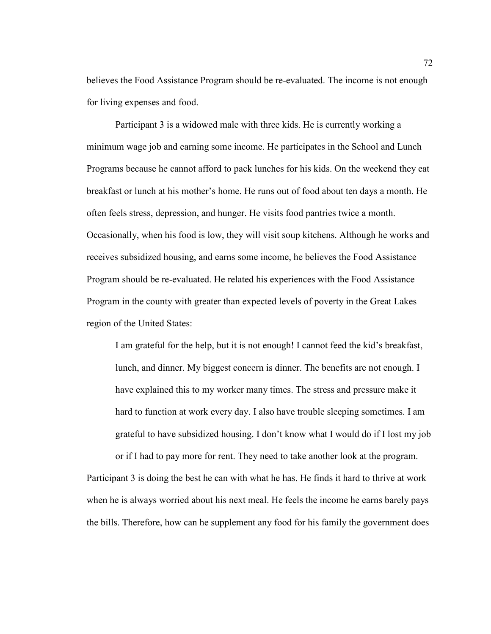believes the Food Assistance Program should be re-evaluated. The income is not enough for living expenses and food.

Participant 3 is a widowed male with three kids. He is currently working a minimum wage job and earning some income. He participates in the School and Lunch Programs because he cannot afford to pack lunches for his kids. On the weekend they eat breakfast or lunch at his mother's home. He runs out of food about ten days a month. He often feels stress, depression, and hunger. He visits food pantries twice a month. Occasionally, when his food is low, they will visit soup kitchens. Although he works and receives subsidized housing, and earns some income, he believes the Food Assistance Program should be re-evaluated. He related his experiences with the Food Assistance Program in the county with greater than expected levels of poverty in the Great Lakes region of the United States:

I am grateful for the help, but it is not enough! I cannot feed the kid's breakfast, lunch, and dinner. My biggest concern is dinner. The benefits are not enough. I have explained this to my worker many times. The stress and pressure make it hard to function at work every day. I also have trouble sleeping sometimes. I am grateful to have subsidized housing. I don't know what I would do if I lost my job or if I had to pay more for rent. They need to take another look at the program.

Participant 3 is doing the best he can with what he has. He finds it hard to thrive at work when he is always worried about his next meal. He feels the income he earns barely pays the bills. Therefore, how can he supplement any food for his family the government does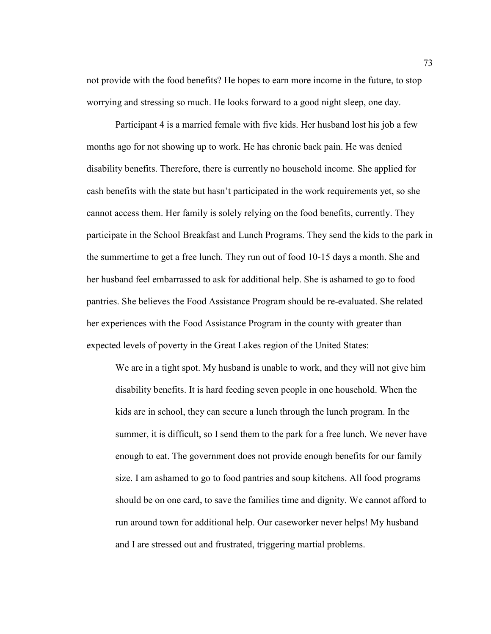not provide with the food benefits? He hopes to earn more income in the future, to stop worrying and stressing so much. He looks forward to a good night sleep, one day.

Participant 4 is a married female with five kids. Her husband lost his job a few months ago for not showing up to work. He has chronic back pain. He was denied disability benefits. Therefore, there is currently no household income. She applied for cash benefits with the state but hasn't participated in the work requirements yet, so she cannot access them. Her family is solely relying on the food benefits, currently. They participate in the School Breakfast and Lunch Programs. They send the kids to the park in the summertime to get a free lunch. They run out of food 10-15 days a month. She and her husband feel embarrassed to ask for additional help. She is ashamed to go to food pantries. She believes the Food Assistance Program should be re-evaluated. She related her experiences with the Food Assistance Program in the county with greater than expected levels of poverty in the Great Lakes region of the United States:

We are in a tight spot. My husband is unable to work, and they will not give him disability benefits. It is hard feeding seven people in one household. When the kids are in school, they can secure a lunch through the lunch program. In the summer, it is difficult, so I send them to the park for a free lunch. We never have enough to eat. The government does not provide enough benefits for our family size. I am ashamed to go to food pantries and soup kitchens. All food programs should be on one card, to save the families time and dignity. We cannot afford to run around town for additional help. Our caseworker never helps! My husband and I are stressed out and frustrated, triggering martial problems.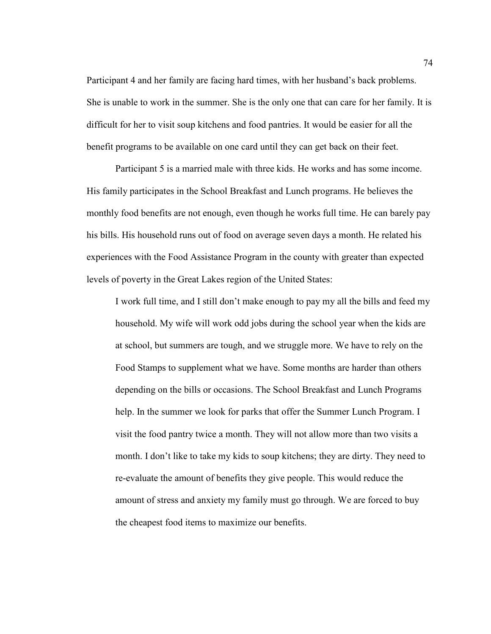Participant 4 and her family are facing hard times, with her husband's back problems. She is unable to work in the summer. She is the only one that can care for her family. It is difficult for her to visit soup kitchens and food pantries. It would be easier for all the benefit programs to be available on one card until they can get back on their feet.

Participant 5 is a married male with three kids. He works and has some income. His family participates in the School Breakfast and Lunch programs. He believes the monthly food benefits are not enough, even though he works full time. He can barely pay his bills. His household runs out of food on average seven days a month. He related his experiences with the Food Assistance Program in the county with greater than expected levels of poverty in the Great Lakes region of the United States:

I work full time, and I still don't make enough to pay my all the bills and feed my household. My wife will work odd jobs during the school year when the kids are at school, but summers are tough, and we struggle more. We have to rely on the Food Stamps to supplement what we have. Some months are harder than others depending on the bills or occasions. The School Breakfast and Lunch Programs help. In the summer we look for parks that offer the Summer Lunch Program. I visit the food pantry twice a month. They will not allow more than two visits a month. I don't like to take my kids to soup kitchens; they are dirty. They need to re-evaluate the amount of benefits they give people. This would reduce the amount of stress and anxiety my family must go through. We are forced to buy the cheapest food items to maximize our benefits.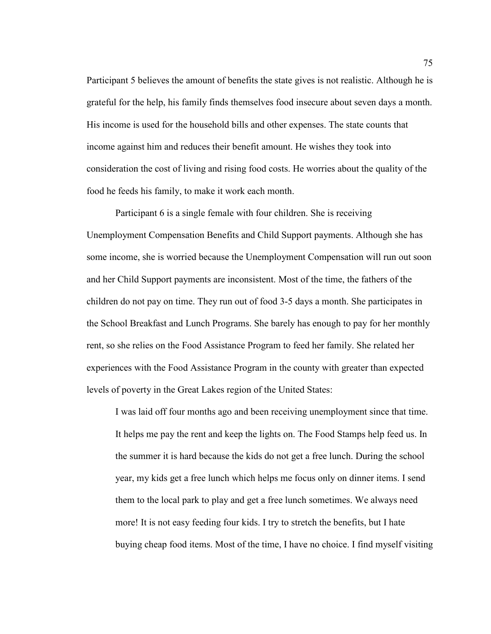Participant 5 believes the amount of benefits the state gives is not realistic. Although he is grateful for the help, his family finds themselves food insecure about seven days a month. His income is used for the household bills and other expenses. The state counts that income against him and reduces their benefit amount. He wishes they took into consideration the cost of living and rising food costs. He worries about the quality of the food he feeds his family, to make it work each month.

Participant 6 is a single female with four children. She is receiving Unemployment Compensation Benefits and Child Support payments. Although she has some income, she is worried because the Unemployment Compensation will run out soon and her Child Support payments are inconsistent. Most of the time, the fathers of the children do not pay on time. They run out of food 3-5 days a month. She participates in the School Breakfast and Lunch Programs. She barely has enough to pay for her monthly rent, so she relies on the Food Assistance Program to feed her family. She related her experiences with the Food Assistance Program in the county with greater than expected levels of poverty in the Great Lakes region of the United States:

I was laid off four months ago and been receiving unemployment since that time. It helps me pay the rent and keep the lights on. The Food Stamps help feed us. In the summer it is hard because the kids do not get a free lunch. During the school year, my kids get a free lunch which helps me focus only on dinner items. I send them to the local park to play and get a free lunch sometimes. We always need more! It is not easy feeding four kids. I try to stretch the benefits, but I hate buying cheap food items. Most of the time, I have no choice. I find myself visiting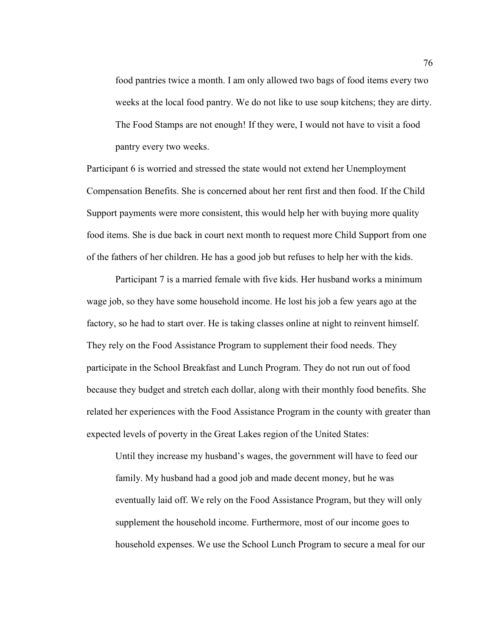food pantries twice a month. I am only allowed two bags of food items every two weeks at the local food pantry. We do not like to use soup kitchens; they are dirty. The Food Stamps are not enough! If they were, I would not have to visit a food pantry every two weeks.

Participant 6 is worried and stressed the state would not extend her Unemployment Compensation Benefits. She is concerned about her rent first and then food. If the Child Support payments were more consistent, this would help her with buying more quality food items. She is due back in court next month to request more Child Support from one of the fathers of her children. He has a good job but refuses to help her with the kids.

Participant 7 is a married female with five kids. Her husband works a minimum wage job, so they have some household income. He lost his job a few years ago at the factory, so he had to start over. He is taking classes online at night to reinvent himself. They rely on the Food Assistance Program to supplement their food needs. They participate in the School Breakfast and Lunch Program. They do not run out of food because they budget and stretch each dollar, along with their monthly food benefits. She related her experiences with the Food Assistance Program in the county with greater than expected levels of poverty in the Great Lakes region of the United States:

Until they increase my husband's wages, the government will have to feed our family. My husband had a good job and made decent money, but he was eventually laid off. We rely on the Food Assistance Program, but they will only supplement the household income. Furthermore, most of our income goes to household expenses. We use the School Lunch Program to secure a meal for our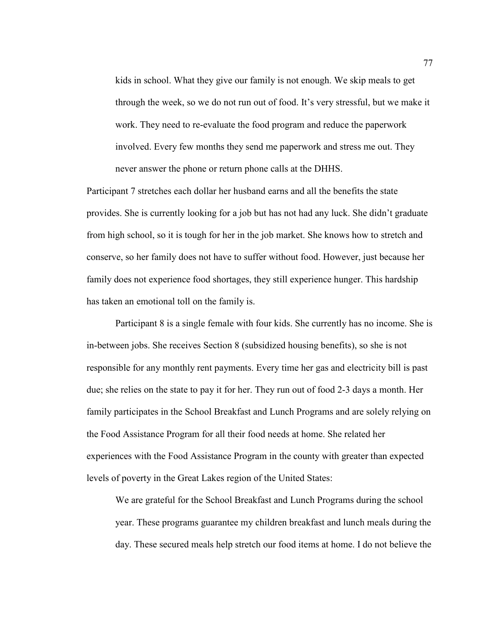kids in school. What they give our family is not enough. We skip meals to get through the week, so we do not run out of food. It's very stressful, but we make it work. They need to re-evaluate the food program and reduce the paperwork involved. Every few months they send me paperwork and stress me out. They never answer the phone or return phone calls at the DHHS.

Participant 7 stretches each dollar her husband earns and all the benefits the state provides. She is currently looking for a job but has not had any luck. She didn't graduate from high school, so it is tough for her in the job market. She knows how to stretch and conserve, so her family does not have to suffer without food. However, just because her family does not experience food shortages, they still experience hunger. This hardship has taken an emotional toll on the family is.

Participant 8 is a single female with four kids. She currently has no income. She is in-between jobs. She receives Section 8 (subsidized housing benefits), so she is not responsible for any monthly rent payments. Every time her gas and electricity bill is past due; she relies on the state to pay it for her. They run out of food 2-3 days a month. Her family participates in the School Breakfast and Lunch Programs and are solely relying on the Food Assistance Program for all their food needs at home. She related her experiences with the Food Assistance Program in the county with greater than expected levels of poverty in the Great Lakes region of the United States:

We are grateful for the School Breakfast and Lunch Programs during the school year. These programs guarantee my children breakfast and lunch meals during the day. These secured meals help stretch our food items at home. I do not believe the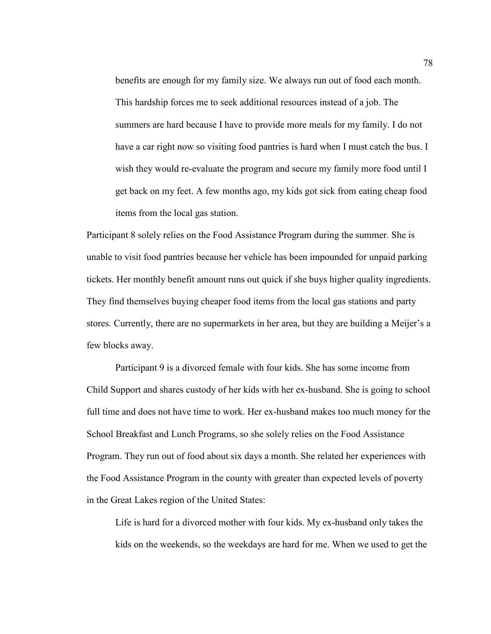benefits are enough for my family size. We always run out of food each month. This hardship forces me to seek additional resources instead of a job. The summers are hard because I have to provide more meals for my family. I do not have a car right now so visiting food pantries is hard when I must catch the bus. I wish they would re-evaluate the program and secure my family more food until I get back on my feet. A few months ago, my kids got sick from eating cheap food items from the local gas station.

Participant 8 solely relies on the Food Assistance Program during the summer. She is unable to visit food pantries because her vehicle has been impounded for unpaid parking tickets. Her monthly benefit amount runs out quick if she buys higher quality ingredients. They find themselves buying cheaper food items from the local gas stations and party stores. Currently, there are no supermarkets in her area, but they are building a Meijer's a few blocks away.

Participant 9 is a divorced female with four kids. She has some income from Child Support and shares custody of her kids with her ex-husband. She is going to school full time and does not have time to work. Her ex-husband makes too much money for the School Breakfast and Lunch Programs, so she solely relies on the Food Assistance Program. They run out of food about six days a month. She related her experiences with the Food Assistance Program in the county with greater than expected levels of poverty in the Great Lakes region of the United States:

Life is hard for a divorced mother with four kids. My ex-husband only takes the kids on the weekends, so the weekdays are hard for me. When we used to get the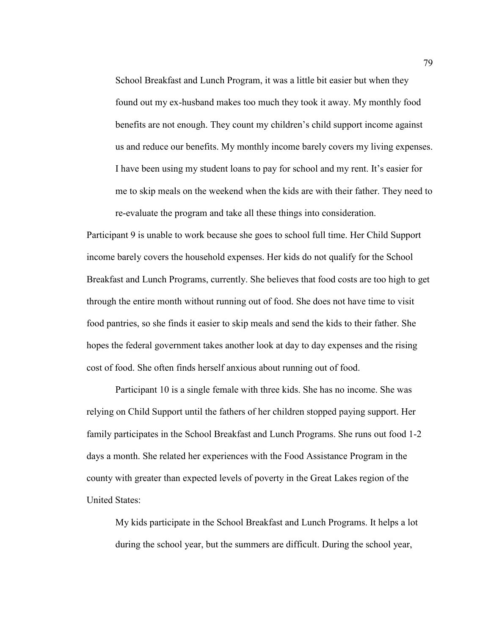School Breakfast and Lunch Program, it was a little bit easier but when they found out my ex-husband makes too much they took it away. My monthly food benefits are not enough. They count my children's child support income against us and reduce our benefits. My monthly income barely covers my living expenses. I have been using my student loans to pay for school and my rent. It's easier for me to skip meals on the weekend when the kids are with their father. They need to re-evaluate the program and take all these things into consideration.

Participant 9 is unable to work because she goes to school full time. Her Child Support income barely covers the household expenses. Her kids do not qualify for the School Breakfast and Lunch Programs, currently. She believes that food costs are too high to get through the entire month without running out of food. She does not have time to visit food pantries, so she finds it easier to skip meals and send the kids to their father. She hopes the federal government takes another look at day to day expenses and the rising cost of food. She often finds herself anxious about running out of food.

Participant 10 is a single female with three kids. She has no income. She was relying on Child Support until the fathers of her children stopped paying support. Her family participates in the School Breakfast and Lunch Programs. She runs out food 1-2 days a month. She related her experiences with the Food Assistance Program in the county with greater than expected levels of poverty in the Great Lakes region of the United States:

My kids participate in the School Breakfast and Lunch Programs. It helps a lot during the school year, but the summers are difficult. During the school year,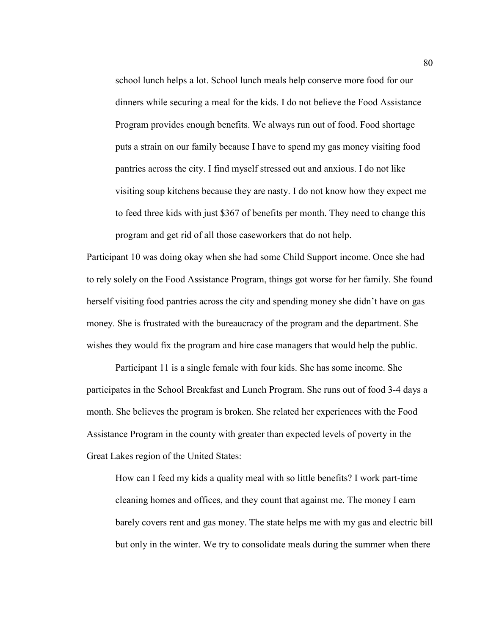school lunch helps a lot. School lunch meals help conserve more food for our dinners while securing a meal for the kids. I do not believe the Food Assistance Program provides enough benefits. We always run out of food. Food shortage puts a strain on our family because I have to spend my gas money visiting food pantries across the city. I find myself stressed out and anxious. I do not like visiting soup kitchens because they are nasty. I do not know how they expect me to feed three kids with just \$367 of benefits per month. They need to change this program and get rid of all those caseworkers that do not help.

Participant 10 was doing okay when she had some Child Support income. Once she had to rely solely on the Food Assistance Program, things got worse for her family. She found herself visiting food pantries across the city and spending money she didn't have on gas money. She is frustrated with the bureaucracy of the program and the department. She wishes they would fix the program and hire case managers that would help the public.

Participant 11 is a single female with four kids. She has some income. She participates in the School Breakfast and Lunch Program. She runs out of food 3-4 days a month. She believes the program is broken. She related her experiences with the Food Assistance Program in the county with greater than expected levels of poverty in the Great Lakes region of the United States:

How can I feed my kids a quality meal with so little benefits? I work part-time cleaning homes and offices, and they count that against me. The money I earn barely covers rent and gas money. The state helps me with my gas and electric bill but only in the winter. We try to consolidate meals during the summer when there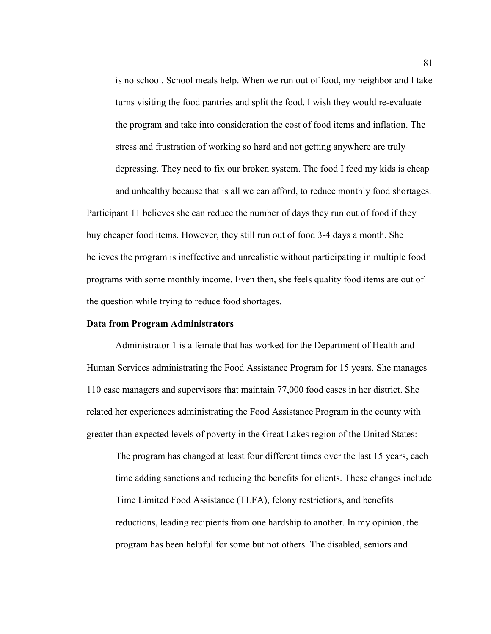is no school. School meals help. When we run out of food, my neighbor and I take turns visiting the food pantries and split the food. I wish they would re-evaluate the program and take into consideration the cost of food items and inflation. The stress and frustration of working so hard and not getting anywhere are truly depressing. They need to fix our broken system. The food I feed my kids is cheap and unhealthy because that is all we can afford, to reduce monthly food shortages.

Participant 11 believes she can reduce the number of days they run out of food if they buy cheaper food items. However, they still run out of food 3-4 days a month. She believes the program is ineffective and unrealistic without participating in multiple food programs with some monthly income. Even then, she feels quality food items are out of the question while trying to reduce food shortages.

# **Data from Program Administrators**

Administrator 1 is a female that has worked for the Department of Health and Human Services administrating the Food Assistance Program for 15 years. She manages 110 case managers and supervisors that maintain 77,000 food cases in her district. She related her experiences administrating the Food Assistance Program in the county with greater than expected levels of poverty in the Great Lakes region of the United States:

The program has changed at least four different times over the last 15 years, each time adding sanctions and reducing the benefits for clients. These changes include Time Limited Food Assistance (TLFA), felony restrictions, and benefits reductions, leading recipients from one hardship to another. In my opinion, the program has been helpful for some but not others. The disabled, seniors and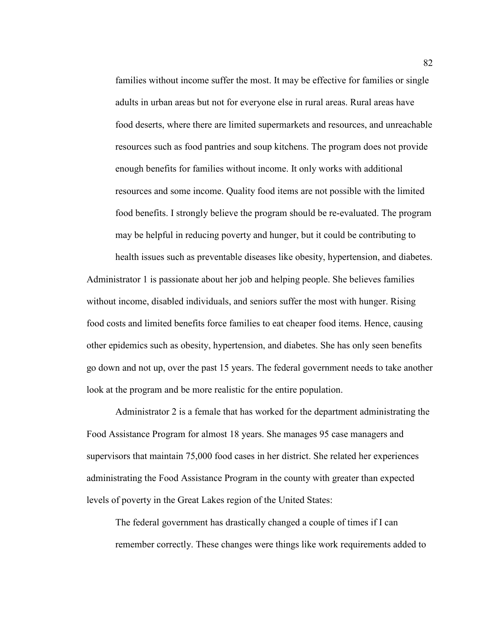families without income suffer the most. It may be effective for families or single adults in urban areas but not for everyone else in rural areas. Rural areas have food deserts, where there are limited supermarkets and resources, and unreachable resources such as food pantries and soup kitchens. The program does not provide enough benefits for families without income. It only works with additional resources and some income. Quality food items are not possible with the limited food benefits. I strongly believe the program should be re-evaluated. The program may be helpful in reducing poverty and hunger, but it could be contributing to

health issues such as preventable diseases like obesity, hypertension, and diabetes. Administrator 1 is passionate about her job and helping people. She believes families without income, disabled individuals, and seniors suffer the most with hunger. Rising food costs and limited benefits force families to eat cheaper food items. Hence, causing other epidemics such as obesity, hypertension, and diabetes. She has only seen benefits go down and not up, over the past 15 years. The federal government needs to take another look at the program and be more realistic for the entire population.

Administrator 2 is a female that has worked for the department administrating the Food Assistance Program for almost 18 years. She manages 95 case managers and supervisors that maintain 75,000 food cases in her district. She related her experiences administrating the Food Assistance Program in the county with greater than expected levels of poverty in the Great Lakes region of the United States:

The federal government has drastically changed a couple of times if I can remember correctly. These changes were things like work requirements added to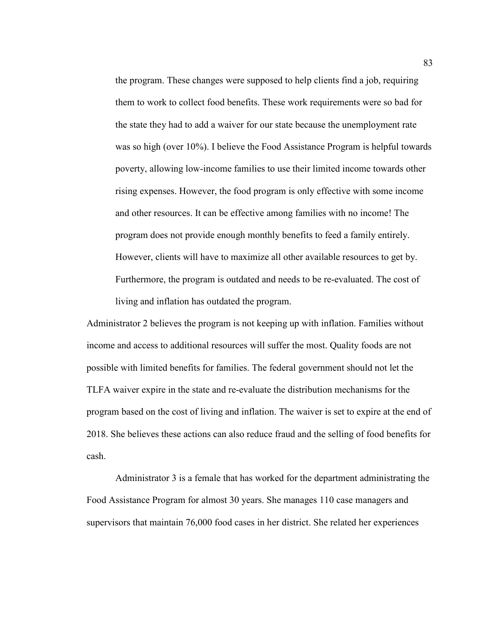the program. These changes were supposed to help clients find a job, requiring them to work to collect food benefits. These work requirements were so bad for the state they had to add a waiver for our state because the unemployment rate was so high (over 10%). I believe the Food Assistance Program is helpful towards poverty, allowing low-income families to use their limited income towards other rising expenses. However, the food program is only effective with some income and other resources. It can be effective among families with no income! The program does not provide enough monthly benefits to feed a family entirely. However, clients will have to maximize all other available resources to get by. Furthermore, the program is outdated and needs to be re-evaluated. The cost of living and inflation has outdated the program.

Administrator 2 believes the program is not keeping up with inflation. Families without income and access to additional resources will suffer the most. Quality foods are not possible with limited benefits for families. The federal government should not let the TLFA waiver expire in the state and re-evaluate the distribution mechanisms for the program based on the cost of living and inflation. The waiver is set to expire at the end of 2018. She believes these actions can also reduce fraud and the selling of food benefits for cash.

Administrator 3 is a female that has worked for the department administrating the Food Assistance Program for almost 30 years. She manages 110 case managers and supervisors that maintain 76,000 food cases in her district. She related her experiences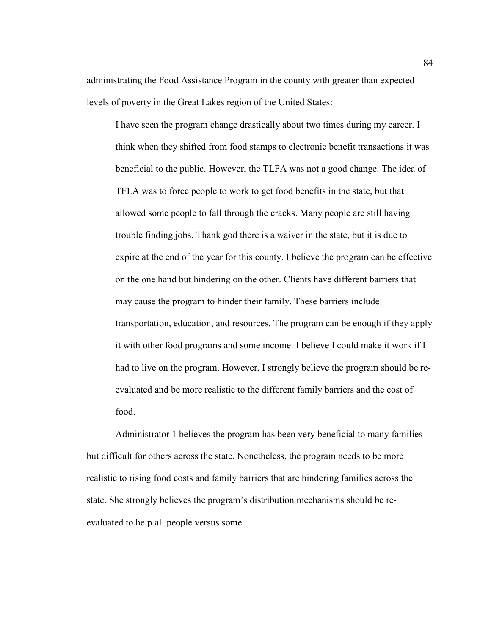administrating the Food Assistance Program in the county with greater than expected levels of poverty in the Great Lakes region of the United States:

I have seen the program change drastically about two times during my career. I think when they shifted from food stamps to electronic benefit transactions it was beneficial to the public. However, the TLFA was not a good change. The idea of TFLA was to force people to work to get food benefits in the state, but that allowed some people to fall through the cracks. Many people are still having trouble finding jobs. Thank god there is a waiver in the state, but it is due to expire at the end of the year for this county. I believe the program can be effective on the one hand but hindering on the other. Clients have different barriers that may cause the program to hinder their family. These barriers include transportation, education, and resources. The program can be enough if they apply it with other food programs and some income. I believe I could make it work if I had to live on the program. However, I strongly believe the program should be reevaluated and be more realistic to the different family barriers and the cost of food.

Administrator 1 believes the program has been very beneficial to many families but difficult for others across the state. Nonetheless, the program needs to be more realistic to rising food costs and family barriers that are hindering families across the state. She strongly believes the program's distribution mechanisms should be reevaluated to help all people versus some.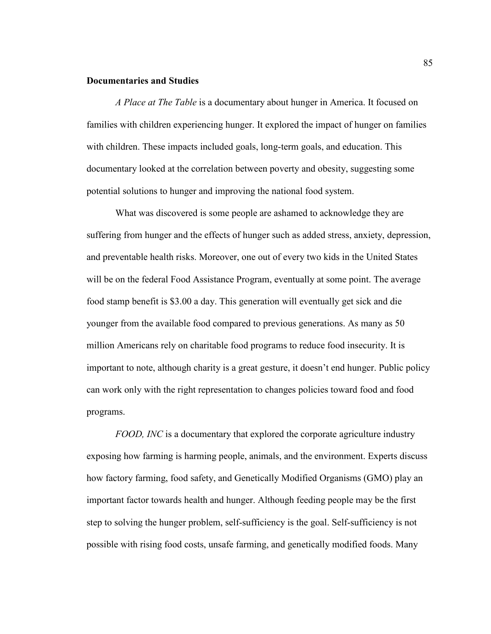#### **Documentaries and Studies**

*A Place at The Table* is a documentary about hunger in America. It focused on families with children experiencing hunger. It explored the impact of hunger on families with children. These impacts included goals, long-term goals, and education. This documentary looked at the correlation between poverty and obesity, suggesting some potential solutions to hunger and improving the national food system.

What was discovered is some people are ashamed to acknowledge they are suffering from hunger and the effects of hunger such as added stress, anxiety, depression, and preventable health risks. Moreover, one out of every two kids in the United States will be on the federal Food Assistance Program, eventually at some point. The average food stamp benefit is \$3.00 a day. This generation will eventually get sick and die younger from the available food compared to previous generations. As many as 50 million Americans rely on charitable food programs to reduce food insecurity. It is important to note, although charity is a great gesture, it doesn't end hunger. Public policy can work only with the right representation to changes policies toward food and food programs.

*FOOD, INC* is a documentary that explored the corporate agriculture industry exposing how farming is harming people, animals, and the environment. Experts discuss how factory farming, food safety, and Genetically Modified Organisms (GMO) play an important factor towards health and hunger. Although feeding people may be the first step to solving the hunger problem, self-sufficiency is the goal. Self-sufficiency is not possible with rising food costs, unsafe farming, and genetically modified foods. Many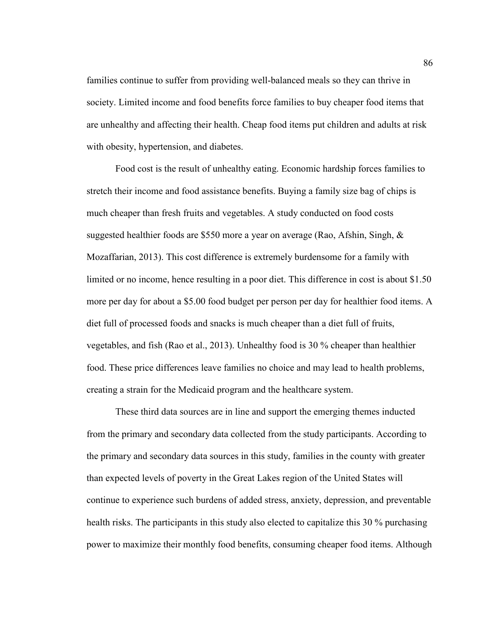families continue to suffer from providing well-balanced meals so they can thrive in society. Limited income and food benefits force families to buy cheaper food items that are unhealthy and affecting their health. Cheap food items put children and adults at risk with obesity, hypertension, and diabetes.

Food cost is the result of unhealthy eating. Economic hardship forces families to stretch their income and food assistance benefits. Buying a family size bag of chips is much cheaper than fresh fruits and vegetables. A study conducted on food costs suggested healthier foods are \$550 more a year on average (Rao, Afshin, Singh, & Mozaffarian, 2013). This cost difference is extremely burdensome for a family with limited or no income, hence resulting in a poor diet. This difference in cost is about \$1.50 more per day for about a \$5.00 food budget per person per day for healthier food items. A diet full of processed foods and snacks is much cheaper than a diet full of fruits, vegetables, and fish (Rao et al., 2013). Unhealthy food is 30 % cheaper than healthier food. These price differences leave families no choice and may lead to health problems, creating a strain for the Medicaid program and the healthcare system.

These third data sources are in line and support the emerging themes inducted from the primary and secondary data collected from the study participants. According to the primary and secondary data sources in this study, families in the county with greater than expected levels of poverty in the Great Lakes region of the United States will continue to experience such burdens of added stress, anxiety, depression, and preventable health risks. The participants in this study also elected to capitalize this 30 % purchasing power to maximize their monthly food benefits, consuming cheaper food items. Although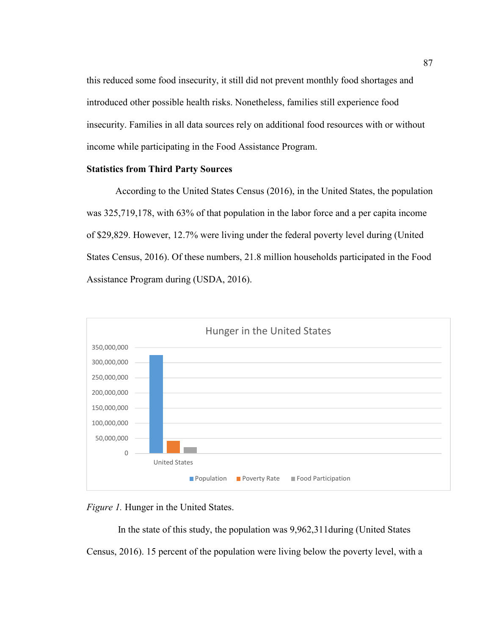this reduced some food insecurity, it still did not prevent monthly food shortages and introduced other possible health risks. Nonetheless, families still experience food insecurity. Families in all data sources rely on additional food resources with or without income while participating in the Food Assistance Program.

### **Statistics from Third Party Sources**

According to the United States Census (2016), in the United States, the population was 325,719,178, with 63% of that population in the labor force and a per capita income of \$29,829. However, 12.7% were living under the federal poverty level during (United States Census, 2016). Of these numbers, 21.8 million households participated in the Food Assistance Program during (USDA, 2016).



*Figure 1.* Hunger in the United States.

In the state of this study, the population was 9,962,311during (United States

Census, 2016). 15 percent of the population were living below the poverty level, with a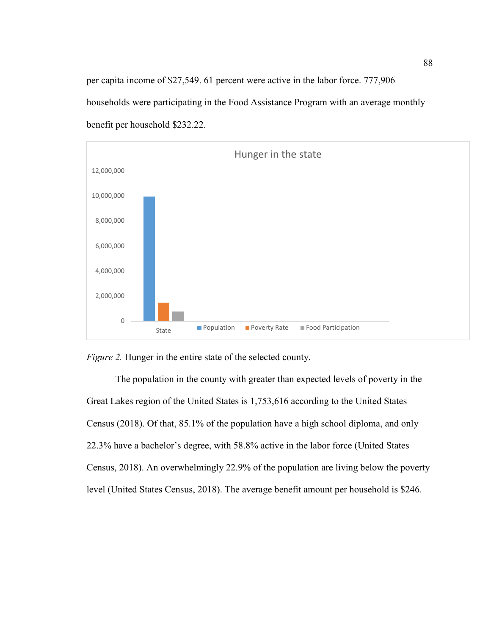per capita income of \$27,549. 61 percent were active in the labor force. 777,906 households were participating in the Food Assistance Program with an average monthly benefit per household \$232.22.



*Figure 2.* Hunger in the entire state of the selected county.

The population in the county with greater than expected levels of poverty in the Great Lakes region of the United States is 1,753,616 according to the United States Census (2018). Of that, 85.1% of the population have a high school diploma, and only 22.3% have a bachelor's degree, with 58.8% active in the labor force (United States Census, 2018). An overwhelmingly 22.9% of the population are living below the poverty level (United States Census, 2018). The average benefit amount per household is \$246.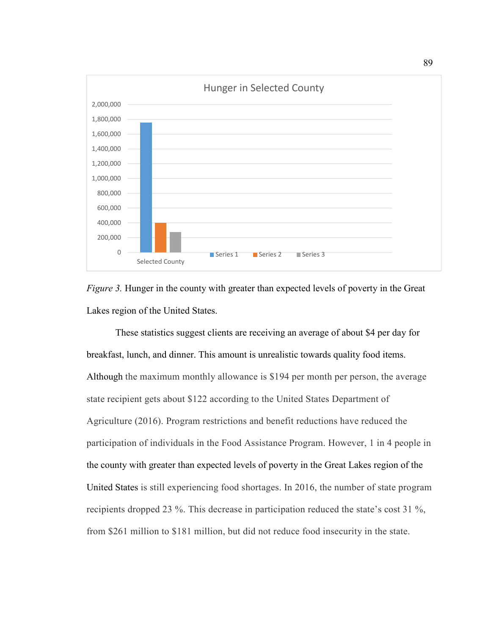

*Figure 3.* Hunger in the county with greater than expected levels of poverty in the Great Lakes region of the United States.

These statistics suggest clients are receiving an average of about \$4 per day for breakfast, lunch, and dinner. This amount is unrealistic towards quality food items. Although the maximum monthly allowance is \$194 per month per person, the average state recipient gets about \$122 according to the United States Department of Agriculture (2016). Program restrictions and benefit reductions have reduced the participation of individuals in the Food Assistance Program. However, 1 in 4 people in the county with greater than expected levels of poverty in the Great Lakes region of the United States is still experiencing food shortages. In 2016, the number of state program recipients dropped 23 %. This decrease in participation reduced the state's cost 31 %, from \$261 million to \$181 million, but did not reduce food insecurity in the state.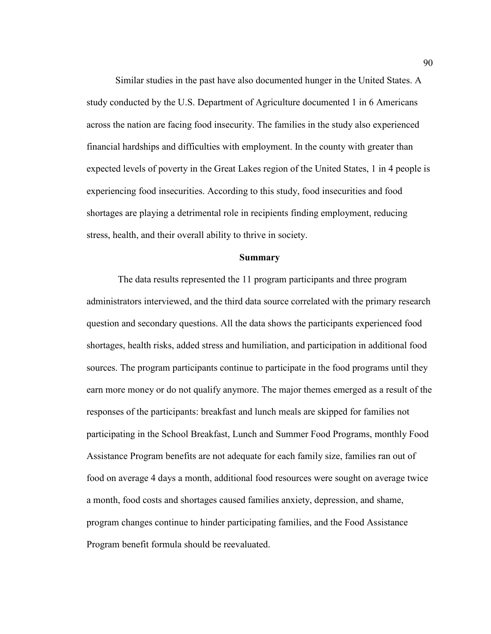Similar studies in the past have also documented hunger in the United States. A study conducted by the U.S. Department of Agriculture documented 1 in 6 Americans across the nation are facing food insecurity. The families in the study also experienced financial hardships and difficulties with employment. In the county with greater than expected levels of poverty in the Great Lakes region of the United States, 1 in 4 people is experiencing food insecurities. According to this study, food insecurities and food shortages are playing a detrimental role in recipients finding employment, reducing stress, health, and their overall ability to thrive in society.

#### **Summary**

 The data results represented the 11 program participants and three program administrators interviewed, and the third data source correlated with the primary research question and secondary questions. All the data shows the participants experienced food shortages, health risks, added stress and humiliation, and participation in additional food sources. The program participants continue to participate in the food programs until they earn more money or do not qualify anymore. The major themes emerged as a result of the responses of the participants: breakfast and lunch meals are skipped for families not participating in the School Breakfast, Lunch and Summer Food Programs, monthly Food Assistance Program benefits are not adequate for each family size, families ran out of food on average 4 days a month, additional food resources were sought on average twice a month, food costs and shortages caused families anxiety, depression, and shame, program changes continue to hinder participating families, and the Food Assistance Program benefit formula should be reevaluated.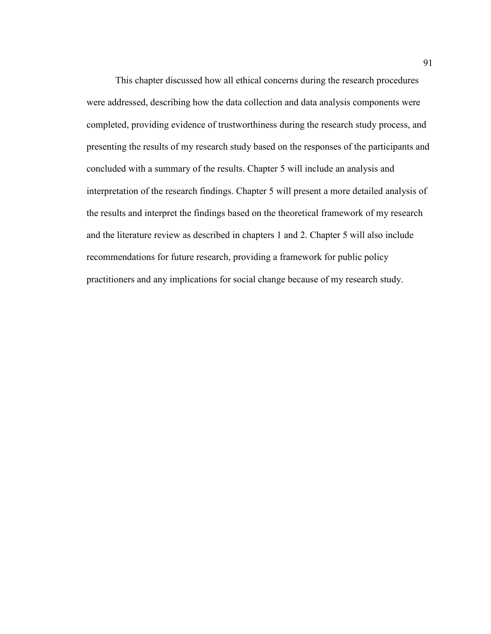This chapter discussed how all ethical concerns during the research procedures were addressed, describing how the data collection and data analysis components were completed, providing evidence of trustworthiness during the research study process, and presenting the results of my research study based on the responses of the participants and concluded with a summary of the results. Chapter 5 will include an analysis and interpretation of the research findings. Chapter 5 will present a more detailed analysis of the results and interpret the findings based on the theoretical framework of my research and the literature review as described in chapters 1 and 2. Chapter 5 will also include recommendations for future research, providing a framework for public policy practitioners and any implications for social change because of my research study.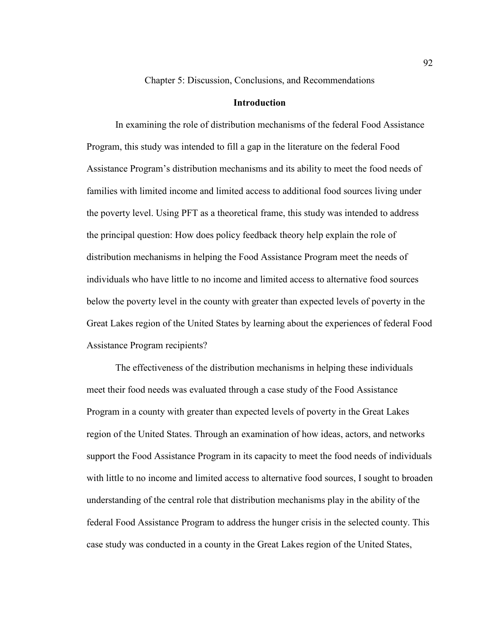Chapter 5: Discussion, Conclusions, and Recommendations

## **Introduction**

In examining the role of distribution mechanisms of the federal Food Assistance Program, this study was intended to fill a gap in the literature on the federal Food Assistance Program's distribution mechanisms and its ability to meet the food needs of families with limited income and limited access to additional food sources living under the poverty level. Using PFT as a theoretical frame, this study was intended to address the principal question: How does policy feedback theory help explain the role of distribution mechanisms in helping the Food Assistance Program meet the needs of individuals who have little to no income and limited access to alternative food sources below the poverty level in the county with greater than expected levels of poverty in the Great Lakes region of the United States by learning about the experiences of federal Food Assistance Program recipients?

The effectiveness of the distribution mechanisms in helping these individuals meet their food needs was evaluated through a case study of the Food Assistance Program in a county with greater than expected levels of poverty in the Great Lakes region of the United States. Through an examination of how ideas, actors, and networks support the Food Assistance Program in its capacity to meet the food needs of individuals with little to no income and limited access to alternative food sources, I sought to broaden understanding of the central role that distribution mechanisms play in the ability of the federal Food Assistance Program to address the hunger crisis in the selected county. This case study was conducted in a county in the Great Lakes region of the United States,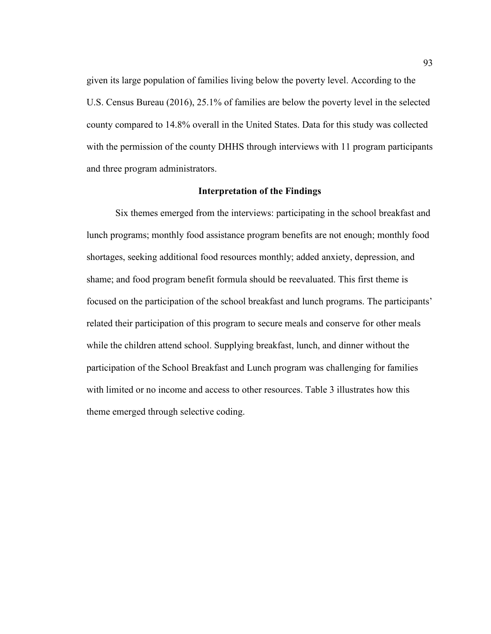given its large population of families living below the poverty level. According to the U.S. Census Bureau (2016), 25.1% of families are below the poverty level in the selected county compared to 14.8% overall in the United States. Data for this study was collected with the permission of the county DHHS through interviews with 11 program participants and three program administrators.

## **Interpretation of the Findings**

Six themes emerged from the interviews: participating in the school breakfast and lunch programs; monthly food assistance program benefits are not enough; monthly food shortages, seeking additional food resources monthly; added anxiety, depression, and shame; and food program benefit formula should be reevaluated. This first theme is focused on the participation of the school breakfast and lunch programs. The participants' related their participation of this program to secure meals and conserve for other meals while the children attend school. Supplying breakfast, lunch, and dinner without the participation of the School Breakfast and Lunch program was challenging for families with limited or no income and access to other resources. Table 3 illustrates how this theme emerged through selective coding.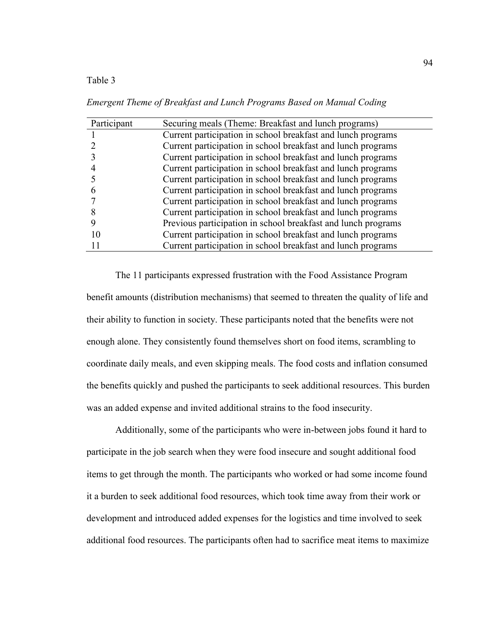Table 3

Participant Securing meals (Theme: Breakfast and lunch programs) 1 Current participation in school breakfast and lunch programs 2 Current participation in school breakfast and lunch programs 3 Current participation in school breakfast and lunch programs 4 Current participation in school breakfast and lunch programs 5 Current participation in school breakfast and lunch programs 6 Current participation in school breakfast and lunch programs 7 Current participation in school breakfast and lunch programs 8 Current participation in school breakfast and lunch programs 9 Previous participation in school breakfast and lunch programs 10 Current participation in school breakfast and lunch programs 11 Current participation in school breakfast and lunch programs

*Emergent Theme of Breakfast and Lunch Programs Based on Manual Coding*

The 11 participants expressed frustration with the Food Assistance Program benefit amounts (distribution mechanisms) that seemed to threaten the quality of life and their ability to function in society. These participants noted that the benefits were not enough alone. They consistently found themselves short on food items, scrambling to coordinate daily meals, and even skipping meals. The food costs and inflation consumed the benefits quickly and pushed the participants to seek additional resources. This burden was an added expense and invited additional strains to the food insecurity.

Additionally, some of the participants who were in-between jobs found it hard to participate in the job search when they were food insecure and sought additional food items to get through the month. The participants who worked or had some income found it a burden to seek additional food resources, which took time away from their work or development and introduced added expenses for the logistics and time involved to seek additional food resources. The participants often had to sacrifice meat items to maximize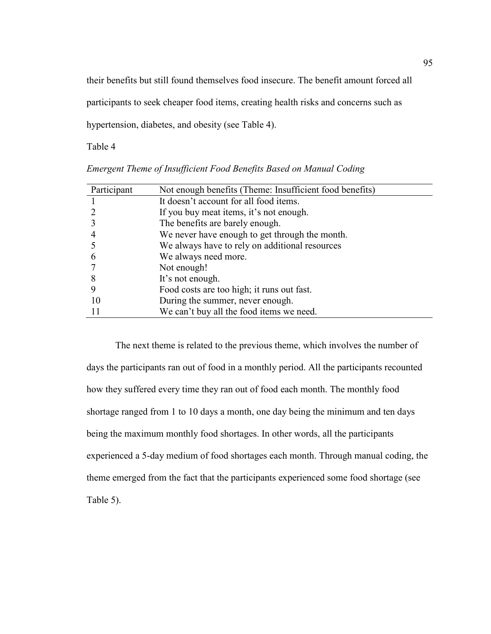their benefits but still found themselves food insecure. The benefit amount forced all

participants to seek cheaper food items, creating health risks and concerns such as

hypertension, diabetes, and obesity (see Table 4).

Table 4

| Participant   | Not enough benefits (Theme: Insufficient food benefits) |
|---------------|---------------------------------------------------------|
|               | It doesn't account for all food items.                  |
|               | If you buy meat items, it's not enough.                 |
|               | The benefits are barely enough.                         |
|               | We never have enough to get through the month.          |
|               | We always have to rely on additional resources          |
| $\mathfrak b$ | We always need more.                                    |
|               | Not enough!                                             |
| 8             | It's not enough.                                        |
|               | Food costs are too high; it runs out fast.              |
| 10            | During the summer, never enough.                        |
|               | We can't buy all the food items we need.                |

*Emergent Theme of Insufficient Food Benefits Based on Manual Coding*

The next theme is related to the previous theme, which involves the number of days the participants ran out of food in a monthly period. All the participants recounted how they suffered every time they ran out of food each month. The monthly food shortage ranged from 1 to 10 days a month, one day being the minimum and ten days being the maximum monthly food shortages. In other words, all the participants experienced a 5-day medium of food shortages each month. Through manual coding, the theme emerged from the fact that the participants experienced some food shortage (see Table 5).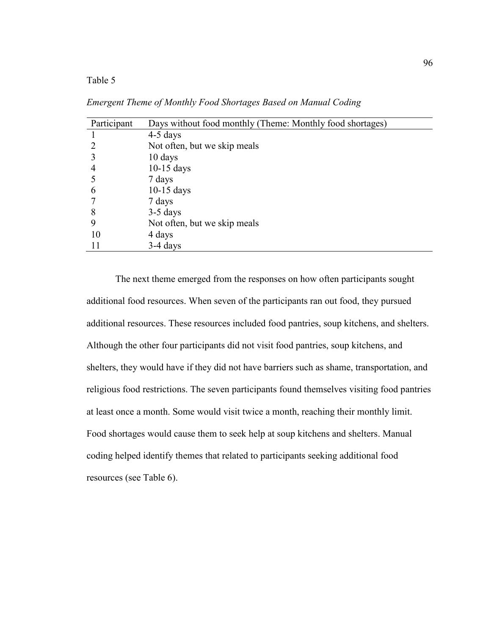| Participant | Days without food monthly (Theme: Monthly food shortages) |
|-------------|-----------------------------------------------------------|
|             | $4-5$ days                                                |
|             | Not often, but we skip meals                              |
|             | 10 days                                                   |
| 4           | $10-15$ days                                              |
|             | 7 days                                                    |
| 6           | $10-15$ days                                              |
|             | 7 days                                                    |
| 8           | $3-5$ days                                                |
| 9           | Not often, but we skip meals                              |
| 10          | 4 days                                                    |
| 11          | $3-4$ days                                                |

*Emergent Theme of Monthly Food Shortages Based on Manual Coding*

The next theme emerged from the responses on how often participants sought additional food resources. When seven of the participants ran out food, they pursued additional resources. These resources included food pantries, soup kitchens, and shelters. Although the other four participants did not visit food pantries, soup kitchens, and shelters, they would have if they did not have barriers such as shame, transportation, and religious food restrictions. The seven participants found themselves visiting food pantries at least once a month. Some would visit twice a month, reaching their monthly limit. Food shortages would cause them to seek help at soup kitchens and shelters. Manual coding helped identify themes that related to participants seeking additional food resources (see Table 6).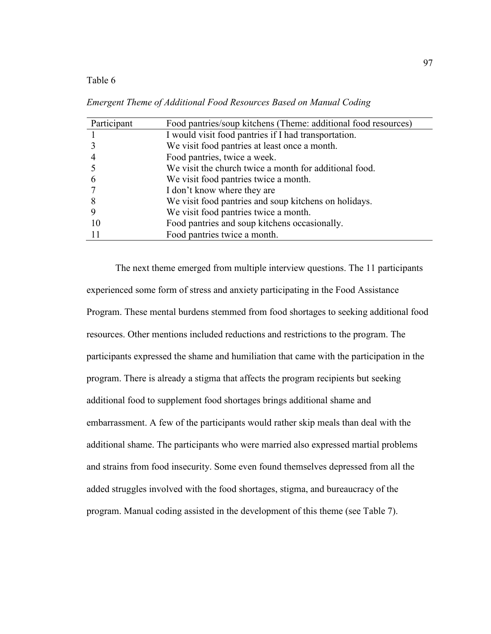| Participant   | Food pantries/soup kitchens (Theme: additional food resources) |
|---------------|----------------------------------------------------------------|
|               | I would visit food pantries if I had transportation.           |
|               | We visit food pantries at least once a month.                  |
|               | Food pantries, twice a week.                                   |
|               | We visit the church twice a month for additional food.         |
| $\mathfrak b$ | We visit food pantries twice a month.                          |
|               | I don't know where they are                                    |
| 8             | We visit food pantries and soup kitchens on holidays.          |
|               | We visit food pantries twice a month.                          |
| 10            | Food pantries and soup kitchens occasionally.                  |
|               | Food pantries twice a month.                                   |

*Emergent Theme of Additional Food Resources Based on Manual Coding*

The next theme emerged from multiple interview questions. The 11 participants experienced some form of stress and anxiety participating in the Food Assistance Program. These mental burdens stemmed from food shortages to seeking additional food resources. Other mentions included reductions and restrictions to the program. The participants expressed the shame and humiliation that came with the participation in the program. There is already a stigma that affects the program recipients but seeking additional food to supplement food shortages brings additional shame and embarrassment. A few of the participants would rather skip meals than deal with the additional shame. The participants who were married also expressed martial problems and strains from food insecurity. Some even found themselves depressed from all the added struggles involved with the food shortages, stigma, and bureaucracy of the program. Manual coding assisted in the development of this theme (see Table 7).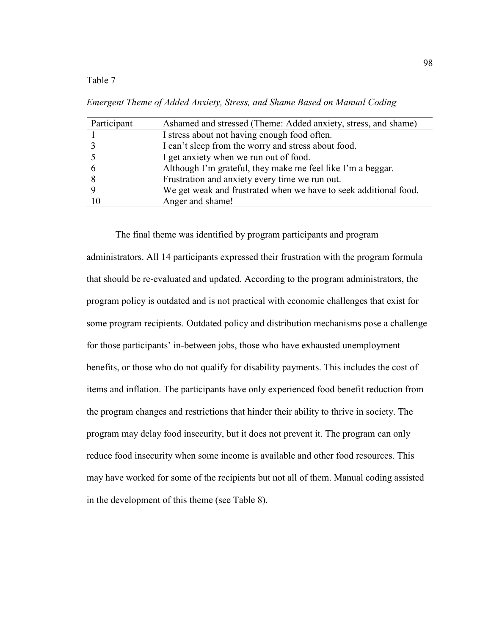*Emergent Theme of Added Anxiety, Stress, and Shame Based on Manual Coding*

| Participant | Ashamed and stressed (Theme: Added anxiety, stress, and shame)   |
|-------------|------------------------------------------------------------------|
|             | I stress about not having enough food often.                     |
|             | I can't sleep from the worry and stress about food.              |
|             | I get anxiety when we run out of food.                           |
|             | Although I'm grateful, they make me feel like I'm a beggar.      |
|             | Frustration and anxiety every time we run out.                   |
|             | We get weak and frustrated when we have to seek additional food. |
| 10          | Anger and shame!                                                 |

The final theme was identified by program participants and program administrators. All 14 participants expressed their frustration with the program formula that should be re-evaluated and updated. According to the program administrators, the program policy is outdated and is not practical with economic challenges that exist for some program recipients. Outdated policy and distribution mechanisms pose a challenge for those participants' in-between jobs, those who have exhausted unemployment benefits, or those who do not qualify for disability payments. This includes the cost of items and inflation. The participants have only experienced food benefit reduction from the program changes and restrictions that hinder their ability to thrive in society. The program may delay food insecurity, but it does not prevent it. The program can only reduce food insecurity when some income is available and other food resources. This may have worked for some of the recipients but not all of them. Manual coding assisted in the development of this theme (see Table 8).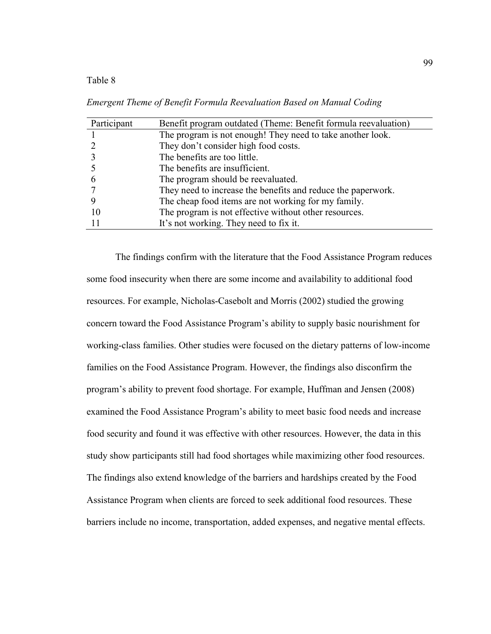*Emergent Theme of Benefit Formula Reevaluation Based on Manual Coding*

| Participant | Benefit program outdated (Theme: Benefit formula reevaluation) |
|-------------|----------------------------------------------------------------|
|             | The program is not enough! They need to take another look.     |
|             | They don't consider high food costs.                           |
|             | The benefits are too little.                                   |
|             | The benefits are insufficient.                                 |
|             | The program should be reevaluated.                             |
|             | They need to increase the benefits and reduce the paperwork.   |
|             | The cheap food items are not working for my family.            |
| 10          | The program is not effective without other resources.          |
|             | It's not working. They need to fix it.                         |
|             |                                                                |

The findings confirm with the literature that the Food Assistance Program reduces some food insecurity when there are some income and availability to additional food resources. For example, Nicholas-Casebolt and Morris (2002) studied the growing concern toward the Food Assistance Program's ability to supply basic nourishment for working-class families. Other studies were focused on the dietary patterns of low-income families on the Food Assistance Program. However, the findings also disconfirm the program's ability to prevent food shortage. For example, Huffman and Jensen (2008) examined the Food Assistance Program's ability to meet basic food needs and increase food security and found it was effective with other resources. However, the data in this study show participants still had food shortages while maximizing other food resources. The findings also extend knowledge of the barriers and hardships created by the Food Assistance Program when clients are forced to seek additional food resources. These barriers include no income, transportation, added expenses, and negative mental effects.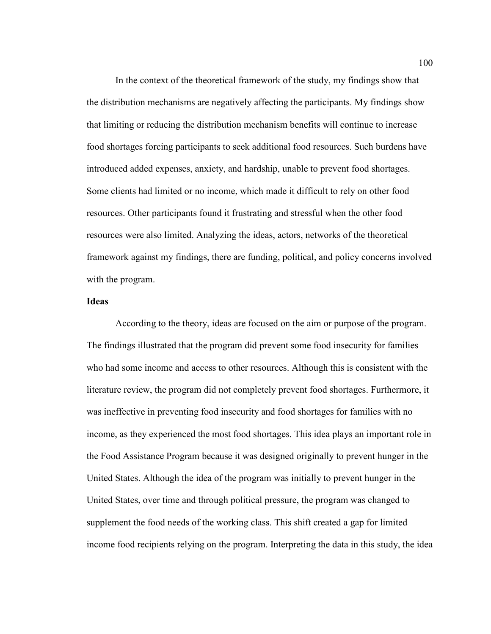In the context of the theoretical framework of the study, my findings show that the distribution mechanisms are negatively affecting the participants. My findings show that limiting or reducing the distribution mechanism benefits will continue to increase food shortages forcing participants to seek additional food resources. Such burdens have introduced added expenses, anxiety, and hardship, unable to prevent food shortages. Some clients had limited or no income, which made it difficult to rely on other food resources. Other participants found it frustrating and stressful when the other food resources were also limited. Analyzing the ideas, actors, networks of the theoretical framework against my findings, there are funding, political, and policy concerns involved with the program.

### **Ideas**

According to the theory, ideas are focused on the aim or purpose of the program. The findings illustrated that the program did prevent some food insecurity for families who had some income and access to other resources. Although this is consistent with the literature review, the program did not completely prevent food shortages. Furthermore, it was ineffective in preventing food insecurity and food shortages for families with no income, as they experienced the most food shortages. This idea plays an important role in the Food Assistance Program because it was designed originally to prevent hunger in the United States. Although the idea of the program was initially to prevent hunger in the United States, over time and through political pressure, the program was changed to supplement the food needs of the working class. This shift created a gap for limited income food recipients relying on the program. Interpreting the data in this study, the idea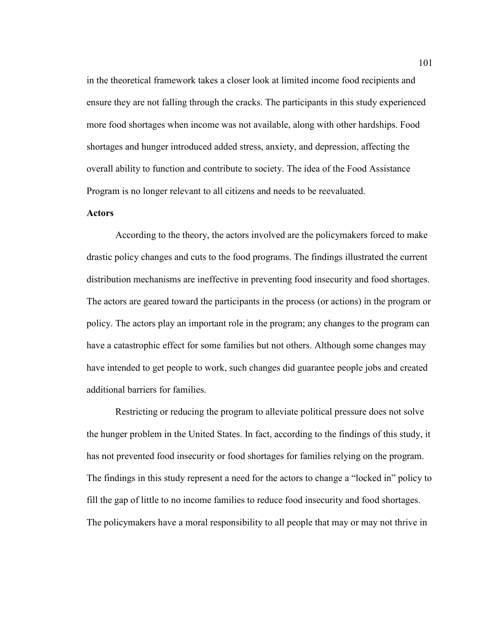in the theoretical framework takes a closer look at limited income food recipients and ensure they are not falling through the cracks. The participants in this study experienced more food shortages when income was not available, along with other hardships. Food shortages and hunger introduced added stress, anxiety, and depression, affecting the overall ability to function and contribute to society. The idea of the Food Assistance Program is no longer relevant to all citizens and needs to be reevaluated.

### **Actors**

According to the theory, the actors involved are the policymakers forced to make drastic policy changes and cuts to the food programs. The findings illustrated the current distribution mechanisms are ineffective in preventing food insecurity and food shortages. The actors are geared toward the participants in the process (or actions) in the program or policy. The actors play an important role in the program; any changes to the program can have a catastrophic effect for some families but not others. Although some changes may have intended to get people to work, such changes did guarantee people jobs and created additional barriers for families.

Restricting or reducing the program to alleviate political pressure does not solve the hunger problem in the United States. In fact, according to the findings of this study, it has not prevented food insecurity or food shortages for families relying on the program. The findings in this study represent a need for the actors to change a "locked in" policy to fill the gap of little to no income families to reduce food insecurity and food shortages. The policymakers have a moral responsibility to all people that may or may not thrive in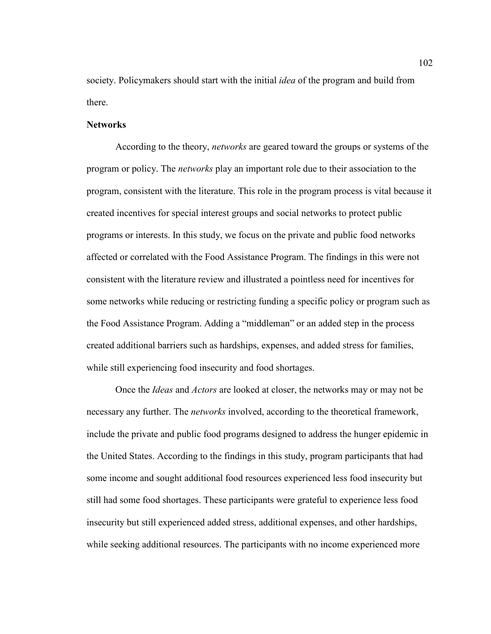society. Policymakers should start with the initial *idea* of the program and build from there.

#### **Networks**

According to the theory, *networks* are geared toward the groups or systems of the program or policy. The *networks* play an important role due to their association to the program, consistent with the literature. This role in the program process is vital because it created incentives for special interest groups and social networks to protect public programs or interests. In this study, we focus on the private and public food networks affected or correlated with the Food Assistance Program. The findings in this were not consistent with the literature review and illustrated a pointless need for incentives for some networks while reducing or restricting funding a specific policy or program such as the Food Assistance Program. Adding a "middleman" or an added step in the process created additional barriers such as hardships, expenses, and added stress for families, while still experiencing food insecurity and food shortages.

Once the *Ideas* and *Actors* are looked at closer, the networks may or may not be necessary any further. The *networks* involved, according to the theoretical framework, include the private and public food programs designed to address the hunger epidemic in the United States. According to the findings in this study, program participants that had some income and sought additional food resources experienced less food insecurity but still had some food shortages. These participants were grateful to experience less food insecurity but still experienced added stress, additional expenses, and other hardships, while seeking additional resources. The participants with no income experienced more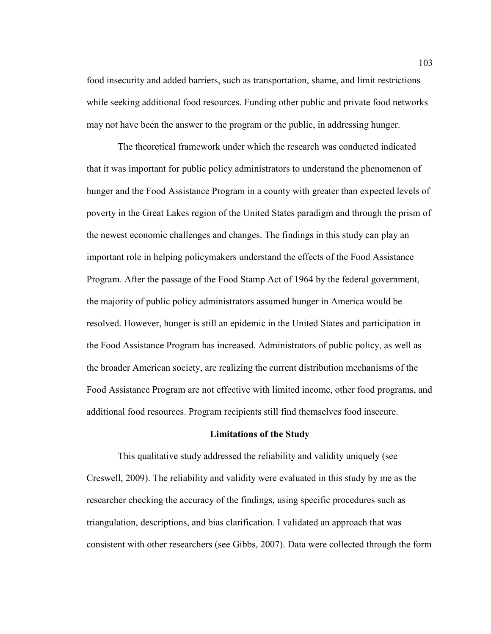food insecurity and added barriers, such as transportation, shame, and limit restrictions while seeking additional food resources. Funding other public and private food networks may not have been the answer to the program or the public, in addressing hunger.

 The theoretical framework under which the research was conducted indicated that it was important for public policy administrators to understand the phenomenon of hunger and the Food Assistance Program in a county with greater than expected levels of poverty in the Great Lakes region of the United States paradigm and through the prism of the newest economic challenges and changes. The findings in this study can play an important role in helping policymakers understand the effects of the Food Assistance Program. After the passage of the Food Stamp Act of 1964 by the federal government, the majority of public policy administrators assumed hunger in America would be resolved. However, hunger is still an epidemic in the United States and participation in the Food Assistance Program has increased. Administrators of public policy, as well as the broader American society, are realizing the current distribution mechanisms of the Food Assistance Program are not effective with limited income, other food programs, and additional food resources. Program recipients still find themselves food insecure.

#### **Limitations of the Study**

 This qualitative study addressed the reliability and validity uniquely (see Creswell, 2009). The reliability and validity were evaluated in this study by me as the researcher checking the accuracy of the findings, using specific procedures such as triangulation, descriptions, and bias clarification. I validated an approach that was consistent with other researchers (see Gibbs, 2007). Data were collected through the form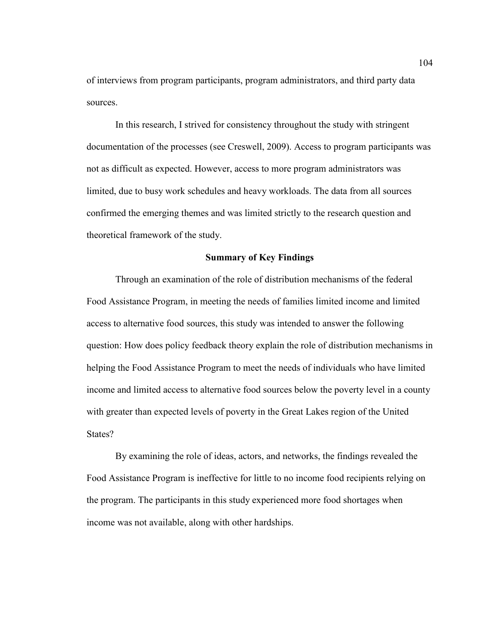of interviews from program participants, program administrators, and third party data sources.

In this research, I strived for consistency throughout the study with stringent documentation of the processes (see Creswell, 2009). Access to program participants was not as difficult as expected. However, access to more program administrators was limited, due to busy work schedules and heavy workloads. The data from all sources confirmed the emerging themes and was limited strictly to the research question and theoretical framework of the study.

#### **Summary of Key Findings**

Through an examination of the role of distribution mechanisms of the federal Food Assistance Program, in meeting the needs of families limited income and limited access to alternative food sources, this study was intended to answer the following question: How does policy feedback theory explain the role of distribution mechanisms in helping the Food Assistance Program to meet the needs of individuals who have limited income and limited access to alternative food sources below the poverty level in a county with greater than expected levels of poverty in the Great Lakes region of the United States?

By examining the role of ideas, actors, and networks, the findings revealed the Food Assistance Program is ineffective for little to no income food recipients relying on the program. The participants in this study experienced more food shortages when income was not available, along with other hardships.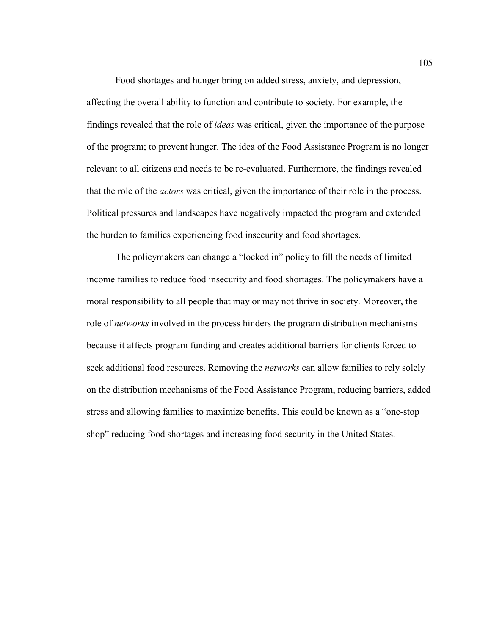Food shortages and hunger bring on added stress, anxiety, and depression, affecting the overall ability to function and contribute to society. For example, the findings revealed that the role of *ideas* was critical, given the importance of the purpose of the program; to prevent hunger. The idea of the Food Assistance Program is no longer relevant to all citizens and needs to be re-evaluated. Furthermore, the findings revealed that the role of the *actors* was critical, given the importance of their role in the process. Political pressures and landscapes have negatively impacted the program and extended the burden to families experiencing food insecurity and food shortages.

The policymakers can change a "locked in" policy to fill the needs of limited income families to reduce food insecurity and food shortages. The policymakers have a moral responsibility to all people that may or may not thrive in society. Moreover, the role of *networks* involved in the process hinders the program distribution mechanisms because it affects program funding and creates additional barriers for clients forced to seek additional food resources. Removing the *networks* can allow families to rely solely on the distribution mechanisms of the Food Assistance Program, reducing barriers, added stress and allowing families to maximize benefits. This could be known as a "one-stop shop" reducing food shortages and increasing food security in the United States.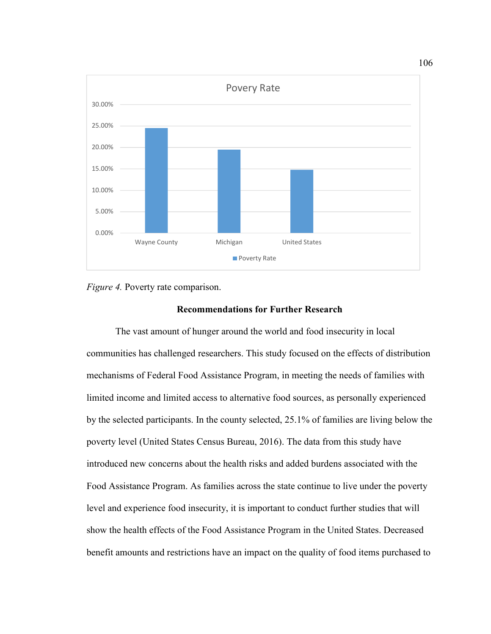

*Figure 4.* Poverty rate comparison.

### **Recommendations for Further Research**

The vast amount of hunger around the world and food insecurity in local communities has challenged researchers. This study focused on the effects of distribution mechanisms of Federal Food Assistance Program, in meeting the needs of families with limited income and limited access to alternative food sources, as personally experienced by the selected participants. In the county selected, 25.1% of families are living below the poverty level (United States Census Bureau, 2016). The data from this study have introduced new concerns about the health risks and added burdens associated with the Food Assistance Program. As families across the state continue to live under the poverty level and experience food insecurity, it is important to conduct further studies that will show the health effects of the Food Assistance Program in the United States. Decreased benefit amounts and restrictions have an impact on the quality of food items purchased to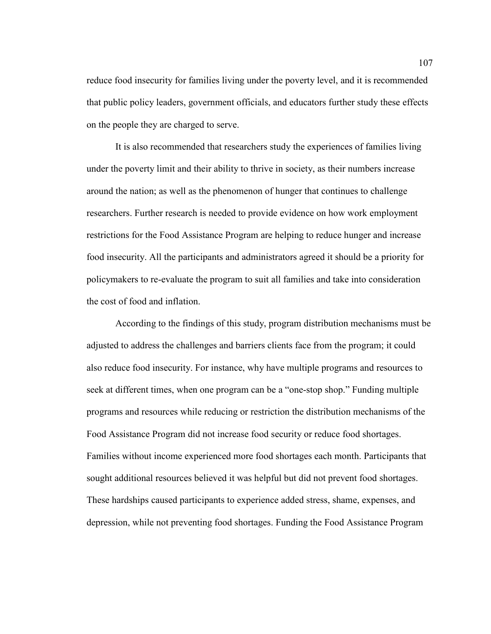reduce food insecurity for families living under the poverty level, and it is recommended that public policy leaders, government officials, and educators further study these effects on the people they are charged to serve.

It is also recommended that researchers study the experiences of families living under the poverty limit and their ability to thrive in society, as their numbers increase around the nation; as well as the phenomenon of hunger that continues to challenge researchers. Further research is needed to provide evidence on how work employment restrictions for the Food Assistance Program are helping to reduce hunger and increase food insecurity. All the participants and administrators agreed it should be a priority for policymakers to re-evaluate the program to suit all families and take into consideration the cost of food and inflation.

According to the findings of this study, program distribution mechanisms must be adjusted to address the challenges and barriers clients face from the program; it could also reduce food insecurity. For instance, why have multiple programs and resources to seek at different times, when one program can be a "one-stop shop." Funding multiple programs and resources while reducing or restriction the distribution mechanisms of the Food Assistance Program did not increase food security or reduce food shortages. Families without income experienced more food shortages each month. Participants that sought additional resources believed it was helpful but did not prevent food shortages. These hardships caused participants to experience added stress, shame, expenses, and depression, while not preventing food shortages. Funding the Food Assistance Program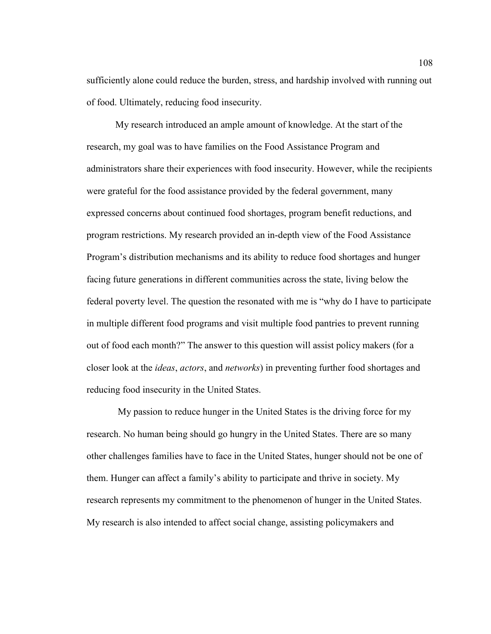sufficiently alone could reduce the burden, stress, and hardship involved with running out of food. Ultimately, reducing food insecurity.

My research introduced an ample amount of knowledge. At the start of the research, my goal was to have families on the Food Assistance Program and administrators share their experiences with food insecurity. However, while the recipients were grateful for the food assistance provided by the federal government, many expressed concerns about continued food shortages, program benefit reductions, and program restrictions. My research provided an in-depth view of the Food Assistance Program's distribution mechanisms and its ability to reduce food shortages and hunger facing future generations in different communities across the state, living below the federal poverty level. The question the resonated with me is "why do I have to participate in multiple different food programs and visit multiple food pantries to prevent running out of food each month?" The answer to this question will assist policy makers (for a closer look at the *ideas*, *actors*, and *networks*) in preventing further food shortages and reducing food insecurity in the United States.

 My passion to reduce hunger in the United States is the driving force for my research. No human being should go hungry in the United States. There are so many other challenges families have to face in the United States, hunger should not be one of them. Hunger can affect a family's ability to participate and thrive in society. My research represents my commitment to the phenomenon of hunger in the United States. My research is also intended to affect social change, assisting policymakers and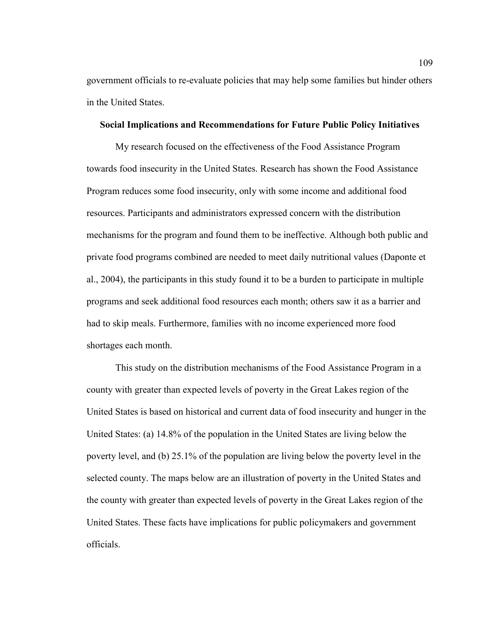government officials to re-evaluate policies that may help some families but hinder others in the United States.

#### **Social Implications and Recommendations for Future Public Policy Initiatives**

My research focused on the effectiveness of the Food Assistance Program towards food insecurity in the United States. Research has shown the Food Assistance Program reduces some food insecurity, only with some income and additional food resources. Participants and administrators expressed concern with the distribution mechanisms for the program and found them to be ineffective. Although both public and private food programs combined are needed to meet daily nutritional values (Daponte et al., 2004), the participants in this study found it to be a burden to participate in multiple programs and seek additional food resources each month; others saw it as a barrier and had to skip meals. Furthermore, families with no income experienced more food shortages each month.

This study on the distribution mechanisms of the Food Assistance Program in a county with greater than expected levels of poverty in the Great Lakes region of the United States is based on historical and current data of food insecurity and hunger in the United States: (a) 14.8% of the population in the United States are living below the poverty level, and (b) 25.1% of the population are living below the poverty level in the selected county. The maps below are an illustration of poverty in the United States and the county with greater than expected levels of poverty in the Great Lakes region of the United States. These facts have implications for public policymakers and government officials.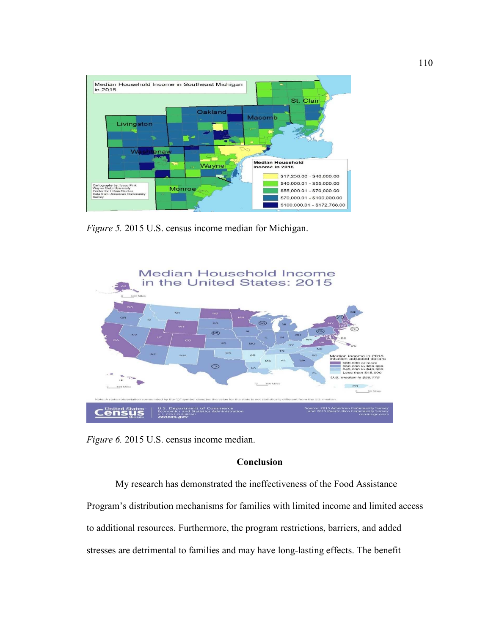

*Figure 5.* 2015 U.S. census income median for Michigan.



*Figure 6.* 2015 U.S. census income median.

# **Conclusion**

My research has demonstrated the ineffectiveness of the Food Assistance Program's distribution mechanisms for families with limited income and limited access to additional resources. Furthermore, the program restrictions, barriers, and added stresses are detrimental to families and may have long-lasting effects. The benefit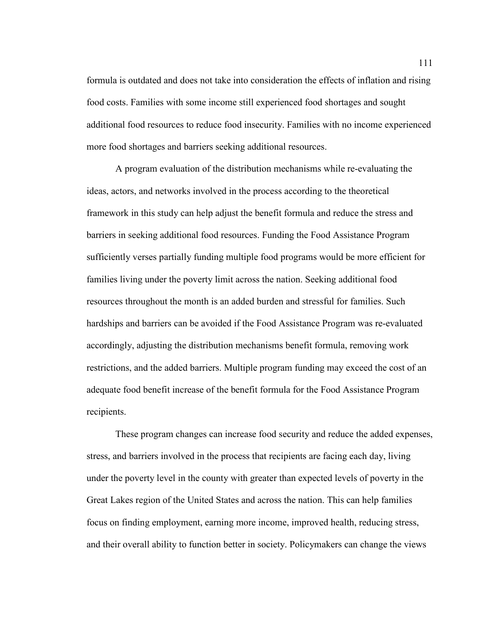formula is outdated and does not take into consideration the effects of inflation and rising food costs. Families with some income still experienced food shortages and sought additional food resources to reduce food insecurity. Families with no income experienced more food shortages and barriers seeking additional resources.

A program evaluation of the distribution mechanisms while re-evaluating the ideas, actors, and networks involved in the process according to the theoretical framework in this study can help adjust the benefit formula and reduce the stress and barriers in seeking additional food resources. Funding the Food Assistance Program sufficiently verses partially funding multiple food programs would be more efficient for families living under the poverty limit across the nation. Seeking additional food resources throughout the month is an added burden and stressful for families. Such hardships and barriers can be avoided if the Food Assistance Program was re-evaluated accordingly, adjusting the distribution mechanisms benefit formula, removing work restrictions, and the added barriers. Multiple program funding may exceed the cost of an adequate food benefit increase of the benefit formula for the Food Assistance Program recipients.

These program changes can increase food security and reduce the added expenses, stress, and barriers involved in the process that recipients are facing each day, living under the poverty level in the county with greater than expected levels of poverty in the Great Lakes region of the United States and across the nation. This can help families focus on finding employment, earning more income, improved health, reducing stress, and their overall ability to function better in society. Policymakers can change the views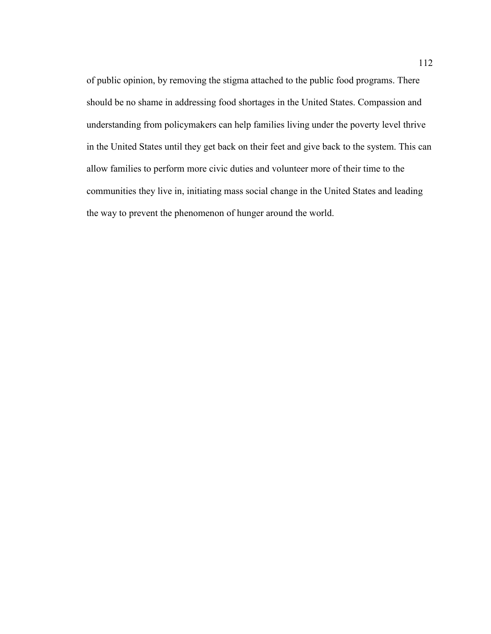of public opinion, by removing the stigma attached to the public food programs. There should be no shame in addressing food shortages in the United States. Compassion and understanding from policymakers can help families living under the poverty level thrive in the United States until they get back on their feet and give back to the system. This can allow families to perform more civic duties and volunteer more of their time to the communities they live in, initiating mass social change in the United States and leading the way to prevent the phenomenon of hunger around the world.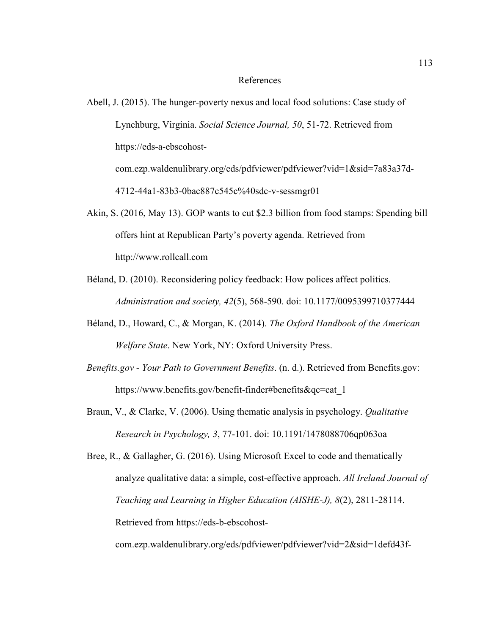#### References

- Abell, J. (2015). The hunger-poverty nexus and local food solutions: Case study of Lynchburg, Virginia. *Social Science Journal, 50*, 51-72. Retrieved from https://eds-a-ebscohostcom.ezp.waldenulibrary.org/eds/pdfviewer/pdfviewer?vid=1&sid=7a83a37d-4712-44a1-83b3-0bac887c545c%40sdc-v-sessmgr01
- Akin, S. (2016, May 13). GOP wants to cut \$2.3 billion from food stamps: Spending bill offers hint at Republican Party's poverty agenda. Retrieved from http://www.rollcall.com
- Béland, D. (2010). Reconsidering policy feedback: How polices affect politics. *Administration and society, 42*(5), 568-590. doi: 10.1177/0095399710377444
- Béland, D., Howard, C., & Morgan, K. (2014). *The Oxford Handbook of the American Welfare State*. New York, NY: Oxford University Press.
- *Benefits.gov Your Path to Government Benefits*. (n. d.). Retrieved from Benefits.gov: https://www.benefits.gov/benefit-finder#benefits&qc=cat\_1
- Braun, V., & Clarke, V. (2006). Using thematic analysis in psychology. *Qualitative Research in Psychology, 3*, 77-101. doi: 10.1191/1478088706qp063oa

Bree, R., & Gallagher, G. (2016). Using Microsoft Excel to code and thematically analyze qualitative data: a simple, cost-effective approach. *All Ireland Journal of Teaching and Learning in Higher Education (AISHE-J), 8*(2), 2811-28114. Retrieved from https://eds-b-ebscohost-

com.ezp.waldenulibrary.org/eds/pdfviewer/pdfviewer?vid=2&sid=1defd43f-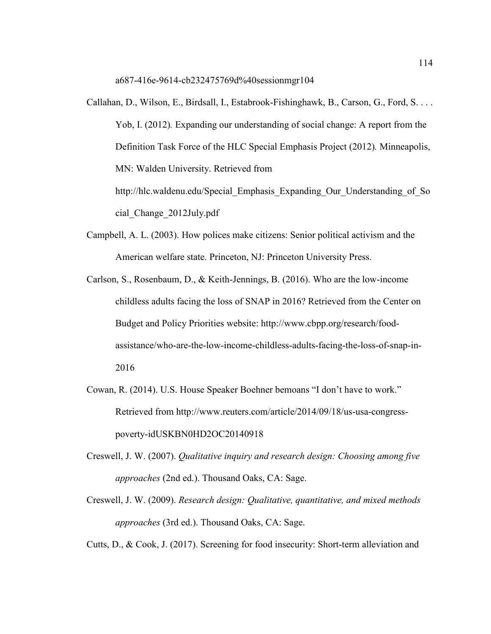a687-416e-9614-cb232475769d%40sessionmgr104

- Callahan, D., Wilson, E., Birdsall, I., Estabrook-Fishinghawk, B., Carson, G., Ford, S. . . . Yob, I. (2012)*.* Expanding our understanding of social change: A report from the Definition Task Force of the HLC Special Emphasis Project (2012)*.* Minneapolis, MN: Walden University. Retrieved from http://hlc.waldenu.edu/Special\_Emphasis\_Expanding\_Our\_Understanding\_of\_So cial\_Change\_2012July.pdf
- Campbell, A. L. (2003). How polices make citizens: Senior political activism and the American welfare state. Princeton, NJ: Princeton University Press.
- Carlson, S., Rosenbaum, D., & Keith-Jennings, B. (2016). Who are the low-income childless adults facing the loss of SNAP in 2016? Retrieved from the Center on Budget and Policy Priorities website: http://www.cbpp.org/research/foodassistance/who-are-the-low-income-childless-adults-facing-the-loss-of-snap-in-2016
- Cowan, R. (2014). U.S. House Speaker Boehner bemoans "I don't have to work." Retrieved from http://www.reuters.com/article/2014/09/18/us-usa-congresspoverty-idUSKBN0HD2OC20140918
- Creswell, J. W. (2007). *Qualitative inquiry and research design: Choosing among five approaches* (2nd ed.). Thousand Oaks, CA: Sage.
- Creswell, J. W. (2009). *Research design: Qualitative, quantitative, and mixed methods approaches* (3rd ed.). Thousand Oaks, CA: Sage.

Cutts, D., & Cook, J. (2017). Screening for food insecurity: Short-term alleviation and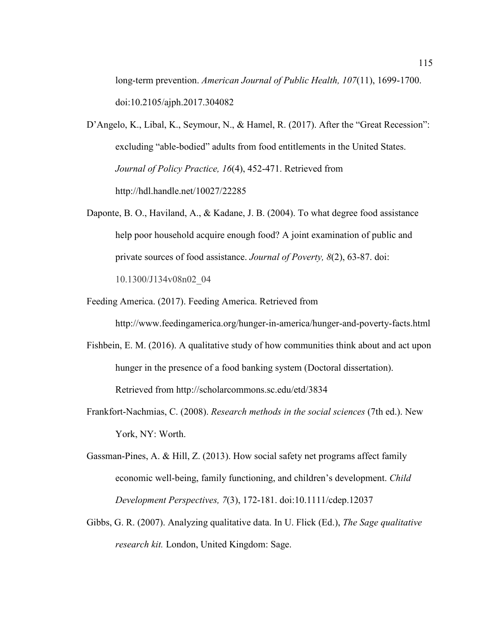long-term prevention. *American Journal of Public Health, 107*(11), 1699-1700. doi:10.2105/ajph.2017.304082

D'Angelo, K., Libal, K., Seymour, N., & Hamel, R. (2017). After the "Great Recession": excluding "able-bodied" adults from food entitlements in the United States. *Journal of Policy Practice, 16*(4), 452-471. Retrieved from http://hdl.handle.net/10027/22285

Daponte, B. O., Haviland, A., & Kadane, J. B. (2004). To what degree food assistance help poor household acquire enough food? A joint examination of public and private sources of food assistance. *Journal of Poverty, 8*(2), 63-87. doi: 10.1300/J134v08n02\_04

- Feeding America. (2017). Feeding America. Retrieved from http://www.feedingamerica.org/hunger-in-america/hunger-and-poverty-facts.html
- Fishbein, E. M. (2016). A qualitative study of how communities think about and act upon hunger in the presence of a food banking system (Doctoral dissertation). Retrieved from http://scholarcommons.sc.edu/etd/3834
- Frankfort-Nachmias, C. (2008). *Research methods in the social sciences* (7th ed.). New York, NY: Worth.
- Gassman-Pines, A. & Hill, Z. (2013). How social safety net programs affect family economic well-being, family functioning, and children's development. *Child Development Perspectives, 7*(3), 172-181. doi:10.1111/cdep.12037
- Gibbs, G. R. (2007). Analyzing qualitative data. In U. Flick (Ed.), *The Sage qualitative research kit.* London, United Kingdom: Sage.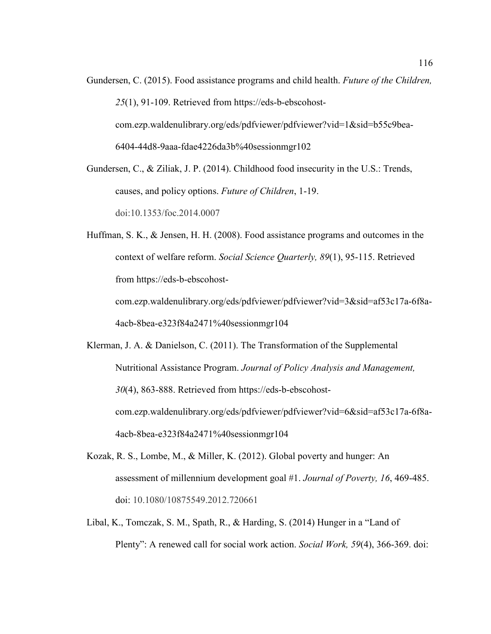Gundersen, C. (2015). Food assistance programs and child health. *Future of the Children, 25*(1), 91-109. Retrieved from https://eds-b-ebscohostcom.ezp.waldenulibrary.org/eds/pdfviewer/pdfviewer?vid=1&sid=b55c9bea-6404-44d8-9aaa-fdae4226da3b%40sessionmgr102

Gundersen, C., & Ziliak, J. P. (2014). Childhood food insecurity in the U.S.: Trends, causes, and policy options. *Future of Children*, 1-19. doi:10.1353/foc.2014.0007

Huffman, S. K., & Jensen, H. H. (2008). Food assistance programs and outcomes in the context of welfare reform. *Social Science Quarterly, 89*(1), 95-115. Retrieved from https://eds-b-ebscohostcom.ezp.waldenulibrary.org/eds/pdfviewer/pdfviewer?vid=3&sid=af53c17a-6f8a-

4acb-8bea-e323f84a2471%40sessionmgr104

- Klerman, J. A. & Danielson, C. (2011). The Transformation of the Supplemental Nutritional Assistance Program. *Journal of Policy Analysis and Management, 30*(4), 863-888. Retrieved from https://eds-b-ebscohostcom.ezp.waldenulibrary.org/eds/pdfviewer/pdfviewer?vid=6&sid=af53c17a-6f8a-4acb-8bea-e323f84a2471%40sessionmgr104
- Kozak, R. S., Lombe, M., & Miller, K. (2012). Global poverty and hunger: An assessment of millennium development goal #1. *Journal of Poverty, 16*, 469-485. doi: 10.1080/10875549.2012.720661
- Libal, K., Tomczak, S. M., Spath, R., & Harding, S. (2014) Hunger in a "Land of Plenty": A renewed call for social work action. *Social Work, 59*(4), 366-369. doi: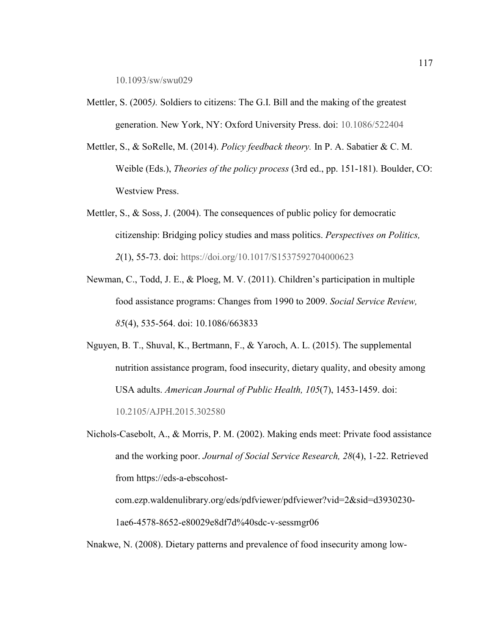10.1093/sw/swu029

- Mettler, S. (2005*).* Soldiers to citizens: The G.I. Bill and the making of the greatest generation. New York, NY: Oxford University Press. doi: 10.1086/522404
- Mettler, S., & SoRelle, M. (2014). *Policy feedback theory.* In P. A. Sabatier & C. M. Weible (Eds.), *Theories of the policy process* (3rd ed., pp. 151-181). Boulder, CO: Westview Press.
- Mettler, S.,  $\&$  Soss, J. (2004). The consequences of public policy for democratic citizenship: Bridging policy studies and mass politics. *Perspectives on Politics, 2*(1), 55-73. doi: https://doi.org/10.1017/S1537592704000623
- Newman, C., Todd, J. E., & Ploeg, M. V. (2011). Children's participation in multiple food assistance programs: Changes from 1990 to 2009. *Social Service Review, 85*(4), 535-564. doi: 10.1086/663833
- Nguyen, B. T., Shuval, K., Bertmann, F., & Yaroch, A. L. (2015). The supplemental nutrition assistance program, food insecurity, dietary quality, and obesity among USA adults. *American Journal of Public Health, 105*(7), 1453-1459. doi: 10.2105/AJPH.2015.302580
- Nichols-Casebolt, A., & Morris, P. M. (2002). Making ends meet: Private food assistance and the working poor. *Journal of Social Service Research, 28*(4), 1-22. Retrieved from https://eds-a-ebscohost-

```
com.ezp.waldenulibrary.org/eds/pdfviewer/pdfviewer?vid=2&sid=d3930230-
1ae6-4578-8652-e80029e8df7d%40sdc-v-sessmgr06
```
Nnakwe, N. (2008). Dietary patterns and prevalence of food insecurity among low-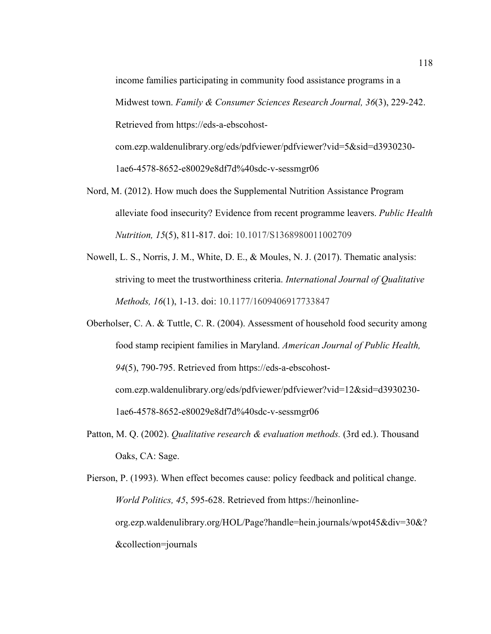income families participating in community food assistance programs in a Midwest town. *Family & Consumer Sciences Research Journal, 36*(3), 229-242. Retrieved from https://eds-a-ebscohostcom.ezp.waldenulibrary.org/eds/pdfviewer/pdfviewer?vid=5&sid=d3930230-

1ae6-4578-8652-e80029e8df7d%40sdc-v-sessmgr06

- Nord, M. (2012). How much does the Supplemental Nutrition Assistance Program alleviate food insecurity? Evidence from recent programme leavers. *Public Health Nutrition, 15*(5), 811-817. doi: 10.1017/S1368980011002709
- Nowell, L. S., Norris, J. M., White, D. E., & Moules, N. J. (2017). Thematic analysis: striving to meet the trustworthiness criteria. *International Journal of Qualitative Methods, 16*(1), 1-13. doi: 10.1177/1609406917733847
- Oberholser, C. A. & Tuttle, C. R. (2004). Assessment of household food security among food stamp recipient families in Maryland. *American Journal of Public Health, 94*(5), 790-795. Retrieved from https://eds-a-ebscohostcom.ezp.waldenulibrary.org/eds/pdfviewer/pdfviewer?vid=12&sid=d3930230- 1ae6-4578-8652-e80029e8df7d%40sdc-v-sessmgr06
- Patton, M. Q. (2002). *Qualitative research & evaluation methods.* (3rd ed.). Thousand Oaks, CA: Sage.

Pierson, P. (1993). When effect becomes cause: policy feedback and political change. *World Politics, 45*, 595-628. Retrieved from https://heinonlineorg.ezp.waldenulibrary.org/HOL/Page?handle=hein.journals/wpot45&div=30&? &collection=journals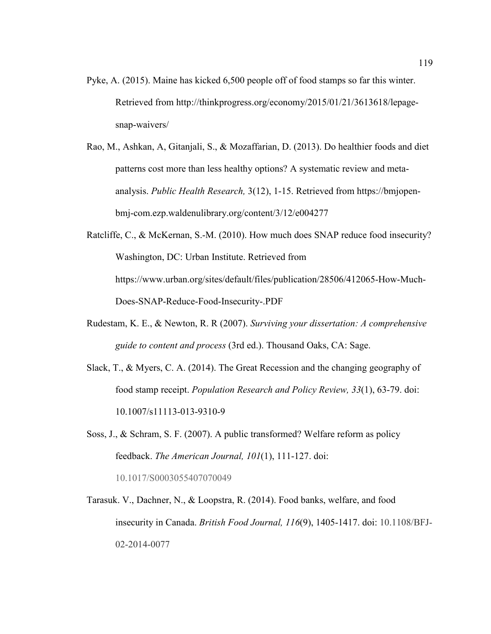- Pyke, A. (2015). Maine has kicked 6,500 people off of food stamps so far this winter. Retrieved from http://thinkprogress.org/economy/2015/01/21/3613618/lepagesnap-waivers/
- Rao, M., Ashkan, A, Gitanjali, S., & Mozaffarian, D. (2013). Do healthier foods and diet patterns cost more than less healthy options? A systematic review and metaanalysis. *Public Health Research,* 3(12), 1-15. Retrieved from https://bmjopenbmj-com.ezp.waldenulibrary.org/content/3/12/e004277
- Ratcliffe, C., & McKernan, S.-M. (2010). How much does SNAP reduce food insecurity? Washington, DC: Urban Institute. Retrieved from https://www.urban.org/sites/default/files/publication/28506/412065-How-Much-Does-SNAP-Reduce-Food-Insecurity-.PDF
- Rudestam, K. E., & Newton, R. R (2007). *Surviving your dissertation: A comprehensive guide to content and process* (3rd ed.). Thousand Oaks, CA: Sage.
- Slack, T., & Myers, C. A. (2014). The Great Recession and the changing geography of food stamp receipt. *Population Research and Policy Review, 33*(1), 63-79. doi: 10.1007/s11113-013-9310-9
- Soss, J., & Schram, S. F. (2007). A public transformed? Welfare reform as policy feedback. *The American Journal, 101*(1), 111-127. doi: 10.1017/S0003055407070049
- Tarasuk. V., Dachner, N., & Loopstra, R. (2014). Food banks, welfare, and food insecurity in Canada. *British Food Journal, 116*(9), 1405-1417. doi: 10.1108/BFJ-02-2014-0077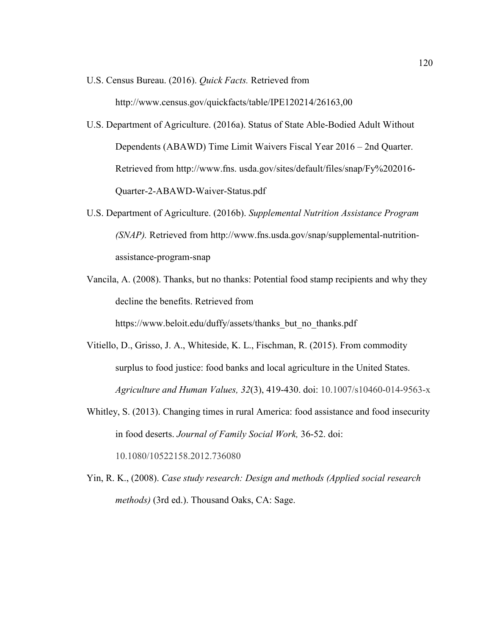- U.S. Census Bureau. (2016). *Quick Facts.* Retrieved from http://www.census.gov/quickfacts/table/IPE120214/26163,00
- U.S. Department of Agriculture. (2016a). Status of State Able-Bodied Adult Without Dependents (ABAWD) Time Limit Waivers Fiscal Year 2016 – 2nd Quarter. Retrieved from http://www.fns. usda.gov/sites/default/files/snap/Fy%202016- Quarter-2-ABAWD-Waiver-Status.pdf
- U.S. Department of Agriculture. (2016b). *Supplemental Nutrition Assistance Program (SNAP).* Retrieved from http://www.fns.usda.gov/snap/supplemental-nutritionassistance-program-snap
- Vancila, A. (2008). Thanks, but no thanks: Potential food stamp recipients and why they decline the benefits. Retrieved from

https://www.beloit.edu/duffy/assets/thanks\_but\_no\_thanks.pdf

- Vitiello, D., Grisso, J. A., Whiteside, K. L., Fischman, R. (2015). From commodity surplus to food justice: food banks and local agriculture in the United States. *Agriculture and Human Values, 32*(3), 419-430. doi: 10.1007/s10460-014-9563-x
- Whitley, S. (2013). Changing times in rural America: food assistance and food insecurity in food deserts. *Journal of Family Social Work,* 36-52. doi: 10.1080/10522158.2012.736080
- Yin, R. K., (2008). *Case study research: Design and methods (Applied social research methods)* (3rd ed.). Thousand Oaks, CA: Sage.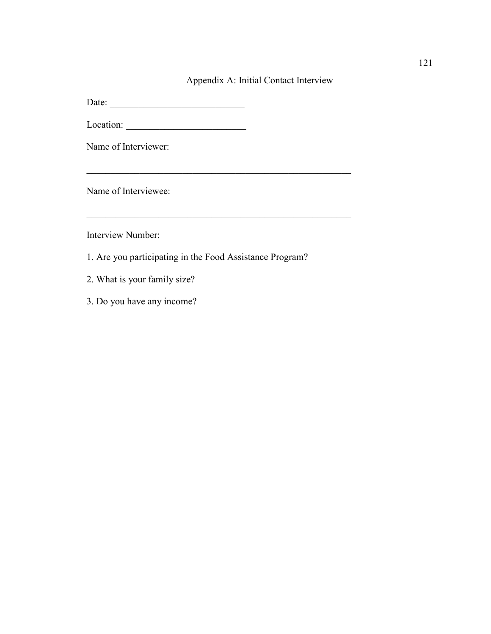# Appendix A: Initial Contact Interview

 $\frac{1}{2}$  ,  $\frac{1}{2}$  ,  $\frac{1}{2}$  ,  $\frac{1}{2}$  ,  $\frac{1}{2}$  ,  $\frac{1}{2}$  ,  $\frac{1}{2}$  ,  $\frac{1}{2}$  ,  $\frac{1}{2}$  ,  $\frac{1}{2}$  ,  $\frac{1}{2}$  ,  $\frac{1}{2}$  ,  $\frac{1}{2}$  ,  $\frac{1}{2}$  ,  $\frac{1}{2}$  ,  $\frac{1}{2}$  ,  $\frac{1}{2}$  ,  $\frac{1}{2}$  ,  $\frac{1$ 

Date: \_\_\_\_\_\_\_\_\_\_\_\_\_\_\_\_\_\_\_\_\_\_\_\_\_\_\_\_

Location: \_\_\_\_\_\_\_\_\_\_\_\_\_\_\_\_\_\_\_\_\_\_\_\_\_

Name of Interviewer:

Name of Interviewee:

Interview Number:

1. Are you participating in the Food Assistance Program?

\_\_\_\_\_\_\_\_\_\_\_\_\_\_\_\_\_\_\_\_\_\_\_\_\_\_\_\_\_\_\_\_\_\_\_\_\_\_\_\_\_\_\_\_\_\_\_\_\_\_\_\_\_\_\_

- 2. What is your family size?
- 3. Do you have any income?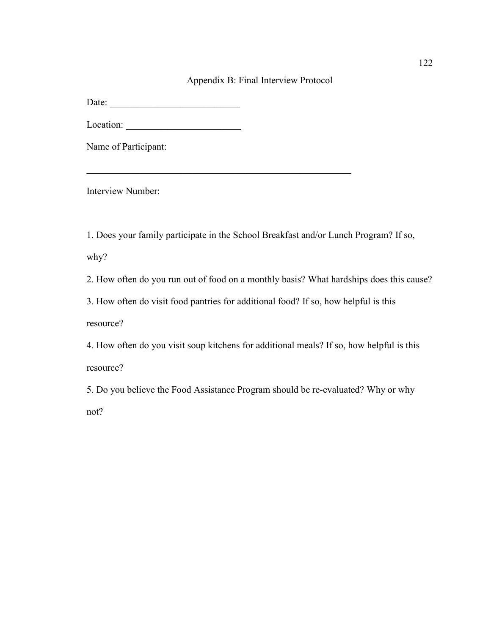### Appendix B: Final Interview Protocol

Date: \_\_\_\_\_\_\_\_\_\_\_\_\_\_\_\_\_\_\_\_\_\_\_\_\_\_\_

Location: \_\_\_\_\_\_\_\_\_\_\_\_\_\_\_\_\_\_\_\_\_\_\_\_

Name of Participant:

Interview Number:

1. Does your family participate in the School Breakfast and/or Lunch Program? If so, why?

 $\_$  , and the set of the set of the set of the set of the set of the set of the set of the set of the set of the set of the set of the set of the set of the set of the set of the set of the set of the set of the set of th

2. How often do you run out of food on a monthly basis? What hardships does this cause?

3. How often do visit food pantries for additional food? If so, how helpful is this resource?

4. How often do you visit soup kitchens for additional meals? If so, how helpful is this resource?

5. Do you believe the Food Assistance Program should be re-evaluated? Why or why not?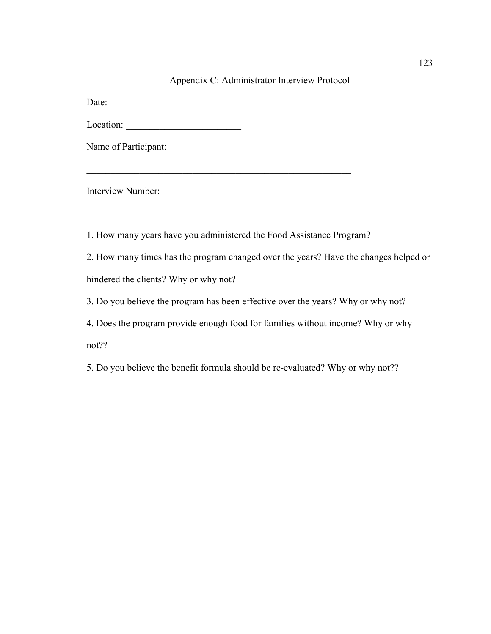#### Appendix C: Administrator Interview Protocol

Date: \_\_\_\_\_\_\_\_\_\_\_\_\_\_\_\_\_\_\_\_\_\_\_\_\_\_\_

Location: \_\_\_\_\_\_\_\_\_\_\_\_\_\_\_\_\_\_\_\_\_\_\_\_

Name of Participant:

Interview Number:

1. How many years have you administered the Food Assistance Program?

 $\_$  , and the set of the set of the set of the set of the set of the set of the set of the set of the set of the set of the set of the set of the set of the set of the set of the set of the set of the set of the set of th

2. How many times has the program changed over the years? Have the changes helped or hindered the clients? Why or why not?

3. Do you believe the program has been effective over the years? Why or why not?

4. Does the program provide enough food for families without income? Why or why not??

5. Do you believe the benefit formula should be re-evaluated? Why or why not??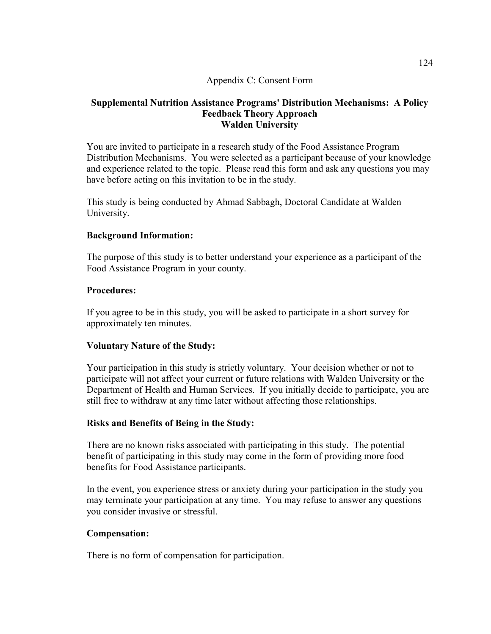## Appendix C: Consent Form

# **Supplemental Nutrition Assistance Programs' Distribution Mechanisms: A Policy Feedback Theory Approach Walden University**

You are invited to participate in a research study of the Food Assistance Program Distribution Mechanisms. You were selected as a participant because of your knowledge and experience related to the topic. Please read this form and ask any questions you may have before acting on this invitation to be in the study.

This study is being conducted by Ahmad Sabbagh, Doctoral Candidate at Walden University.

# **Background Information:**

The purpose of this study is to better understand your experience as a participant of the Food Assistance Program in your county.

# **Procedures:**

If you agree to be in this study, you will be asked to participate in a short survey for approximately ten minutes.

# **Voluntary Nature of the Study:**

Your participation in this study is strictly voluntary. Your decision whether or not to participate will not affect your current or future relations with Walden University or the Department of Health and Human Services. If you initially decide to participate, you are still free to withdraw at any time later without affecting those relationships.

#### **Risks and Benefits of Being in the Study:**

There are no known risks associated with participating in this study. The potential benefit of participating in this study may come in the form of providing more food benefits for Food Assistance participants.

In the event, you experience stress or anxiety during your participation in the study you may terminate your participation at any time. You may refuse to answer any questions you consider invasive or stressful.

# **Compensation:**

There is no form of compensation for participation.